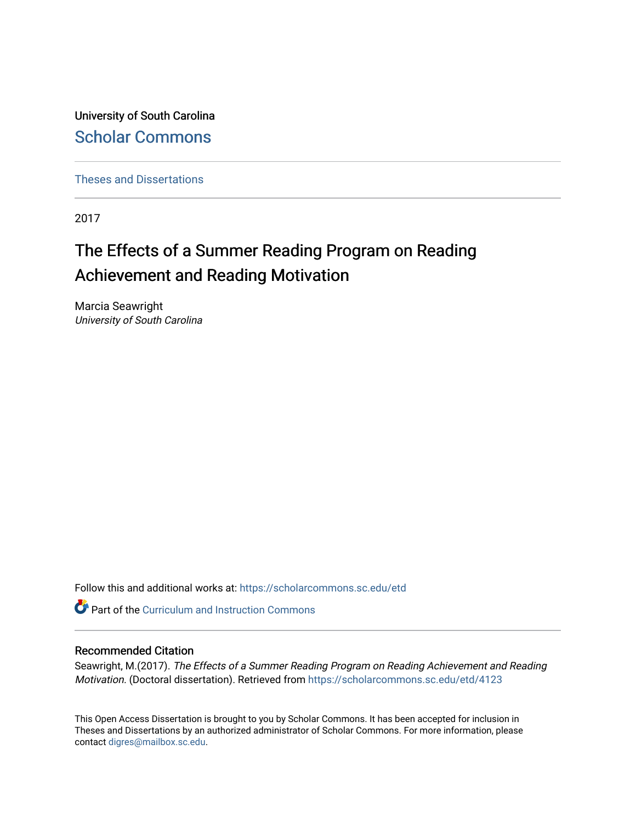University of South Carolina [Scholar Commons](https://scholarcommons.sc.edu/) 

[Theses and Dissertations](https://scholarcommons.sc.edu/etd)

2017

# The Effects of a Summer Reading Program on Reading Achievement and Reading Motivation

Marcia Seawright University of South Carolina

Follow this and additional works at: [https://scholarcommons.sc.edu/etd](https://scholarcommons.sc.edu/etd?utm_source=scholarcommons.sc.edu%2Fetd%2F4123&utm_medium=PDF&utm_campaign=PDFCoverPages)

**C** Part of the Curriculum and Instruction Commons

### Recommended Citation

Seawright, M.(2017). The Effects of a Summer Reading Program on Reading Achievement and Reading Motivation. (Doctoral dissertation). Retrieved from [https://scholarcommons.sc.edu/etd/4123](https://scholarcommons.sc.edu/etd/4123?utm_source=scholarcommons.sc.edu%2Fetd%2F4123&utm_medium=PDF&utm_campaign=PDFCoverPages) 

This Open Access Dissertation is brought to you by Scholar Commons. It has been accepted for inclusion in Theses and Dissertations by an authorized administrator of Scholar Commons. For more information, please contact [digres@mailbox.sc.edu.](mailto:digres@mailbox.sc.edu)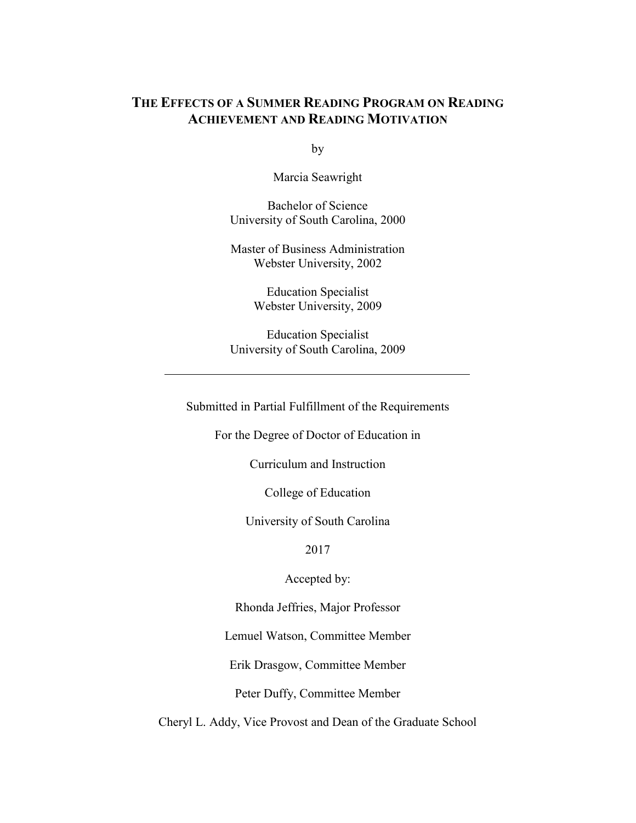# **THE EFFECTS OF A SUMMER READING PROGRAM ON READING ACHIEVEMENT AND READING MOTIVATION**

by

Marcia Seawright

Bachelor of Science University of South Carolina, 2000

Master of Business Administration Webster University, 2002

> Education Specialist Webster University, 2009

Education Specialist University of South Carolina, 2009

Submitted in Partial Fulfillment of the Requirements

For the Degree of Doctor of Education in

Curriculum and Instruction

College of Education

University of South Carolina

2017

Accepted by:

Rhonda Jeffries, Major Professor

Lemuel Watson, Committee Member

Erik Drasgow, Committee Member

Peter Duffy, Committee Member

Cheryl L. Addy, Vice Provost and Dean of the Graduate School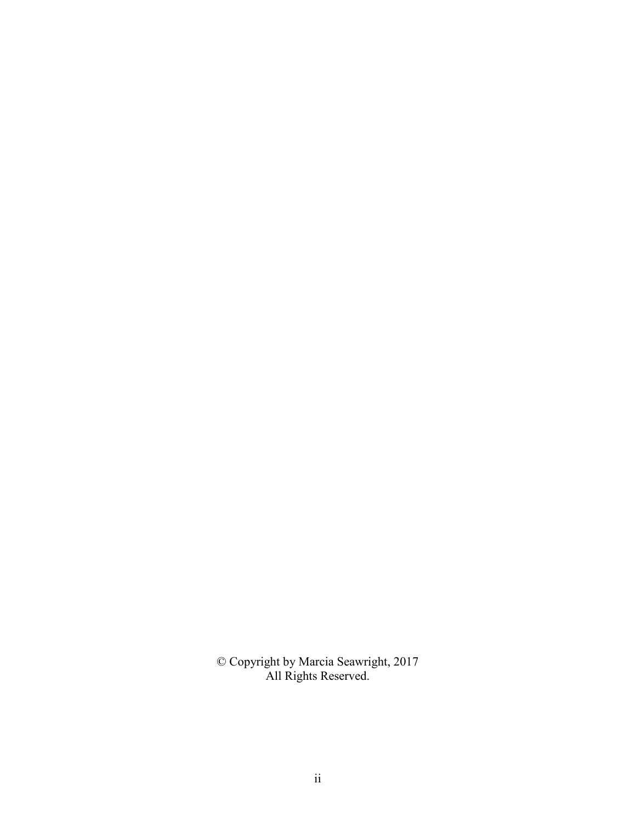© Copyright by Marcia Seawright, 2017 All Rights Reserved.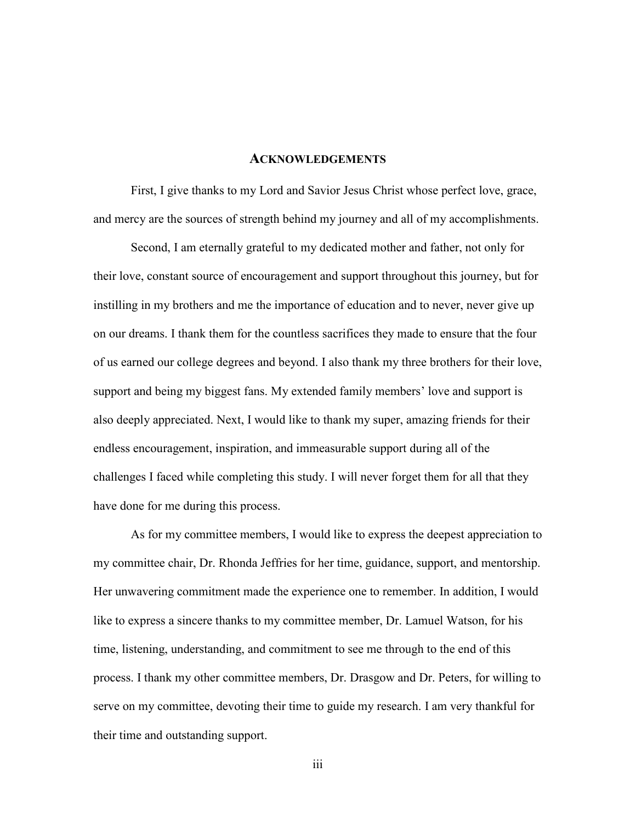#### **ACKNOWLEDGEMENTS**

First, I give thanks to my Lord and Savior Jesus Christ whose perfect love, grace, and mercy are the sources of strength behind my journey and all of my accomplishments.

Second, I am eternally grateful to my dedicated mother and father, not only for their love, constant source of encouragement and support throughout this journey, but for instilling in my brothers and me the importance of education and to never, never give up on our dreams. I thank them for the countless sacrifices they made to ensure that the four of us earned our college degrees and beyond. I also thank my three brothers for their love, support and being my biggest fans. My extended family members' love and support is also deeply appreciated. Next, I would like to thank my super, amazing friends for their endless encouragement, inspiration, and immeasurable support during all of the challenges I faced while completing this study. I will never forget them for all that they have done for me during this process.

As for my committee members, I would like to express the deepest appreciation to my committee chair, Dr. Rhonda Jeffries for her time, guidance, support, and mentorship. Her unwavering commitment made the experience one to remember. In addition, I would like to express a sincere thanks to my committee member, Dr. Lamuel Watson, for his time, listening, understanding, and commitment to see me through to the end of this process. I thank my other committee members, Dr. Drasgow and Dr. Peters, for willing to serve on my committee, devoting their time to guide my research. I am very thankful for their time and outstanding support.

iii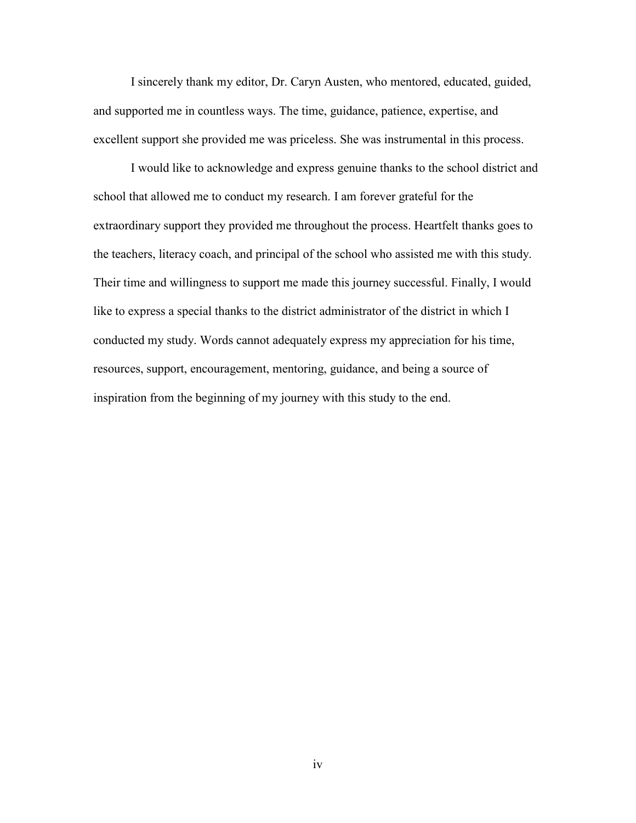I sincerely thank my editor, Dr. Caryn Austen, who mentored, educated, guided, and supported me in countless ways. The time, guidance, patience, expertise, and excellent support she provided me was priceless. She was instrumental in this process.

I would like to acknowledge and express genuine thanks to the school district and school that allowed me to conduct my research. I am forever grateful for the extraordinary support they provided me throughout the process. Heartfelt thanks goes to the teachers, literacy coach, and principal of the school who assisted me with this study. Their time and willingness to support me made this journey successful. Finally, I would like to express a special thanks to the district administrator of the district in which I conducted my study. Words cannot adequately express my appreciation for his time, resources, support, encouragement, mentoring, guidance, and being a source of inspiration from the beginning of my journey with this study to the end.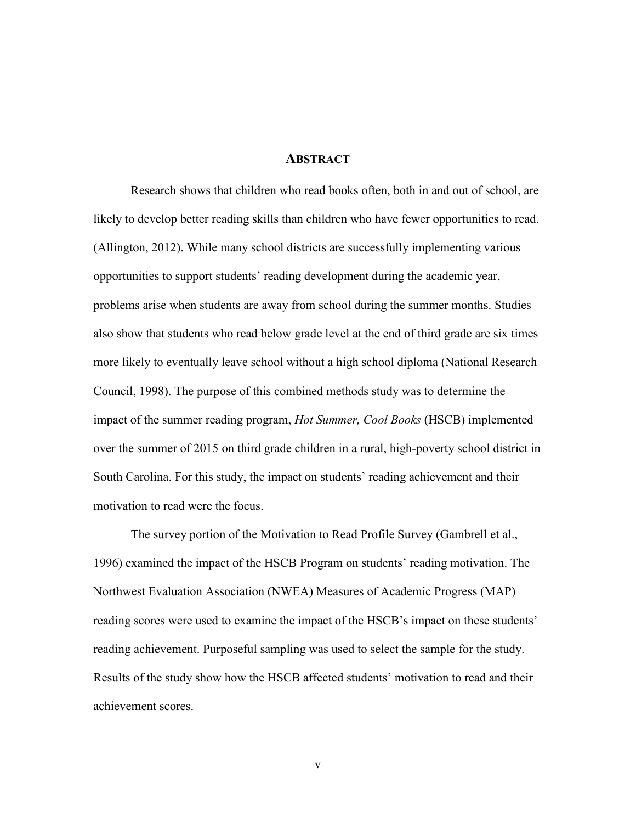## **ABSTRACT**

Research shows that children who read books often, both in and out of school, are likely to develop better reading skills than children who have fewer opportunities to read. (Allington, 2012). While many school districts are successfully implementing various opportunities to support students' reading development during the academic year, problems arise when students are away from school during the summer months. Studies also show that students who read below grade level at the end of third grade are six times more likely to eventually leave school without a high school diploma (National Research Council, 1998). The purpose of this combined methods study was to determine the impact of the summer reading program, *Hot Summer, Cool Books* (HSCB) implemented over the summer of 2015 on third grade children in a rural, high-poverty school district in South Carolina. For this study, the impact on students' reading achievement and their motivation to read were the focus.

The survey portion of the Motivation to Read Profile Survey (Gambrell et al., 1996) examined the impact of the HSCB Program on students' reading motivation. The Northwest Evaluation Association (NWEA) Measures of Academic Progress (MAP) reading scores were used to examine the impact of the HSCB's impact on these students' reading achievement. Purposeful sampling was used to select the sample for the study. Results of the study show how the HSCB affected students' motivation to read and their achievement scores.

v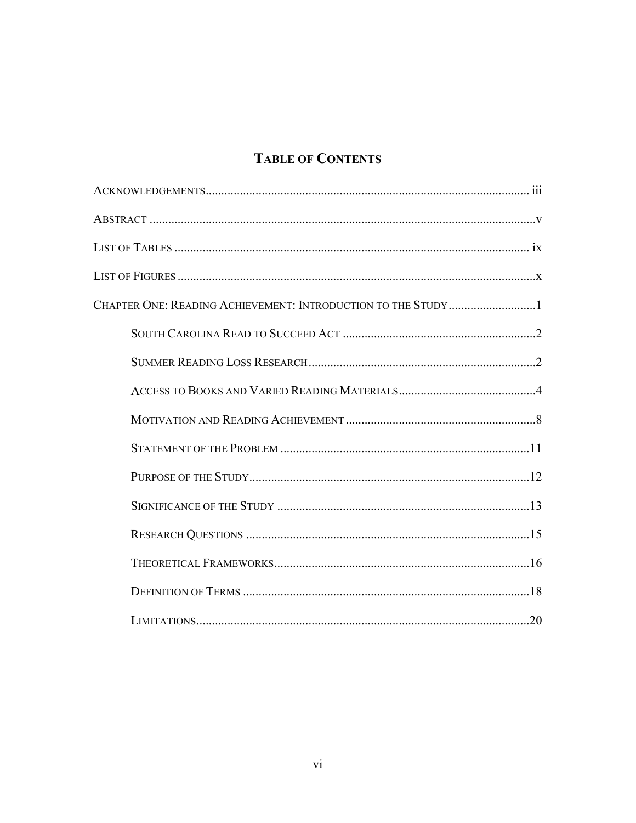# **TABLE OF CONTENTS**

| CHAPTER ONE: READING ACHIEVEMENT: INTRODUCTION TO THE STUDY1 |  |
|--------------------------------------------------------------|--|
|                                                              |  |
|                                                              |  |
|                                                              |  |
|                                                              |  |
|                                                              |  |
|                                                              |  |
|                                                              |  |
|                                                              |  |
|                                                              |  |
|                                                              |  |
|                                                              |  |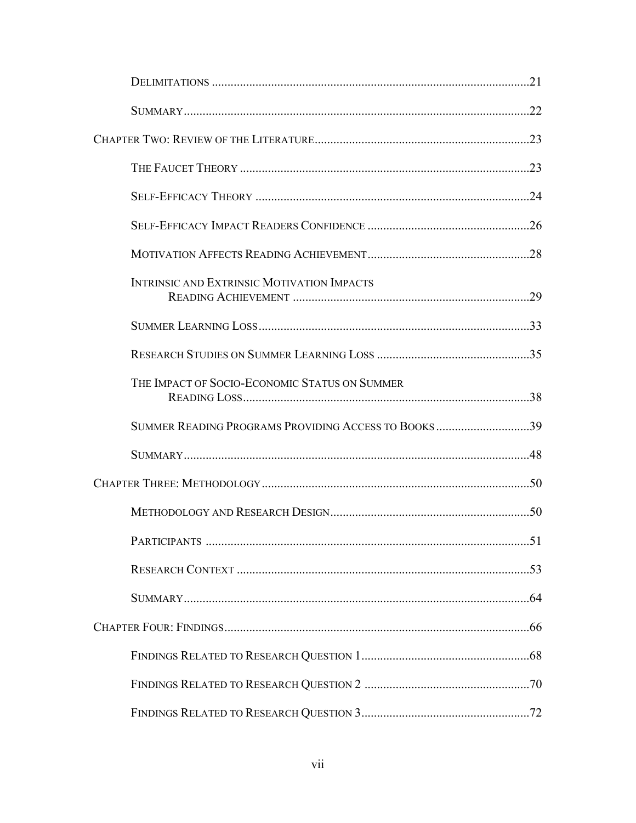| <b>INTRINSIC AND EXTRINSIC MOTIVATION IMPACTS</b>          |  |
|------------------------------------------------------------|--|
|                                                            |  |
|                                                            |  |
| THE IMPACT OF SOCIO-ECONOMIC STATUS ON SUMMER              |  |
| <b>SUMMER READING PROGRAMS PROVIDING ACCESS TO BOOKS39</b> |  |
|                                                            |  |
|                                                            |  |
|                                                            |  |
|                                                            |  |
|                                                            |  |
|                                                            |  |
|                                                            |  |
|                                                            |  |
|                                                            |  |
|                                                            |  |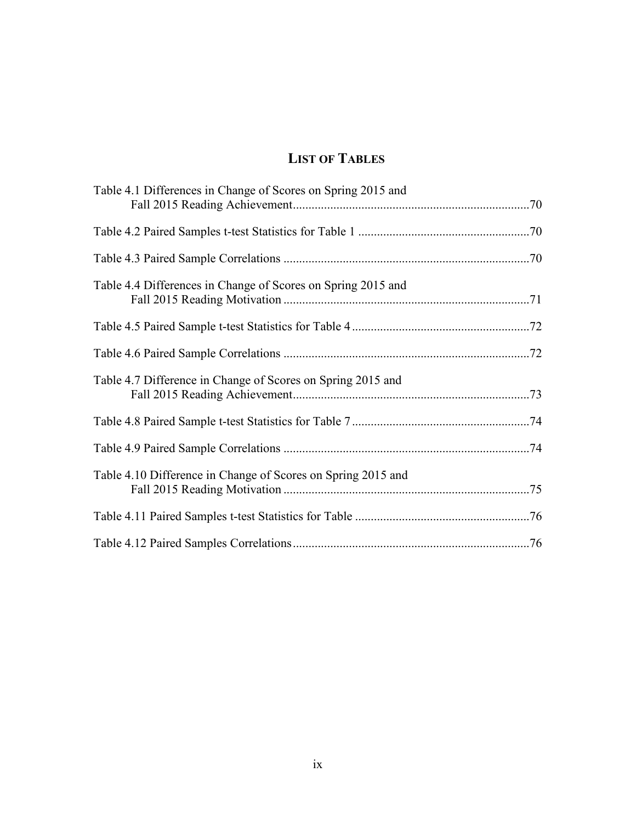# **LIST OF TABLES**

| Table 4.1 Differences in Change of Scores on Spring 2015 and |  |
|--------------------------------------------------------------|--|
|                                                              |  |
|                                                              |  |
| Table 4.4 Differences in Change of Scores on Spring 2015 and |  |
|                                                              |  |
|                                                              |  |
| Table 4.7 Difference in Change of Scores on Spring 2015 and  |  |
|                                                              |  |
|                                                              |  |
| Table 4.10 Difference in Change of Scores on Spring 2015 and |  |
|                                                              |  |
|                                                              |  |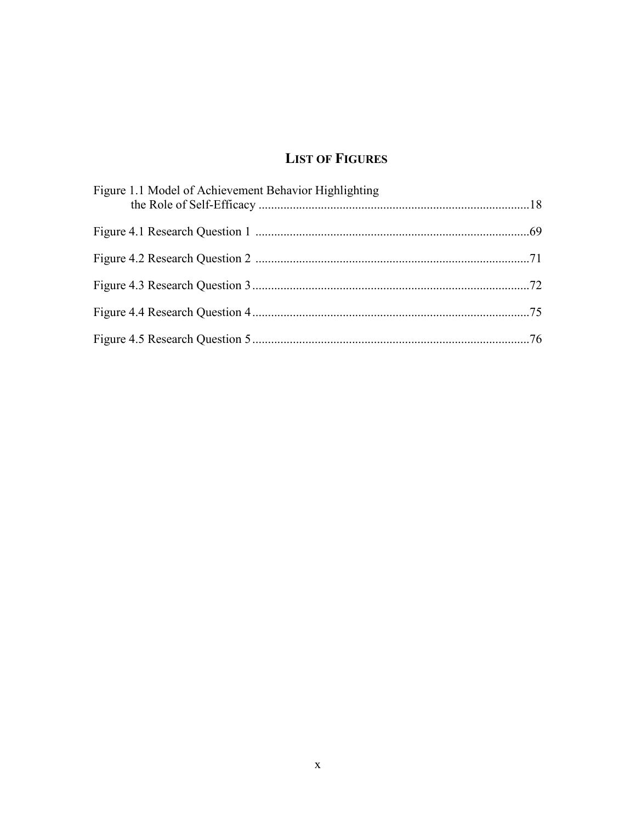# **LIST OF FIGURES**

| Figure 1.1 Model of Achievement Behavior Highlighting |  |
|-------------------------------------------------------|--|
|                                                       |  |
|                                                       |  |
|                                                       |  |
|                                                       |  |
|                                                       |  |
|                                                       |  |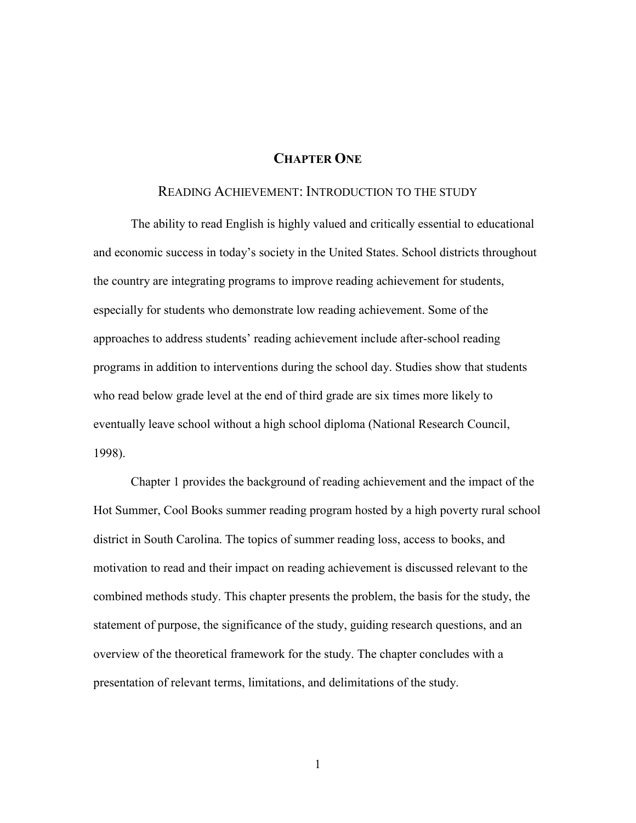# **CHAPTER ONE**

## READING ACHIEVEMENT: INTRODUCTION TO THE STUDY

The ability to read English is highly valued and critically essential to educational and economic success in today's society in the United States. School districts throughout the country are integrating programs to improve reading achievement for students, especially for students who demonstrate low reading achievement. Some of the approaches to address students' reading achievement include after-school reading programs in addition to interventions during the school day. Studies show that students who read below grade level at the end of third grade are six times more likely to eventually leave school without a high school diploma (National Research Council, 1998).

Chapter 1 provides the background of reading achievement and the impact of the Hot Summer, Cool Books summer reading program hosted by a high poverty rural school district in South Carolina. The topics of summer reading loss, access to books, and motivation to read and their impact on reading achievement is discussed relevant to the combined methods study. This chapter presents the problem, the basis for the study, the statement of purpose, the significance of the study, guiding research questions, and an overview of the theoretical framework for the study. The chapter concludes with a presentation of relevant terms, limitations, and delimitations of the study.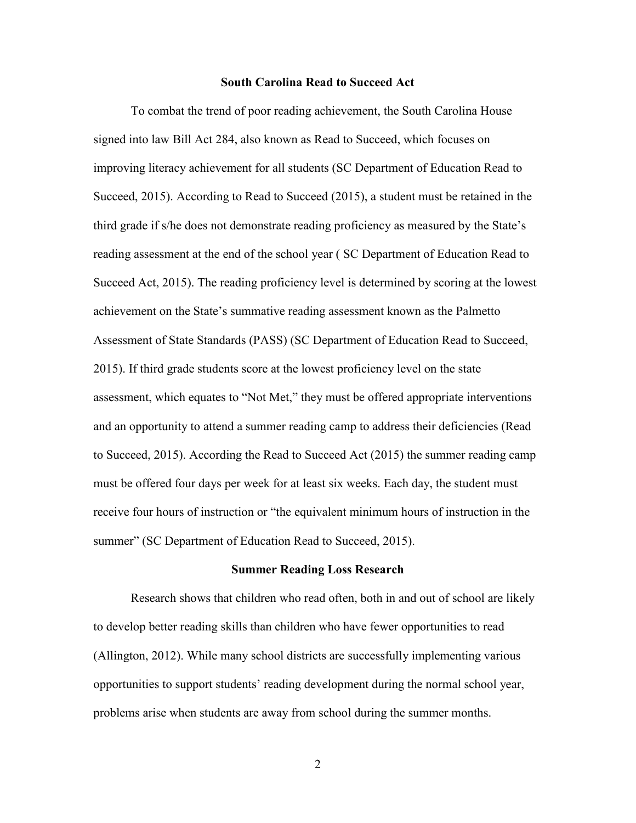#### **South Carolina Read to Succeed Act**

To combat the trend of poor reading achievement, the South Carolina House signed into law Bill Act 284, also known as Read to Succeed, which focuses on improving literacy achievement for all students (SC Department of Education Read to Succeed, 2015). According to Read to Succeed (2015), a student must be retained in the third grade if s/he does not demonstrate reading proficiency as measured by the State's reading assessment at the end of the school year ( SC Department of Education Read to Succeed Act, 2015). The reading proficiency level is determined by scoring at the lowest achievement on the State's summative reading assessment known as the Palmetto Assessment of State Standards (PASS) (SC Department of Education Read to Succeed, 2015). If third grade students score at the lowest proficiency level on the state assessment, which equates to "Not Met," they must be offered appropriate interventions and an opportunity to attend a summer reading camp to address their deficiencies (Read to Succeed, 2015). According the Read to Succeed Act (2015) the summer reading camp must be offered four days per week for at least six weeks. Each day, the student must receive four hours of instruction or "the equivalent minimum hours of instruction in the summer" (SC Department of Education Read to Succeed, 2015).

#### **Summer Reading Loss Research**

Research shows that children who read often, both in and out of school are likely to develop better reading skills than children who have fewer opportunities to read (Allington, 2012). While many school districts are successfully implementing various opportunities to support students' reading development during the normal school year, problems arise when students are away from school during the summer months.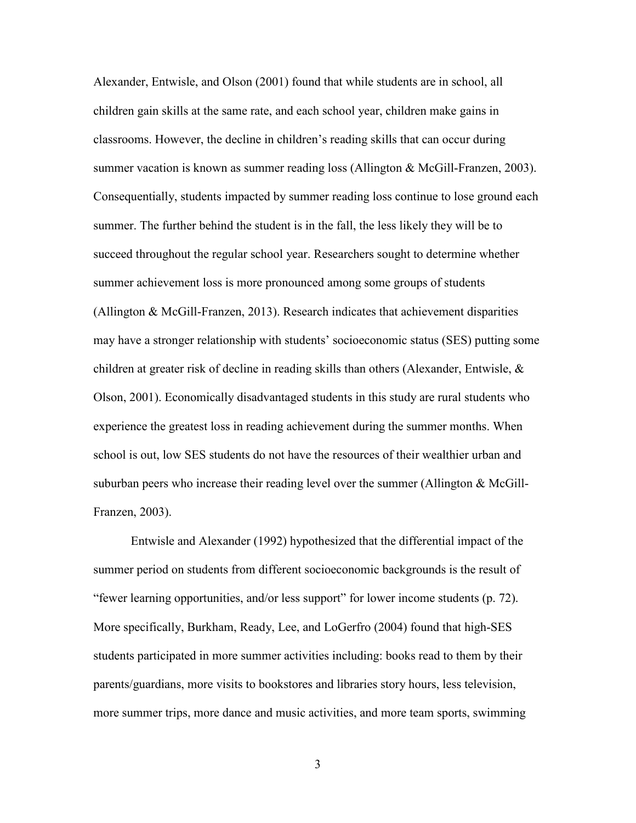Alexander, Entwisle, and Olson (2001) found that while students are in school, all children gain skills at the same rate, and each school year, children make gains in classrooms. However, the decline in children's reading skills that can occur during summer vacation is known as summer reading loss (Allington & McGill-Franzen, 2003). Consequentially, students impacted by summer reading loss continue to lose ground each summer. The further behind the student is in the fall, the less likely they will be to succeed throughout the regular school year. Researchers sought to determine whether summer achievement loss is more pronounced among some groups of students (Allington & McGill-Franzen, 2013). Research indicates that achievement disparities may have a stronger relationship with students' socioeconomic status (SES) putting some children at greater risk of decline in reading skills than others (Alexander, Entwisle, & Olson, 2001). Economically disadvantaged students in this study are rural students who experience the greatest loss in reading achievement during the summer months. When school is out, low SES students do not have the resources of their wealthier urban and suburban peers who increase their reading level over the summer (Allington & McGill-Franzen, 2003).

Entwisle and Alexander (1992) hypothesized that the differential impact of the summer period on students from different socioeconomic backgrounds is the result of "fewer learning opportunities, and/or less support" for lower income students (p. 72). More specifically, Burkham, Ready, Lee, and LoGerfro (2004) found that high-SES students participated in more summer activities including: books read to them by their parents/guardians, more visits to bookstores and libraries story hours, less television, more summer trips, more dance and music activities, and more team sports, swimming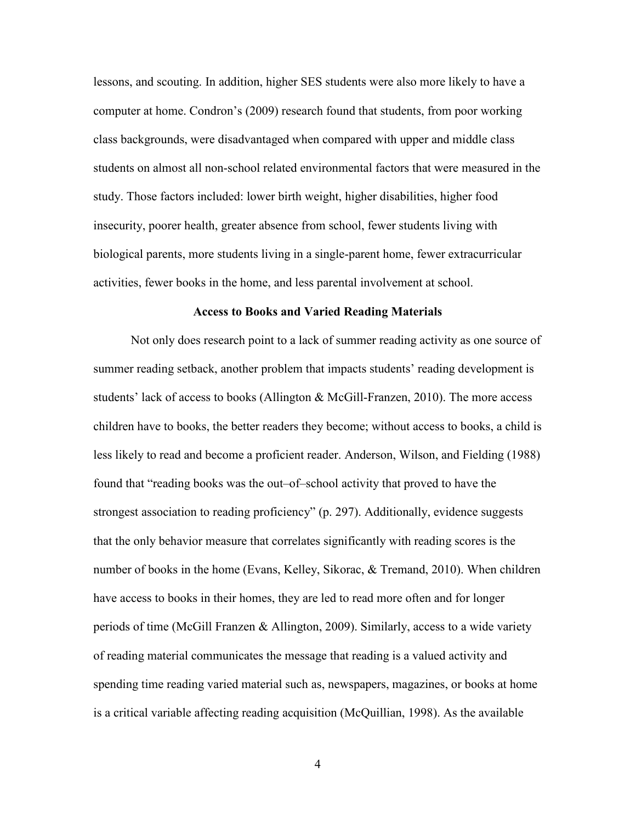lessons, and scouting. In addition, higher SES students were also more likely to have a computer at home. Condron's (2009) research found that students, from poor working class backgrounds, were disadvantaged when compared with upper and middle class students on almost all non-school related environmental factors that were measured in the study. Those factors included: lower birth weight, higher disabilities, higher food insecurity, poorer health, greater absence from school, fewer students living with biological parents, more students living in a single-parent home, fewer extracurricular activities, fewer books in the home, and less parental involvement at school.

#### **Access to Books and Varied Reading Materials**

Not only does research point to a lack of summer reading activity as one source of summer reading setback, another problem that impacts students' reading development is students' lack of access to books (Allington & McGill-Franzen, 2010). The more access children have to books, the better readers they become; without access to books, a child is less likely to read and become a proficient reader. Anderson, Wilson, and Fielding (1988) found that "reading books was the out–of–school activity that proved to have the strongest association to reading proficiency" (p. 297). Additionally, evidence suggests that the only behavior measure that correlates significantly with reading scores is the number of books in the home (Evans, Kelley, Sikorac, & Tremand, 2010). When children have access to books in their homes, they are led to read more often and for longer periods of time (McGill Franzen & Allington, 2009). Similarly, access to a wide variety of reading material communicates the message that reading is a valued activity and spending time reading varied material such as, newspapers, magazines, or books at home is a critical variable affecting reading acquisition (McQuillian, 1998). As the available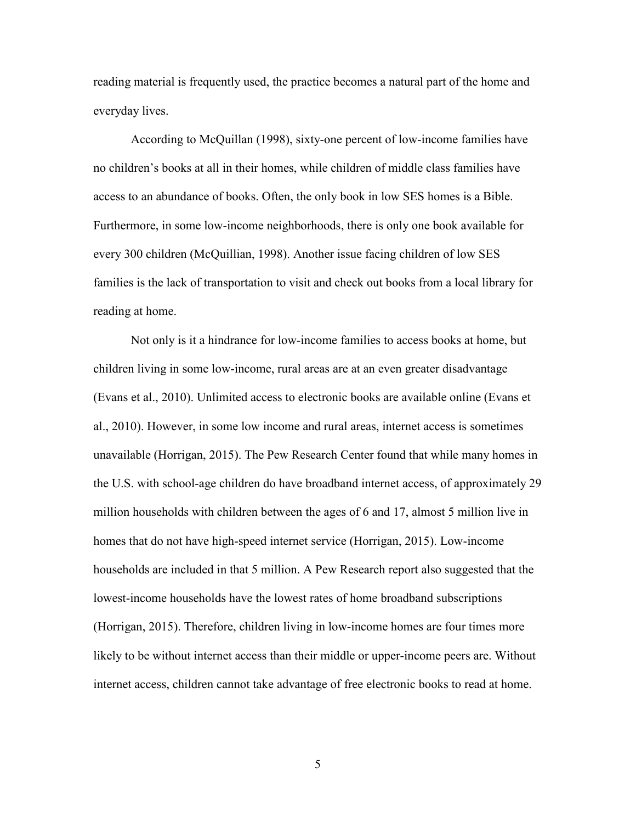reading material is frequently used, the practice becomes a natural part of the home and everyday lives.

According to McQuillan (1998), sixty-one percent of low-income families have no children's books at all in their homes, while children of middle class families have access to an abundance of books. Often, the only book in low SES homes is a Bible. Furthermore, in some low-income neighborhoods, there is only one book available for every 300 children (McQuillian, 1998). Another issue facing children of low SES families is the lack of transportation to visit and check out books from a local library for reading at home.

Not only is it a hindrance for low-income families to access books at home, but children living in some low-income, rural areas are at an even greater disadvantage (Evans et al., 2010). Unlimited access to electronic books are available online (Evans et al., 2010). However, in some low income and rural areas, internet access is sometimes unavailable (Horrigan, 2015). The Pew Research Center found that while many homes in the U.S. with school-age children do have broadband internet access, of approximately 29 million households with children between the ages of 6 and 17, almost 5 million live in homes that do not have high-speed internet service (Horrigan, 2015). Low-income households are included in that 5 million. A Pew Research report also suggested that the lowest-income households have the lowest rates of home broadband subscriptions (Horrigan, 2015). Therefore, children living in low-income homes are four times more likely to be without internet access than their middle or upper-income peers are. Without internet access, children cannot take advantage of free electronic books to read at home.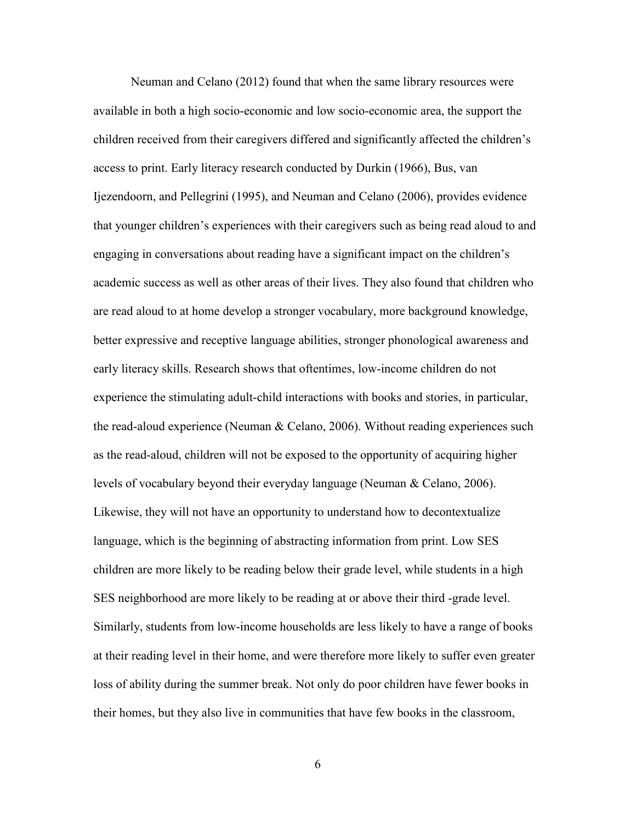Neuman and Celano (2012) found that when the same library resources were available in both a high socio-economic and low socio-economic area, the support the children received from their caregivers differed and significantly affected the children's access to print. Early literacy research conducted by Durkin (1966), Bus, van Ijezendoorn, and Pellegrini (1995), and Neuman and Celano (2006), provides evidence that younger children's experiences with their caregivers such as being read aloud to and engaging in conversations about reading have a significant impact on the children's academic success as well as other areas of their lives. They also found that children who are read aloud to at home develop a stronger vocabulary, more background knowledge, better expressive and receptive language abilities, stronger phonological awareness and early literacy skills. Research shows that oftentimes, low-income children do not experience the stimulating adult-child interactions with books and stories, in particular, the read-aloud experience (Neuman & Celano, 2006). Without reading experiences such as the read-aloud, children will not be exposed to the opportunity of acquiring higher levels of vocabulary beyond their everyday language (Neuman & Celano, 2006). Likewise, they will not have an opportunity to understand how to decontextualize language, which is the beginning of abstracting information from print. Low SES children are more likely to be reading below their grade level, while students in a high SES neighborhood are more likely to be reading at or above their third -grade level. Similarly, students from low-income households are less likely to have a range of books at their reading level in their home, and were therefore more likely to suffer even greater loss of ability during the summer break. Not only do poor children have fewer books in their homes, but they also live in communities that have few books in the classroom,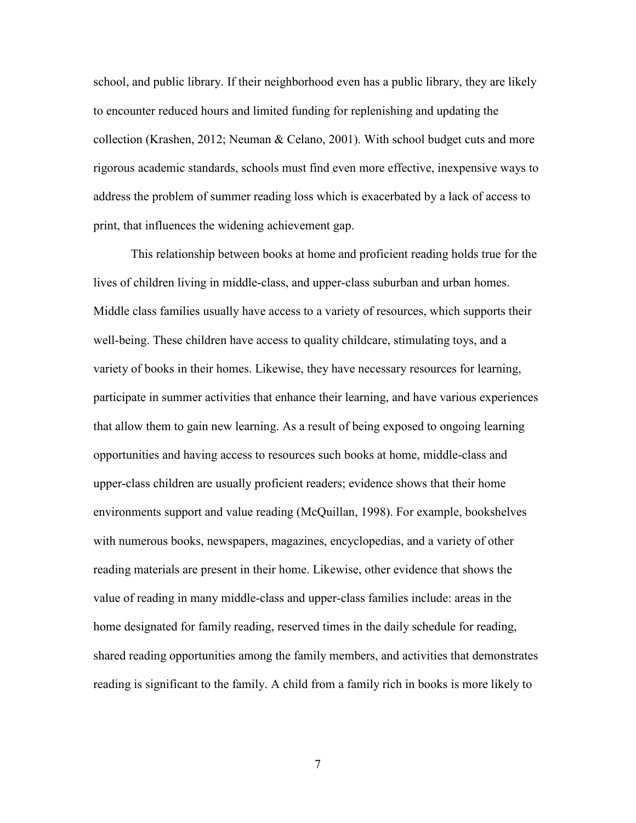school, and public library. If their neighborhood even has a public library, they are likely to encounter reduced hours and limited funding for replenishing and updating the collection (Krashen, 2012; Neuman & Celano, 2001). With school budget cuts and more rigorous academic standards, schools must find even more effective, inexpensive ways to address the problem of summer reading loss which is exacerbated by a lack of access to print, that influences the widening achievement gap.

This relationship between books at home and proficient reading holds true for the lives of children living in middle-class, and upper-class suburban and urban homes. Middle class families usually have access to a variety of resources, which supports their well-being. These children have access to quality childcare, stimulating toys, and a variety of books in their homes. Likewise, they have necessary resources for learning, participate in summer activities that enhance their learning, and have various experiences that allow them to gain new learning. As a result of being exposed to ongoing learning opportunities and having access to resources such books at home, middle-class and upper-class children are usually proficient readers; evidence shows that their home environments support and value reading (McQuillan, 1998). For example, bookshelves with numerous books, newspapers, magazines, encyclopedias, and a variety of other reading materials are present in their home. Likewise, other evidence that shows the value of reading in many middle-class and upper-class families include: areas in the home designated for family reading, reserved times in the daily schedule for reading, shared reading opportunities among the family members, and activities that demonstrates reading is significant to the family. A child from a family rich in books is more likely to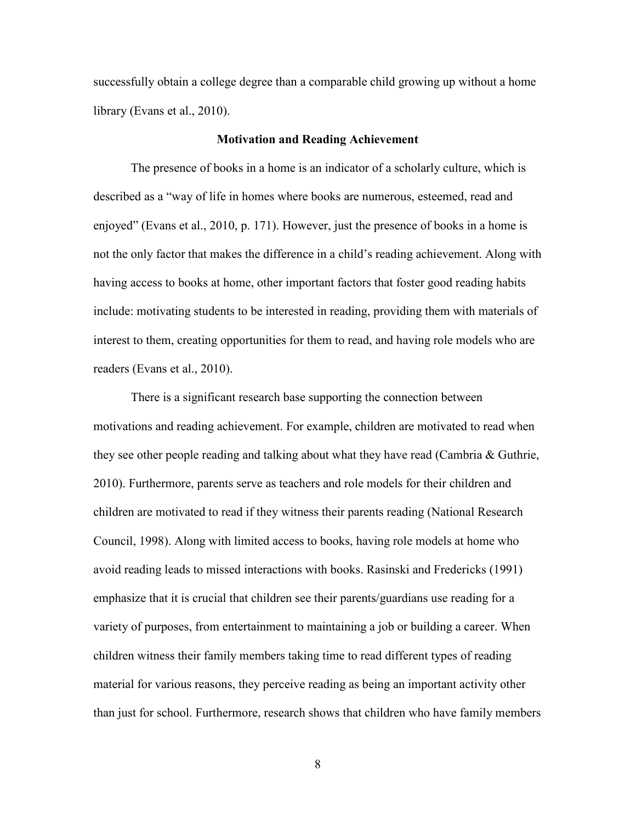successfully obtain a college degree than a comparable child growing up without a home library (Evans et al., 2010).

#### **Motivation and Reading Achievement**

The presence of books in a home is an indicator of a scholarly culture, which is described as a "way of life in homes where books are numerous, esteemed, read and enjoyed" (Evans et al., 2010, p. 171). However, just the presence of books in a home is not the only factor that makes the difference in a child's reading achievement. Along with having access to books at home, other important factors that foster good reading habits include: motivating students to be interested in reading, providing them with materials of interest to them, creating opportunities for them to read, and having role models who are readers (Evans et al., 2010).

There is a significant research base supporting the connection between motivations and reading achievement. For example, children are motivated to read when they see other people reading and talking about what they have read (Cambria & Guthrie, 2010). Furthermore, parents serve as teachers and role models for their children and children are motivated to read if they witness their parents reading (National Research Council, 1998). Along with limited access to books, having role models at home who avoid reading leads to missed interactions with books. Rasinski and Fredericks (1991) emphasize that it is crucial that children see their parents/guardians use reading for a variety of purposes, from entertainment to maintaining a job or building a career. When children witness their family members taking time to read different types of reading material for various reasons, they perceive reading as being an important activity other than just for school. Furthermore, research shows that children who have family members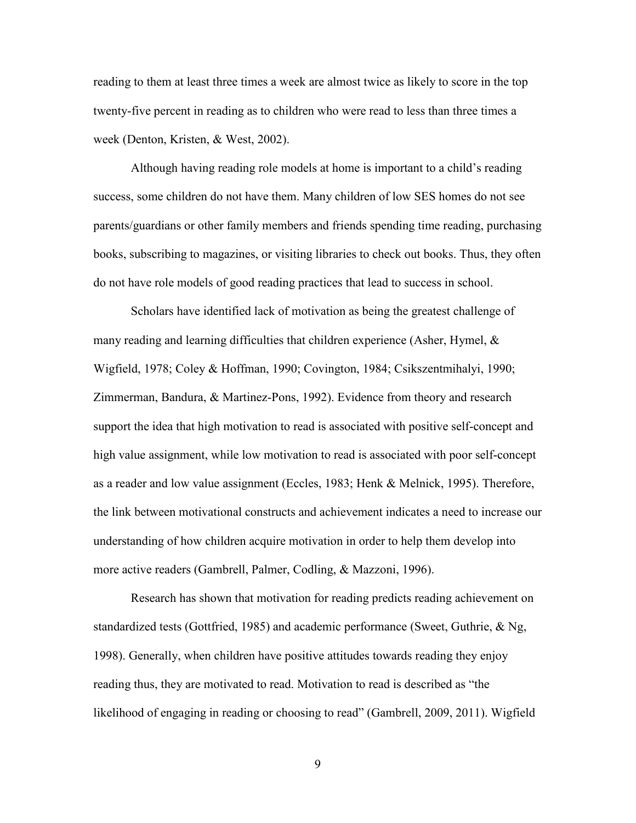reading to them at least three times a week are almost twice as likely to score in the top twenty-five percent in reading as to children who were read to less than three times a week (Denton, Kristen, & West, 2002).

Although having reading role models at home is important to a child's reading success, some children do not have them. Many children of low SES homes do not see parents/guardians or other family members and friends spending time reading, purchasing books, subscribing to magazines, or visiting libraries to check out books. Thus, they often do not have role models of good reading practices that lead to success in school.

Scholars have identified lack of motivation as being the greatest challenge of many reading and learning difficulties that children experience (Asher, Hymel,  $\&$ Wigfield, 1978; Coley & Hoffman, 1990; Covington, 1984; Csikszentmihalyi, 1990; Zimmerman, Bandura, & Martinez-Pons, 1992). Evidence from theory and research support the idea that high motivation to read is associated with positive self-concept and high value assignment, while low motivation to read is associated with poor self-concept as a reader and low value assignment (Eccles, 1983; Henk & Melnick, 1995). Therefore, the link between motivational constructs and achievement indicates a need to increase our understanding of how children acquire motivation in order to help them develop into more active readers (Gambrell, Palmer, Codling, & Mazzoni, 1996).

Research has shown that motivation for reading predicts reading achievement on standardized tests (Gottfried, 1985) and academic performance (Sweet, Guthrie, & Ng, 1998). Generally, when children have positive attitudes towards reading they enjoy reading thus, they are motivated to read. Motivation to read is described as "the likelihood of engaging in reading or choosing to read" (Gambrell, 2009, 2011). Wigfield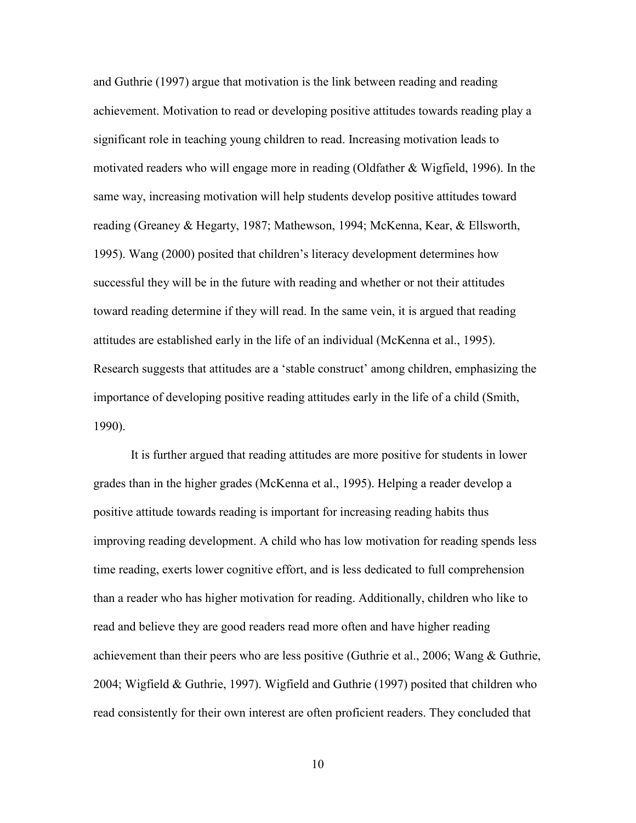and Guthrie (1997) argue that motivation is the link between reading and reading achievement. Motivation to read or developing positive attitudes towards reading play a significant role in teaching young children to read. Increasing motivation leads to motivated readers who will engage more in reading (Oldfather & Wigfield, 1996). In the same way, increasing motivation will help students develop positive attitudes toward reading (Greaney & Hegarty, 1987; Mathewson, 1994; McKenna, Kear, & Ellsworth, 1995). Wang (2000) posited that children's literacy development determines how successful they will be in the future with reading and whether or not their attitudes toward reading determine if they will read. In the same vein, it is argued that reading attitudes are established early in the life of an individual (McKenna et al., 1995). Research suggests that attitudes are a 'stable construct' among children, emphasizing the importance of developing positive reading attitudes early in the life of a child (Smith, 1990).

It is further argued that reading attitudes are more positive for students in lower grades than in the higher grades (McKenna et al., 1995). Helping a reader develop a positive attitude towards reading is important for increasing reading habits thus improving reading development. A child who has low motivation for reading spends less time reading, exerts lower cognitive effort, and is less dedicated to full comprehension than a reader who has higher motivation for reading. Additionally, children who like to read and believe they are good readers read more often and have higher reading achievement than their peers who are less positive (Guthrie et al., 2006; Wang & Guthrie, 2004; Wigfield & Guthrie, 1997). Wigfield and Guthrie (1997) posited that children who read consistently for their own interest are often proficient readers. They concluded that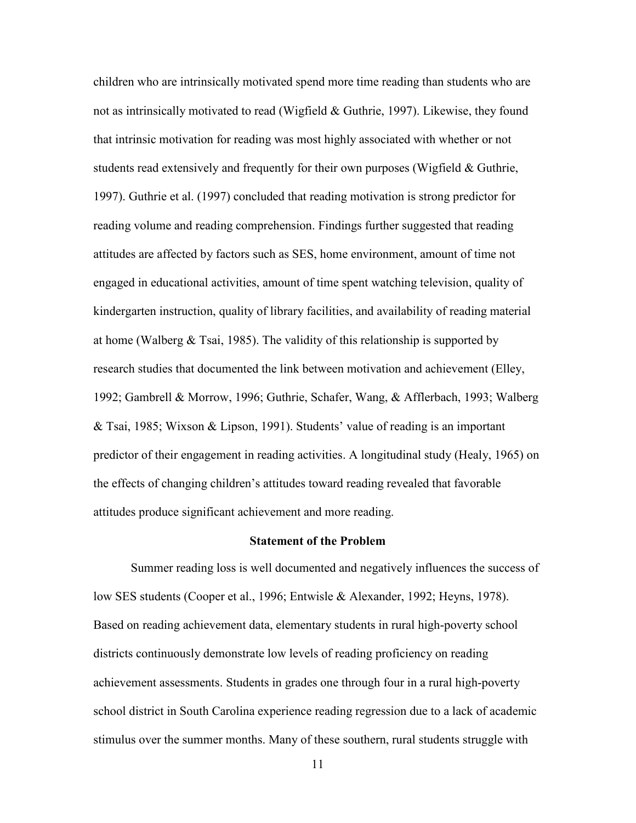children who are intrinsically motivated spend more time reading than students who are not as intrinsically motivated to read (Wigfield & Guthrie, 1997). Likewise, they found that intrinsic motivation for reading was most highly associated with whether or not students read extensively and frequently for their own purposes (Wigfield & Guthrie, 1997). Guthrie et al. (1997) concluded that reading motivation is strong predictor for reading volume and reading comprehension. Findings further suggested that reading attitudes are affected by factors such as SES, home environment, amount of time not engaged in educational activities, amount of time spent watching television, quality of kindergarten instruction, quality of library facilities, and availability of reading material at home (Walberg  $&$  Tsai, 1985). The validity of this relationship is supported by research studies that documented the link between motivation and achievement (Elley, 1992; Gambrell & Morrow, 1996; Guthrie, Schafer, Wang, & Afflerbach, 1993; Walberg & Tsai, 1985; Wixson & Lipson, 1991). Students' value of reading is an important predictor of their engagement in reading activities. A longitudinal study (Healy, 1965) on the effects of changing children's attitudes toward reading revealed that favorable attitudes produce significant achievement and more reading.

#### **Statement of the Problem**

Summer reading loss is well documented and negatively influences the success of low SES students (Cooper et al., 1996; Entwisle & Alexander, 1992; Heyns, 1978). Based on reading achievement data, elementary students in rural high-poverty school districts continuously demonstrate low levels of reading proficiency on reading achievement assessments. Students in grades one through four in a rural high-poverty school district in South Carolina experience reading regression due to a lack of academic stimulus over the summer months. Many of these southern, rural students struggle with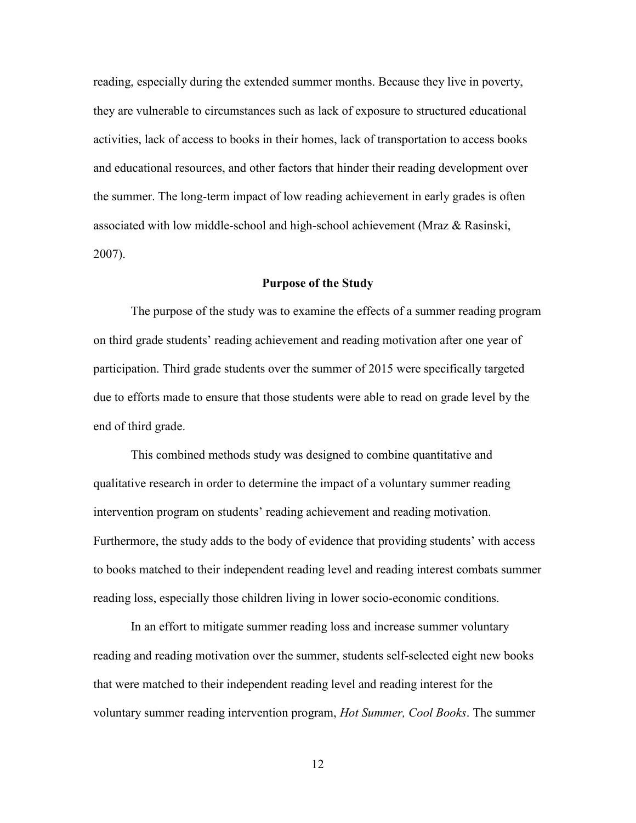reading, especially during the extended summer months. Because they live in poverty, they are vulnerable to circumstances such as lack of exposure to structured educational activities, lack of access to books in their homes, lack of transportation to access books and educational resources, and other factors that hinder their reading development over the summer. The long-term impact of low reading achievement in early grades is often associated with low middle-school and high-school achievement (Mraz  $\&$  Rasinski, 2007).

#### **Purpose of the Study**

The purpose of the study was to examine the effects of a summer reading program on third grade students' reading achievement and reading motivation after one year of participation. Third grade students over the summer of 2015 were specifically targeted due to efforts made to ensure that those students were able to read on grade level by the end of third grade.

This combined methods study was designed to combine quantitative and qualitative research in order to determine the impact of a voluntary summer reading intervention program on students' reading achievement and reading motivation. Furthermore, the study adds to the body of evidence that providing students' with access to books matched to their independent reading level and reading interest combats summer reading loss, especially those children living in lower socio-economic conditions.

In an effort to mitigate summer reading loss and increase summer voluntary reading and reading motivation over the summer, students self-selected eight new books that were matched to their independent reading level and reading interest for the voluntary summer reading intervention program, *Hot Summer, Cool Books*. The summer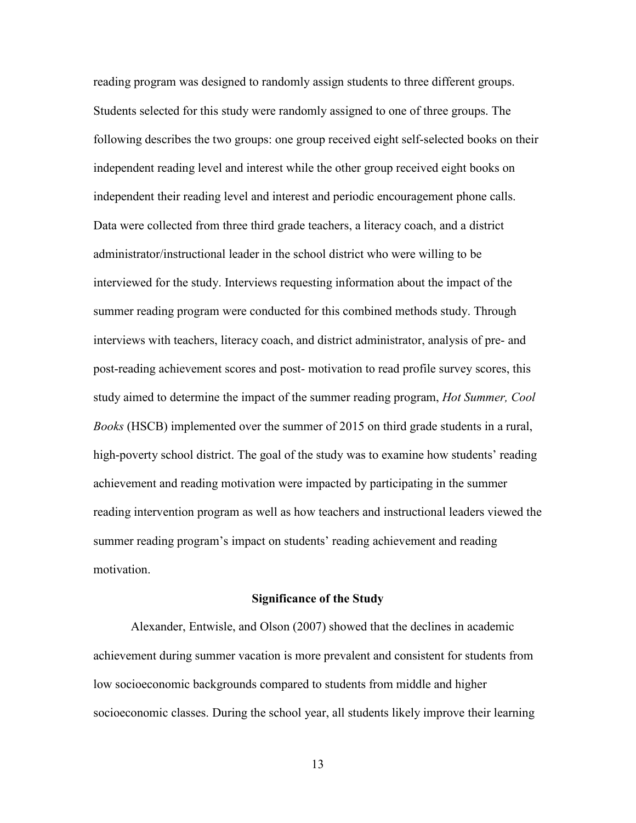reading program was designed to randomly assign students to three different groups. Students selected for this study were randomly assigned to one of three groups. The following describes the two groups: one group received eight self-selected books on their independent reading level and interest while the other group received eight books on independent their reading level and interest and periodic encouragement phone calls. Data were collected from three third grade teachers, a literacy coach, and a district administrator/instructional leader in the school district who were willing to be interviewed for the study. Interviews requesting information about the impact of the summer reading program were conducted for this combined methods study. Through interviews with teachers, literacy coach, and district administrator, analysis of pre- and post-reading achievement scores and post- motivation to read profile survey scores, this study aimed to determine the impact of the summer reading program, *Hot Summer, Cool Books* (HSCB) implemented over the summer of 2015 on third grade students in a rural, high-poverty school district. The goal of the study was to examine how students' reading achievement and reading motivation were impacted by participating in the summer reading intervention program as well as how teachers and instructional leaders viewed the summer reading program's impact on students' reading achievement and reading motivation.

#### **Significance of the Study**

Alexander, Entwisle, and Olson (2007) showed that the declines in academic achievement during summer vacation is more prevalent and consistent for students from low socioeconomic backgrounds compared to students from middle and higher socioeconomic classes. During the school year, all students likely improve their learning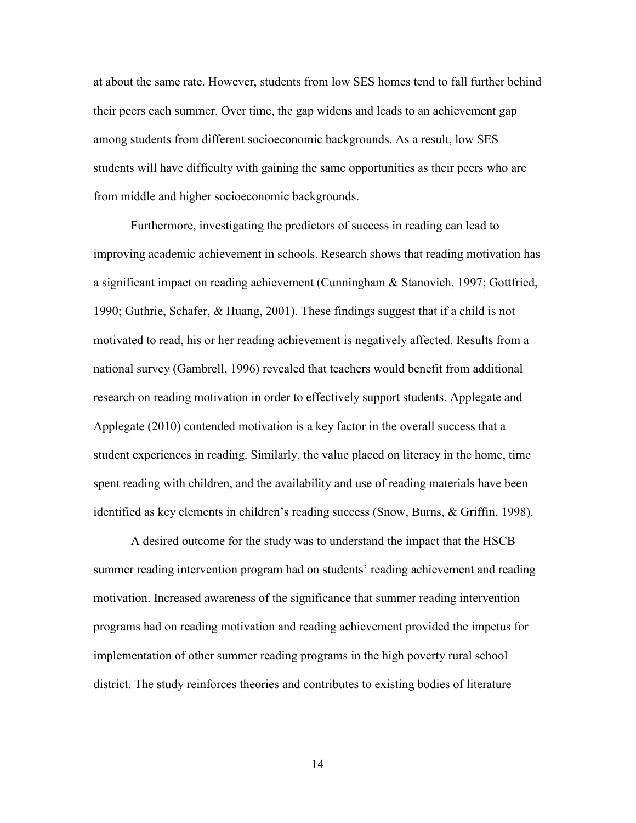at about the same rate. However, students from low SES homes tend to fall further behind their peers each summer. Over time, the gap widens and leads to an achievement gap among students from different socioeconomic backgrounds. As a result, low SES students will have difficulty with gaining the same opportunities as their peers who are from middle and higher socioeconomic backgrounds.

Furthermore, investigating the predictors of success in reading can lead to improving academic achievement in schools. Research shows that reading motivation has a significant impact on reading achievement (Cunningham & Stanovich, 1997; Gottfried, 1990; Guthrie, Schafer, & Huang, 2001). These findings suggest that if a child is not motivated to read, his or her reading achievement is negatively affected. Results from a national survey (Gambrell, 1996) revealed that teachers would benefit from additional research on reading motivation in order to effectively support students. Applegate and Applegate (2010) contended motivation is a key factor in the overall success that a student experiences in reading. Similarly, the value placed on literacy in the home, time spent reading with children, and the availability and use of reading materials have been identified as key elements in children's reading success (Snow, Burns, & Griffin, 1998).

A desired outcome for the study was to understand the impact that the HSCB summer reading intervention program had on students' reading achievement and reading motivation. Increased awareness of the significance that summer reading intervention programs had on reading motivation and reading achievement provided the impetus for implementation of other summer reading programs in the high poverty rural school district. The study reinforces theories and contributes to existing bodies of literature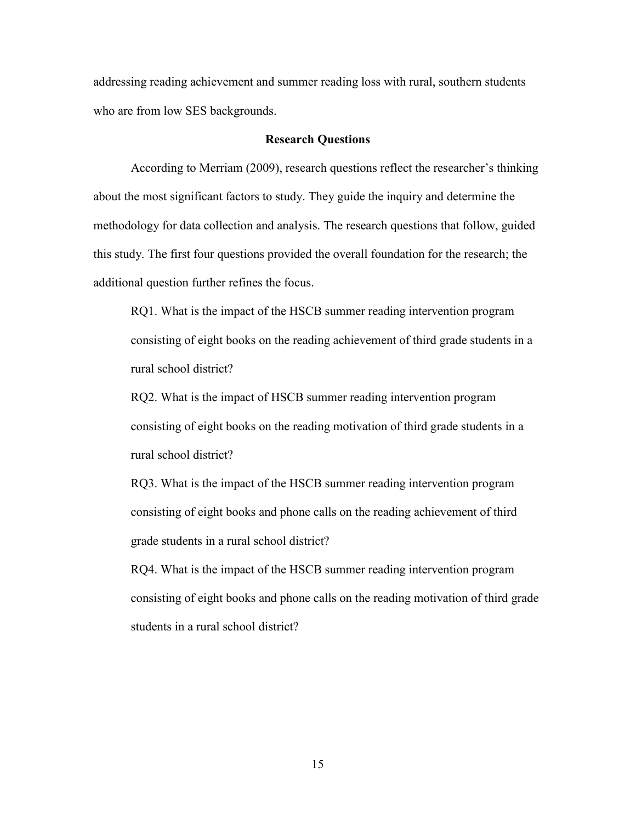addressing reading achievement and summer reading loss with rural, southern students who are from low SES backgrounds.

#### **Research Questions**

According to Merriam (2009), research questions reflect the researcher's thinking about the most significant factors to study. They guide the inquiry and determine the methodology for data collection and analysis. The research questions that follow, guided this study. The first four questions provided the overall foundation for the research; the additional question further refines the focus.

RQ1. What is the impact of the HSCB summer reading intervention program consisting of eight books on the reading achievement of third grade students in a rural school district?

RQ2. What is the impact of HSCB summer reading intervention program consisting of eight books on the reading motivation of third grade students in a rural school district?

RQ3. What is the impact of the HSCB summer reading intervention program consisting of eight books and phone calls on the reading achievement of third grade students in a rural school district?

RQ4. What is the impact of the HSCB summer reading intervention program consisting of eight books and phone calls on the reading motivation of third grade students in a rural school district?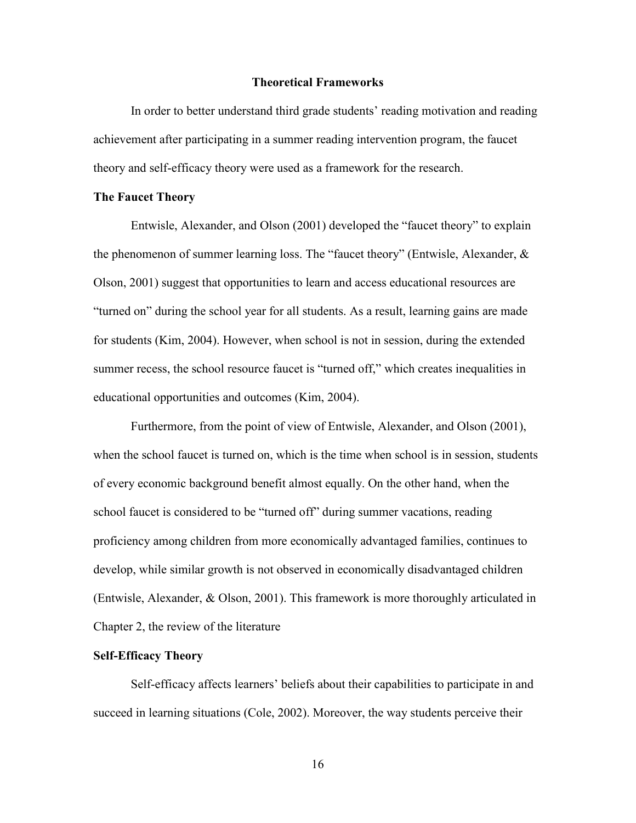#### **Theoretical Frameworks**

In order to better understand third grade students' reading motivation and reading achievement after participating in a summer reading intervention program, the faucet theory and self-efficacy theory were used as a framework for the research.

#### **The Faucet Theory**

Entwisle, Alexander, and Olson (2001) developed the "faucet theory" to explain the phenomenon of summer learning loss. The "faucet theory" (Entwisle, Alexander,  $\&$ Olson, 2001) suggest that opportunities to learn and access educational resources are "turned on" during the school year for all students. As a result, learning gains are made for students (Kim, 2004). However, when school is not in session, during the extended summer recess, the school resource faucet is "turned off," which creates inequalities in educational opportunities and outcomes (Kim, 2004).

Furthermore, from the point of view of Entwisle, Alexander, and Olson (2001), when the school faucet is turned on, which is the time when school is in session, students of every economic background benefit almost equally. On the other hand, when the school faucet is considered to be "turned off" during summer vacations, reading proficiency among children from more economically advantaged families, continues to develop, while similar growth is not observed in economically disadvantaged children (Entwisle, Alexander, & Olson, 2001). This framework is more thoroughly articulated in Chapter 2, the review of the literature

## **Self-Efficacy Theory**

Self-efficacy affects learners' beliefs about their capabilities to participate in and succeed in learning situations (Cole, 2002). Moreover, the way students perceive their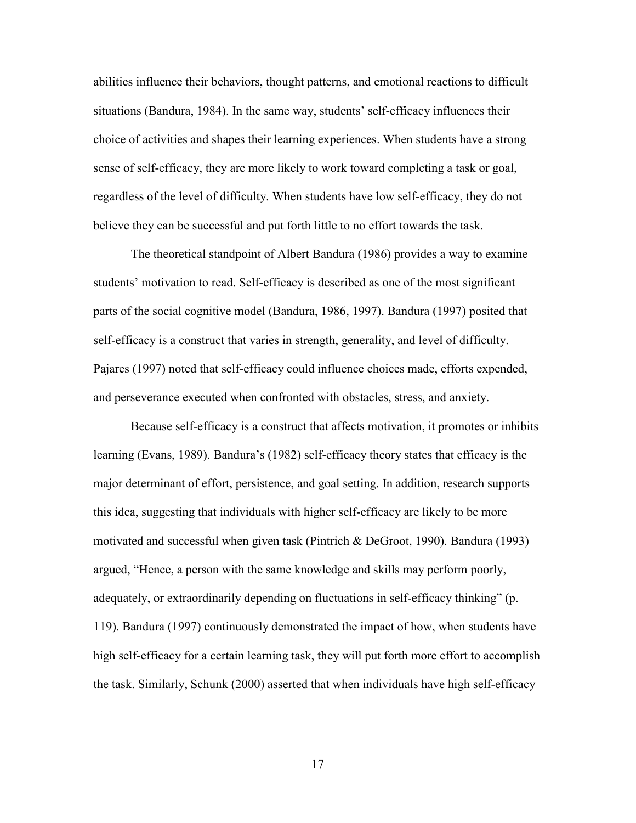abilities influence their behaviors, thought patterns, and emotional reactions to difficult situations (Bandura, 1984). In the same way, students' self-efficacy influences their choice of activities and shapes their learning experiences. When students have a strong sense of self-efficacy, they are more likely to work toward completing a task or goal, regardless of the level of difficulty. When students have low self-efficacy, they do not believe they can be successful and put forth little to no effort towards the task.

The theoretical standpoint of Albert Bandura (1986) provides a way to examine students' motivation to read. Self-efficacy is described as one of the most significant parts of the social cognitive model (Bandura, 1986, 1997). Bandura (1997) posited that self-efficacy is a construct that varies in strength, generality, and level of difficulty. Pajares (1997) noted that self-efficacy could influence choices made, efforts expended, and perseverance executed when confronted with obstacles, stress, and anxiety.

Because self-efficacy is a construct that affects motivation, it promotes or inhibits learning (Evans, 1989). Bandura's (1982) self-efficacy theory states that efficacy is the major determinant of effort, persistence, and goal setting. In addition, research supports this idea, suggesting that individuals with higher self-efficacy are likely to be more motivated and successful when given task (Pintrich & DeGroot, 1990). Bandura (1993) argued, "Hence, a person with the same knowledge and skills may perform poorly, adequately, or extraordinarily depending on fluctuations in self-efficacy thinking" (p. 119). Bandura (1997) continuously demonstrated the impact of how, when students have high self-efficacy for a certain learning task, they will put forth more effort to accomplish the task. Similarly, Schunk (2000) asserted that when individuals have high self-efficacy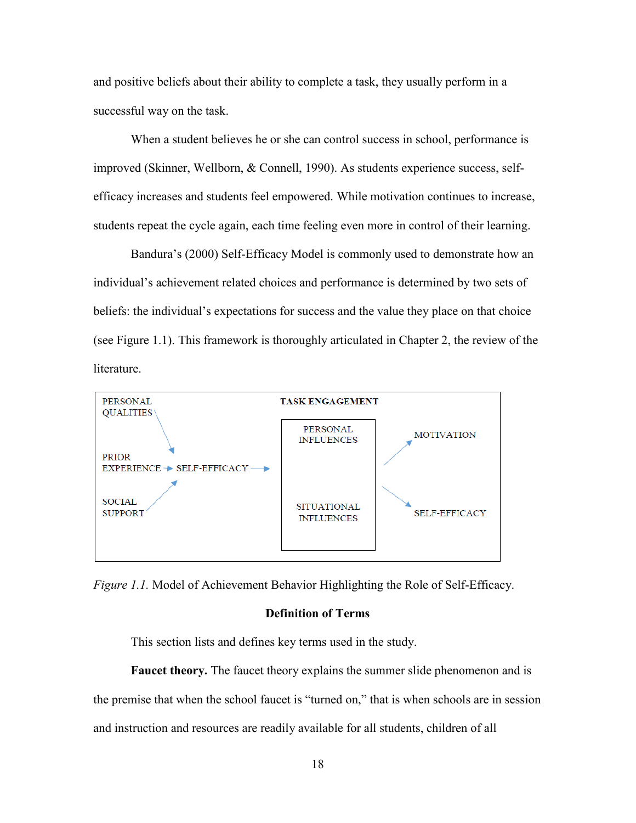and positive beliefs about their ability to complete a task, they usually perform in a successful way on the task.

When a student believes he or she can control success in school, performance is improved (Skinner, Wellborn, & Connell, 1990). As students experience success, selfefficacy increases and students feel empowered. While motivation continues to increase, students repeat the cycle again, each time feeling even more in control of their learning.

Bandura's (2000) Self-Efficacy Model is commonly used to demonstrate how an individual's achievement related choices and performance is determined by two sets of beliefs: the individual's expectations for success and the value they place on that choice (see Figure 1.1). This framework is thoroughly articulated in Chapter 2, the review of the literature.



*Figure 1.1.* Model of Achievement Behavior Highlighting the Role of Self-Efficacy.

#### **Definition of Terms**

This section lists and defines key terms used in the study.

**Faucet theory.** The faucet theory explains the summer slide phenomenon and is the premise that when the school faucet is "turned on," that is when schools are in session and instruction and resources are readily available for all students, children of all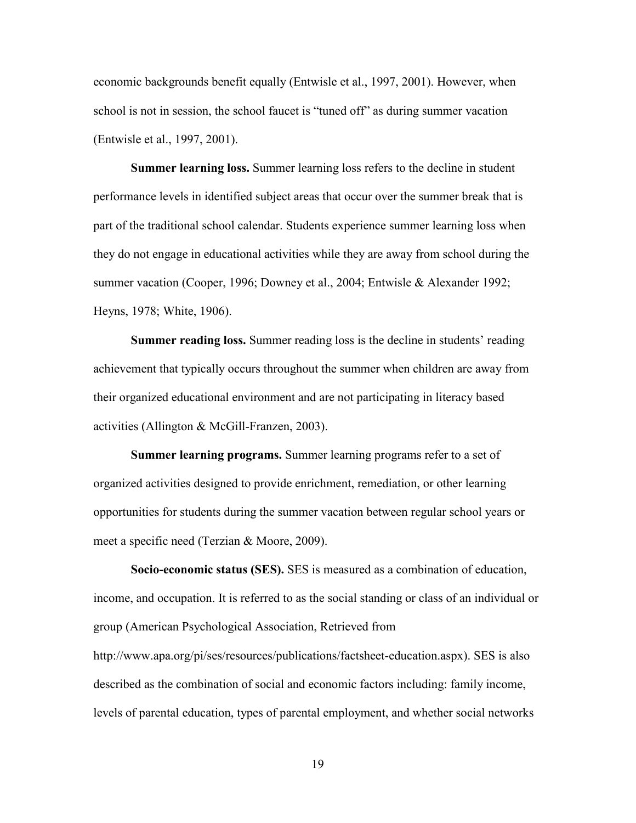economic backgrounds benefit equally (Entwisle et al., 1997, 2001). However, when school is not in session, the school faucet is "tuned off" as during summer vacation (Entwisle et al., 1997, 2001).

**Summer learning loss.** Summer learning loss refers to the decline in student performance levels in identified subject areas that occur over the summer break that is part of the traditional school calendar. Students experience summer learning loss when they do not engage in educational activities while they are away from school during the summer vacation (Cooper, 1996; Downey et al., 2004; Entwisle & Alexander 1992; Heyns, 1978; White, 1906).

**Summer reading loss.** Summer reading loss is the decline in students' reading achievement that typically occurs throughout the summer when children are away from their organized educational environment and are not participating in literacy based activities (Allington & McGill-Franzen, 2003).

**Summer learning programs.** Summer learning programs refer to a set of organized activities designed to provide enrichment, remediation, or other learning opportunities for students during the summer vacation between regular school years or meet a specific need (Terzian & Moore, 2009).

**Socio-economic status (SES).** SES is measured as a combination of education, income, and occupation. It is referred to as the social standing or class of an individual or group (American Psychological Association, Retrieved from http://www.apa.org/pi/ses/resources/publications/factsheet-education.aspx). SES is also described as the combination of social and economic factors including: family income, levels of parental education, types of parental employment, and whether social networks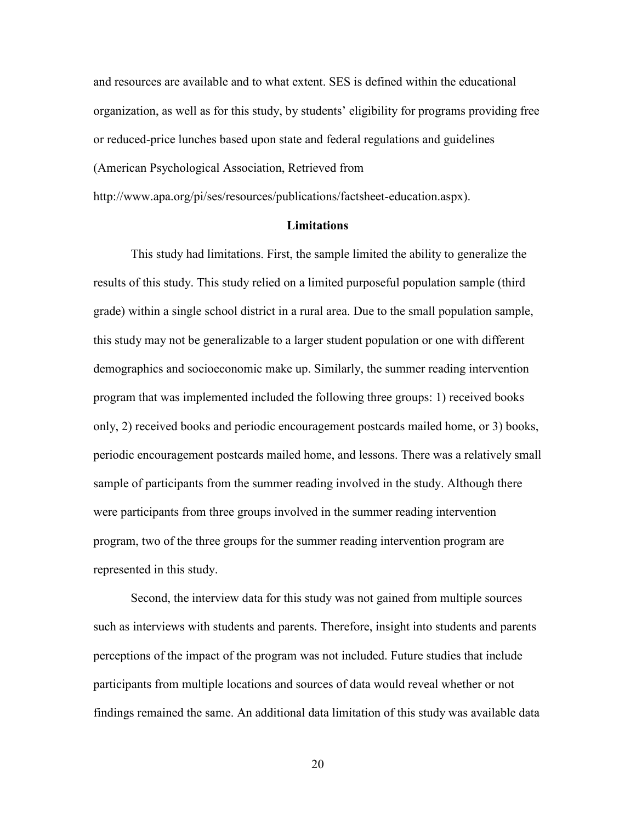and resources are available and to what extent. SES is defined within the educational organization, as well as for this study, by students' eligibility for programs providing free or reduced-price lunches based upon state and federal regulations and guidelines (American Psychological Association, Retrieved from

http://www.apa.org/pi/ses/resources/publications/factsheet-education.aspx).

#### **Limitations**

This study had limitations. First, the sample limited the ability to generalize the results of this study. This study relied on a limited purposeful population sample (third grade) within a single school district in a rural area. Due to the small population sample, this study may not be generalizable to a larger student population or one with different demographics and socioeconomic make up. Similarly, the summer reading intervention program that was implemented included the following three groups: 1) received books only, 2) received books and periodic encouragement postcards mailed home, or 3) books, periodic encouragement postcards mailed home, and lessons. There was a relatively small sample of participants from the summer reading involved in the study. Although there were participants from three groups involved in the summer reading intervention program, two of the three groups for the summer reading intervention program are represented in this study.

Second, the interview data for this study was not gained from multiple sources such as interviews with students and parents. Therefore, insight into students and parents perceptions of the impact of the program was not included. Future studies that include participants from multiple locations and sources of data would reveal whether or not findings remained the same. An additional data limitation of this study was available data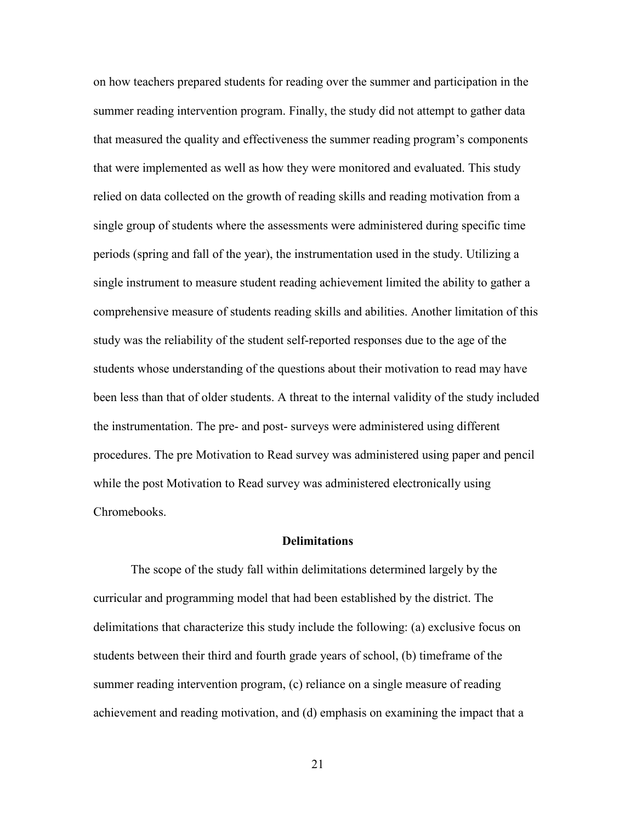on how teachers prepared students for reading over the summer and participation in the summer reading intervention program. Finally, the study did not attempt to gather data that measured the quality and effectiveness the summer reading program's components that were implemented as well as how they were monitored and evaluated. This study relied on data collected on the growth of reading skills and reading motivation from a single group of students where the assessments were administered during specific time periods (spring and fall of the year), the instrumentation used in the study. Utilizing a single instrument to measure student reading achievement limited the ability to gather a comprehensive measure of students reading skills and abilities. Another limitation of this study was the reliability of the student self-reported responses due to the age of the students whose understanding of the questions about their motivation to read may have been less than that of older students. A threat to the internal validity of the study included the instrumentation. The pre- and post- surveys were administered using different procedures. The pre Motivation to Read survey was administered using paper and pencil while the post Motivation to Read survey was administered electronically using Chromebooks.

#### **Delimitations**

The scope of the study fall within delimitations determined largely by the curricular and programming model that had been established by the district. The delimitations that characterize this study include the following: (a) exclusive focus on students between their third and fourth grade years of school, (b) timeframe of the summer reading intervention program, (c) reliance on a single measure of reading achievement and reading motivation, and (d) emphasis on examining the impact that a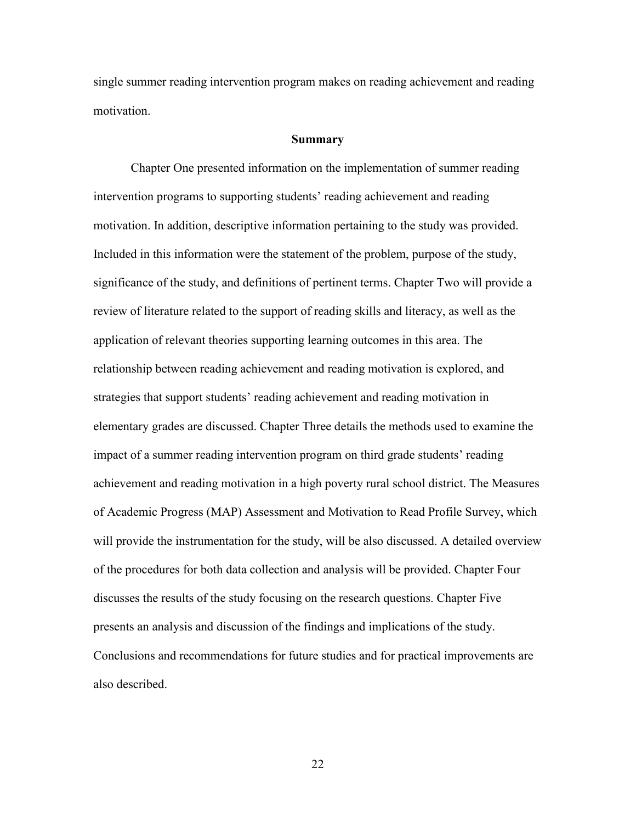single summer reading intervention program makes on reading achievement and reading motivation.

#### **Summary**

Chapter One presented information on the implementation of summer reading intervention programs to supporting students' reading achievement and reading motivation. In addition, descriptive information pertaining to the study was provided. Included in this information were the statement of the problem, purpose of the study, significance of the study, and definitions of pertinent terms. Chapter Two will provide a review of literature related to the support of reading skills and literacy, as well as the application of relevant theories supporting learning outcomes in this area. The relationship between reading achievement and reading motivation is explored, and strategies that support students' reading achievement and reading motivation in elementary grades are discussed. Chapter Three details the methods used to examine the impact of a summer reading intervention program on third grade students' reading achievement and reading motivation in a high poverty rural school district. The Measures of Academic Progress (MAP) Assessment and Motivation to Read Profile Survey, which will provide the instrumentation for the study, will be also discussed. A detailed overview of the procedures for both data collection and analysis will be provided. Chapter Four discusses the results of the study focusing on the research questions. Chapter Five presents an analysis and discussion of the findings and implications of the study. Conclusions and recommendations for future studies and for practical improvements are also described.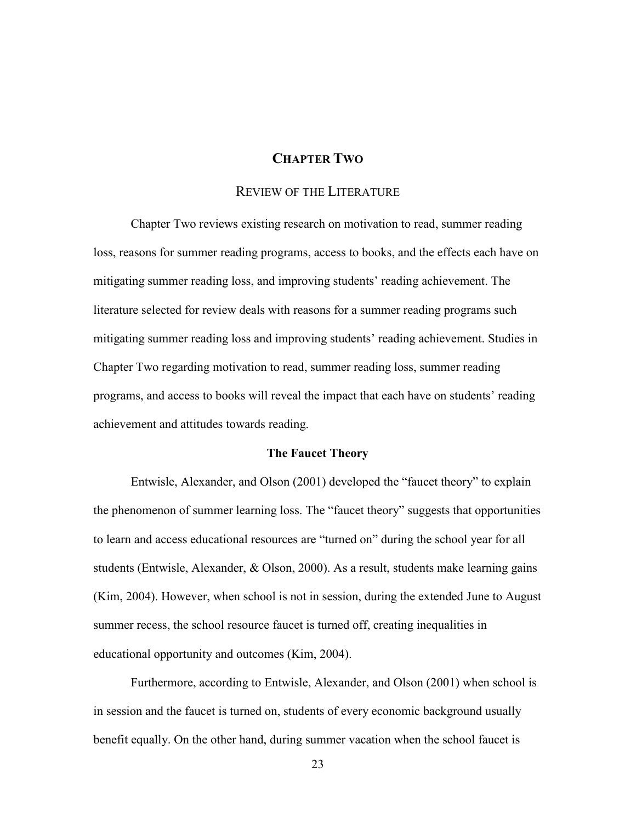# **CHAPTER TWO**

## REVIEW OF THE LITERATURE

Chapter Two reviews existing research on motivation to read, summer reading loss, reasons for summer reading programs, access to books, and the effects each have on mitigating summer reading loss, and improving students' reading achievement. The literature selected for review deals with reasons for a summer reading programs such mitigating summer reading loss and improving students' reading achievement. Studies in Chapter Two regarding motivation to read, summer reading loss, summer reading programs, and access to books will reveal the impact that each have on students' reading achievement and attitudes towards reading.

#### **The Faucet Theory**

Entwisle, Alexander, and Olson (2001) developed the "faucet theory" to explain the phenomenon of summer learning loss. The "faucet theory" suggests that opportunities to learn and access educational resources are "turned on" during the school year for all students (Entwisle, Alexander, & Olson, 2000). As a result, students make learning gains (Kim, 2004). However, when school is not in session, during the extended June to August summer recess, the school resource faucet is turned off, creating inequalities in educational opportunity and outcomes (Kim, 2004).

Furthermore, according to Entwisle, Alexander, and Olson (2001) when school is in session and the faucet is turned on, students of every economic background usually benefit equally. On the other hand, during summer vacation when the school faucet is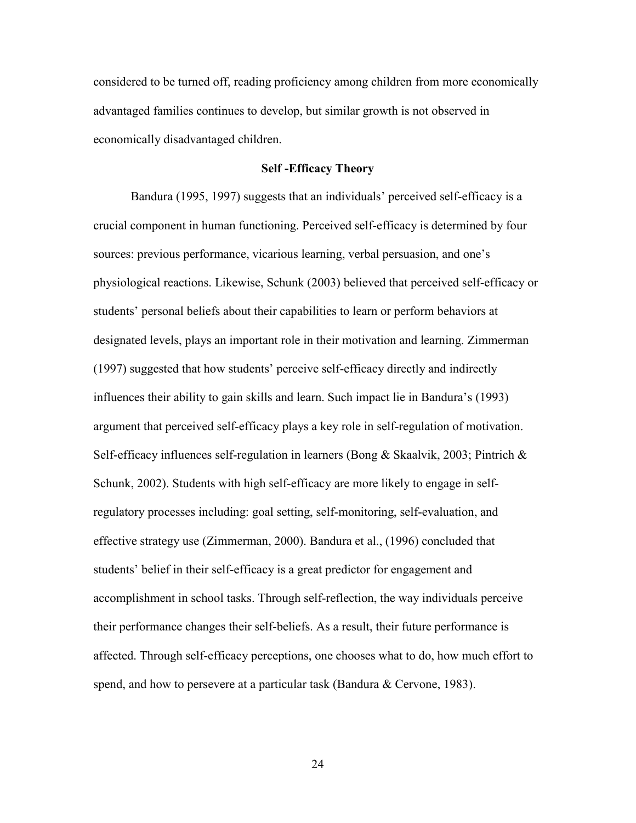considered to be turned off, reading proficiency among children from more economically advantaged families continues to develop, but similar growth is not observed in economically disadvantaged children.

### **Self -Efficacy Theory**

Bandura (1995, 1997) suggests that an individuals' perceived self-efficacy is a crucial component in human functioning. Perceived self-efficacy is determined by four sources: previous performance, vicarious learning, verbal persuasion, and one's physiological reactions. Likewise, Schunk (2003) believed that perceived self-efficacy or students' personal beliefs about their capabilities to learn or perform behaviors at designated levels, plays an important role in their motivation and learning. Zimmerman (1997) suggested that how students' perceive self-efficacy directly and indirectly influences their ability to gain skills and learn. Such impact lie in Bandura's (1993) argument that perceived self-efficacy plays a key role in self-regulation of motivation. Self-efficacy influences self-regulation in learners (Bong & Skaalvik, 2003; Pintrich  $\&$ Schunk, 2002). Students with high self-efficacy are more likely to engage in selfregulatory processes including: goal setting, self-monitoring, self-evaluation, and effective strategy use (Zimmerman, 2000). Bandura et al., (1996) concluded that students' belief in their self-efficacy is a great predictor for engagement and accomplishment in school tasks. Through self-reflection, the way individuals perceive their performance changes their self-beliefs. As a result, their future performance is affected. Through self-efficacy perceptions, one chooses what to do, how much effort to spend, and how to persevere at a particular task (Bandura & Cervone, 1983).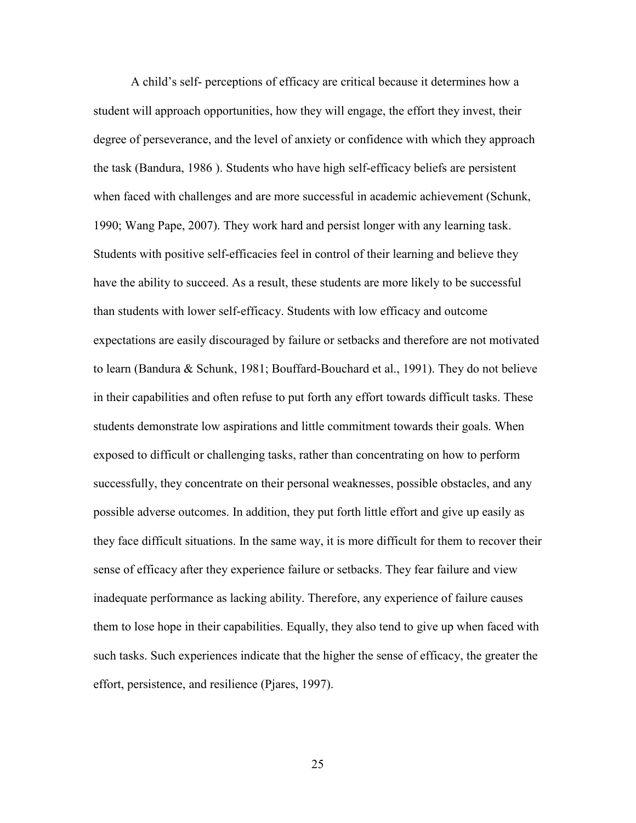A child's self- perceptions of efficacy are critical because it determines how a student will approach opportunities, how they will engage, the effort they invest, their degree of perseverance, and the level of anxiety or confidence with which they approach the task (Bandura, 1986 ). Students who have high self-efficacy beliefs are persistent when faced with challenges and are more successful in academic achievement (Schunk, 1990; Wang Pape, 2007). They work hard and persist longer with any learning task. Students with positive self-efficacies feel in control of their learning and believe they have the ability to succeed. As a result, these students are more likely to be successful than students with lower self-efficacy. Students with low efficacy and outcome expectations are easily discouraged by failure or setbacks and therefore are not motivated to learn (Bandura & Schunk, 1981; Bouffard-Bouchard et al., 1991). They do not believe in their capabilities and often refuse to put forth any effort towards difficult tasks. These students demonstrate low aspirations and little commitment towards their goals. When exposed to difficult or challenging tasks, rather than concentrating on how to perform successfully, they concentrate on their personal weaknesses, possible obstacles, and any possible adverse outcomes. In addition, they put forth little effort and give up easily as they face difficult situations. In the same way, it is more difficult for them to recover their sense of efficacy after they experience failure or setbacks. They fear failure and view inadequate performance as lacking ability. Therefore, any experience of failure causes them to lose hope in their capabilities. Equally, they also tend to give up when faced with such tasks. Such experiences indicate that the higher the sense of efficacy, the greater the effort, persistence, and resilience (Pjares, 1997).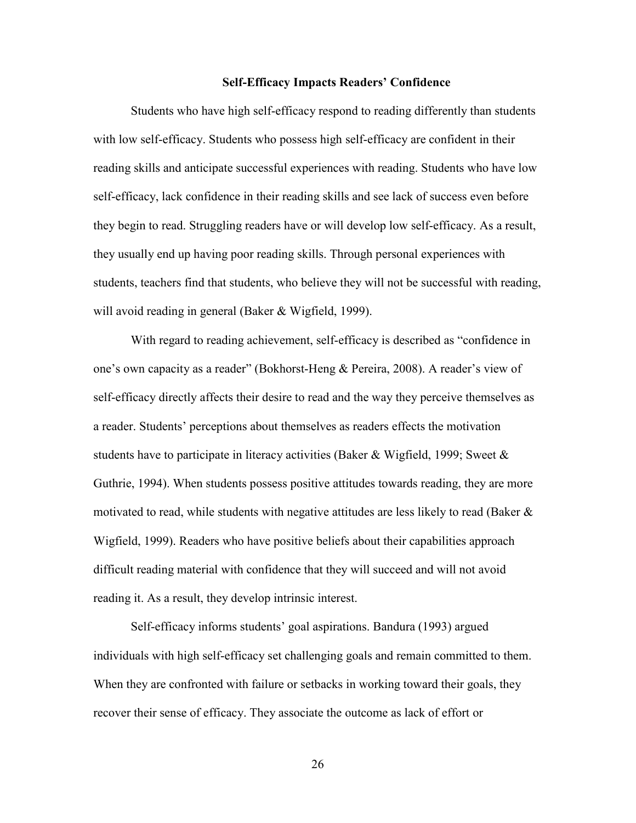# **Self-Efficacy Impacts Readers' Confidence**

Students who have high self-efficacy respond to reading differently than students with low self-efficacy. Students who possess high self-efficacy are confident in their reading skills and anticipate successful experiences with reading. Students who have low self-efficacy, lack confidence in their reading skills and see lack of success even before they begin to read. Struggling readers have or will develop low self-efficacy. As a result, they usually end up having poor reading skills. Through personal experiences with students, teachers find that students, who believe they will not be successful with reading, will avoid reading in general (Baker & Wigfield, 1999).

With regard to reading achievement, self-efficacy is described as "confidence in one's own capacity as a reader" (Bokhorst-Heng & Pereira, 2008). A reader's view of self-efficacy directly affects their desire to read and the way they perceive themselves as a reader. Students' perceptions about themselves as readers effects the motivation students have to participate in literacy activities (Baker & Wigfield, 1999; Sweet  $\&$ Guthrie, 1994). When students possess positive attitudes towards reading, they are more motivated to read, while students with negative attitudes are less likely to read (Baker & Wigfield, 1999). Readers who have positive beliefs about their capabilities approach difficult reading material with confidence that they will succeed and will not avoid reading it. As a result, they develop intrinsic interest.

Self-efficacy informs students' goal aspirations. Bandura (1993) argued individuals with high self-efficacy set challenging goals and remain committed to them. When they are confronted with failure or setbacks in working toward their goals, they recover their sense of efficacy. They associate the outcome as lack of effort or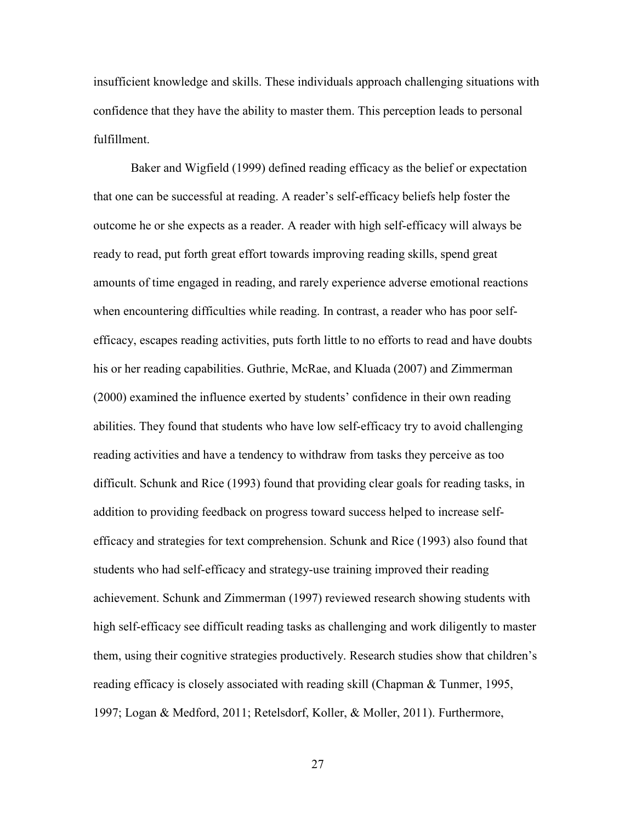insufficient knowledge and skills. These individuals approach challenging situations with confidence that they have the ability to master them. This perception leads to personal fulfillment.

Baker and Wigfield (1999) defined reading efficacy as the belief or expectation that one can be successful at reading. A reader's self-efficacy beliefs help foster the outcome he or she expects as a reader. A reader with high self-efficacy will always be ready to read, put forth great effort towards improving reading skills, spend great amounts of time engaged in reading, and rarely experience adverse emotional reactions when encountering difficulties while reading. In contrast, a reader who has poor selfefficacy, escapes reading activities, puts forth little to no efforts to read and have doubts his or her reading capabilities. Guthrie, McRae, and Kluada (2007) and Zimmerman (2000) examined the influence exerted by students' confidence in their own reading abilities. They found that students who have low self-efficacy try to avoid challenging reading activities and have a tendency to withdraw from tasks they perceive as too difficult. Schunk and Rice (1993) found that providing clear goals for reading tasks, in addition to providing feedback on progress toward success helped to increase selfefficacy and strategies for text comprehension. Schunk and Rice (1993) also found that students who had self-efficacy and strategy-use training improved their reading achievement. Schunk and Zimmerman (1997) reviewed research showing students with high self-efficacy see difficult reading tasks as challenging and work diligently to master them, using their cognitive strategies productively. Research studies show that children's reading efficacy is closely associated with reading skill (Chapman & Tunmer, 1995, 1997; Logan & Medford, 2011; Retelsdorf, Koller, & Moller, 2011). Furthermore,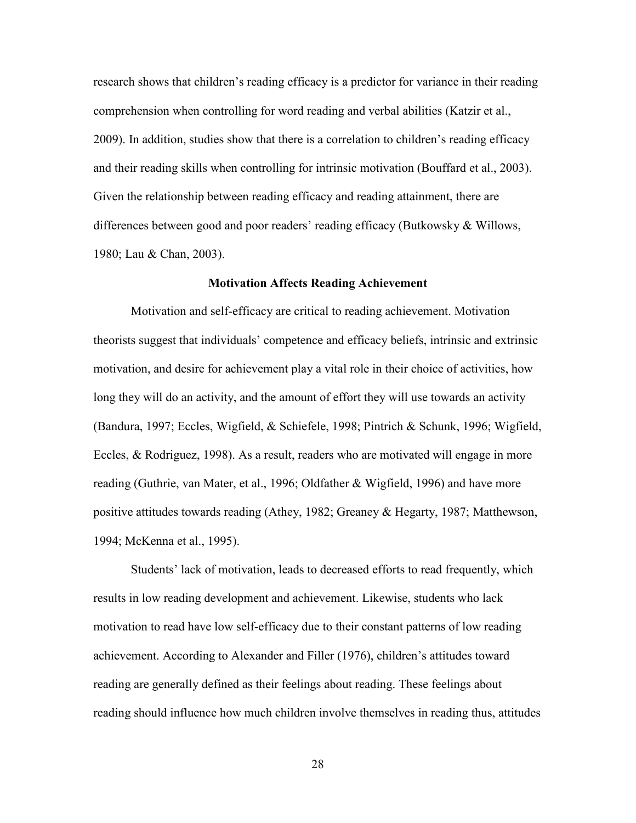research shows that children's reading efficacy is a predictor for variance in their reading comprehension when controlling for word reading and verbal abilities (Katzir et al., 2009). In addition, studies show that there is a correlation to children's reading efficacy and their reading skills when controlling for intrinsic motivation (Bouffard et al., 2003). Given the relationship between reading efficacy and reading attainment, there are differences between good and poor readers' reading efficacy (Butkowsky & Willows, 1980; Lau & Chan, 2003).

### **Motivation Affects Reading Achievement**

Motivation and self-efficacy are critical to reading achievement. Motivation theorists suggest that individuals' competence and efficacy beliefs, intrinsic and extrinsic motivation, and desire for achievement play a vital role in their choice of activities, how long they will do an activity, and the amount of effort they will use towards an activity (Bandura, 1997; Eccles, Wigfield, & Schiefele, 1998; Pintrich & Schunk, 1996; Wigfield, Eccles, & Rodriguez, 1998). As a result, readers who are motivated will engage in more reading (Guthrie, van Mater, et al., 1996; Oldfather & Wigfield, 1996) and have more positive attitudes towards reading (Athey, 1982; Greaney & Hegarty, 1987; Matthewson, 1994; McKenna et al., 1995).

Students' lack of motivation, leads to decreased efforts to read frequently, which results in low reading development and achievement. Likewise, students who lack motivation to read have low self-efficacy due to their constant patterns of low reading achievement. According to Alexander and Filler (1976), children's attitudes toward reading are generally defined as their feelings about reading. These feelings about reading should influence how much children involve themselves in reading thus, attitudes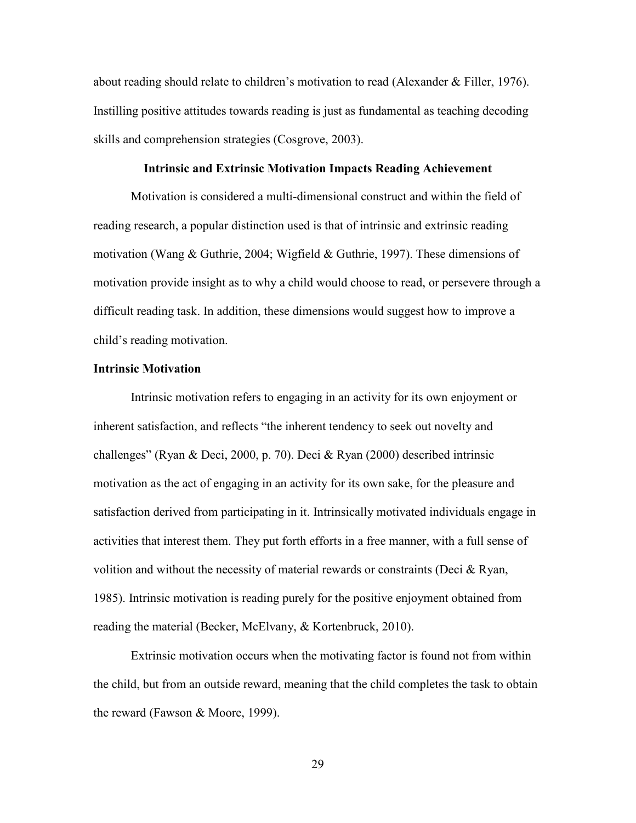about reading should relate to children's motivation to read (Alexander & Filler, 1976). Instilling positive attitudes towards reading is just as fundamental as teaching decoding skills and comprehension strategies (Cosgrove, 2003).

# **Intrinsic and Extrinsic Motivation Impacts Reading Achievement**

Motivation is considered a multi-dimensional construct and within the field of reading research, a popular distinction used is that of intrinsic and extrinsic reading motivation (Wang & Guthrie, 2004; Wigfield & Guthrie, 1997). These dimensions of motivation provide insight as to why a child would choose to read, or persevere through a difficult reading task. In addition, these dimensions would suggest how to improve a child's reading motivation.

#### **Intrinsic Motivation**

Intrinsic motivation refers to engaging in an activity for its own enjoyment or inherent satisfaction, and reflects "the inherent tendency to seek out novelty and challenges" (Ryan & Deci, 2000, p. 70). Deci & Ryan (2000) described intrinsic motivation as the act of engaging in an activity for its own sake, for the pleasure and satisfaction derived from participating in it. Intrinsically motivated individuals engage in activities that interest them. They put forth efforts in a free manner, with a full sense of volition and without the necessity of material rewards or constraints (Deci & Ryan, 1985). Intrinsic motivation is reading purely for the positive enjoyment obtained from reading the material (Becker, McElvany, & Kortenbruck, 2010).

Extrinsic motivation occurs when the motivating factor is found not from within the child, but from an outside reward, meaning that the child completes the task to obtain the reward (Fawson & Moore, 1999).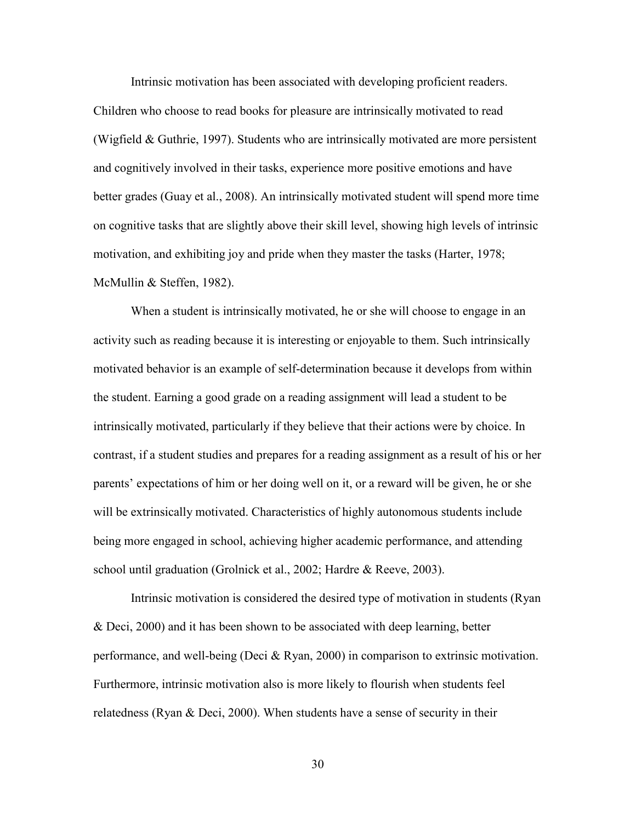Intrinsic motivation has been associated with developing proficient readers. Children who choose to read books for pleasure are intrinsically motivated to read (Wigfield & Guthrie, 1997). Students who are intrinsically motivated are more persistent and cognitively involved in their tasks, experience more positive emotions and have better grades (Guay et al., 2008). An intrinsically motivated student will spend more time on cognitive tasks that are slightly above their skill level, showing high levels of intrinsic motivation, and exhibiting joy and pride when they master the tasks (Harter, 1978; McMullin & Steffen, 1982).

When a student is intrinsically motivated, he or she will choose to engage in an activity such as reading because it is interesting or enjoyable to them. Such intrinsically motivated behavior is an example of self-determination because it develops from within the student. Earning a good grade on a reading assignment will lead a student to be intrinsically motivated, particularly if they believe that their actions were by choice. In contrast, if a student studies and prepares for a reading assignment as a result of his or her parents' expectations of him or her doing well on it, or a reward will be given, he or she will be extrinsically motivated. Characteristics of highly autonomous students include being more engaged in school, achieving higher academic performance, and attending school until graduation (Grolnick et al., 2002; Hardre & Reeve, 2003).

Intrinsic motivation is considered the desired type of motivation in students (Ryan & Deci, 2000) and it has been shown to be associated with deep learning, better performance, and well-being (Deci & Ryan, 2000) in comparison to extrinsic motivation. Furthermore, intrinsic motivation also is more likely to flourish when students feel relatedness (Ryan & Deci, 2000). When students have a sense of security in their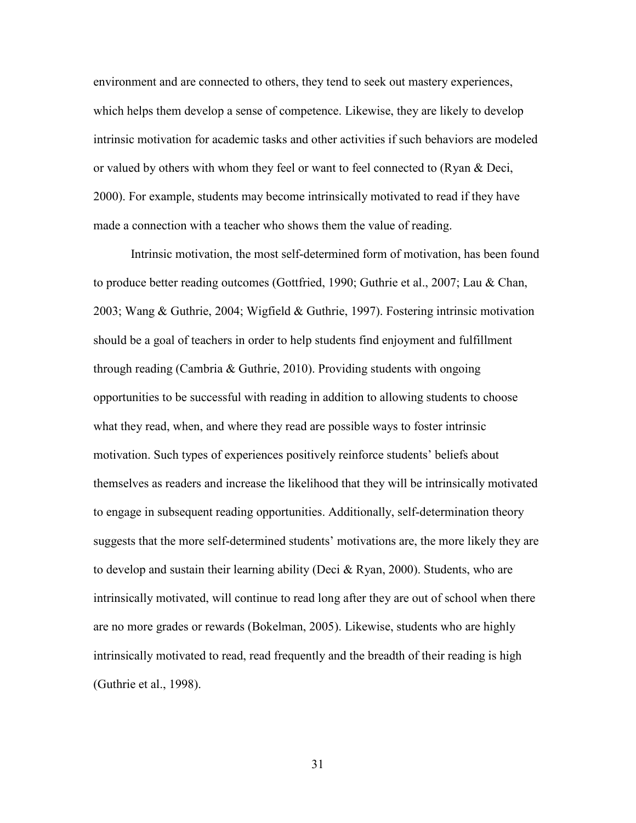environment and are connected to others, they tend to seek out mastery experiences, which helps them develop a sense of competence. Likewise, they are likely to develop intrinsic motivation for academic tasks and other activities if such behaviors are modeled or valued by others with whom they feel or want to feel connected to (Ryan & Deci, 2000). For example, students may become intrinsically motivated to read if they have made a connection with a teacher who shows them the value of reading.

Intrinsic motivation, the most self-determined form of motivation, has been found to produce better reading outcomes (Gottfried, 1990; Guthrie et al., 2007; Lau & Chan, 2003; Wang & Guthrie, 2004; Wigfield & Guthrie, 1997). Fostering intrinsic motivation should be a goal of teachers in order to help students find enjoyment and fulfillment through reading (Cambria & Guthrie, 2010). Providing students with ongoing opportunities to be successful with reading in addition to allowing students to choose what they read, when, and where they read are possible ways to foster intrinsic motivation. Such types of experiences positively reinforce students' beliefs about themselves as readers and increase the likelihood that they will be intrinsically motivated to engage in subsequent reading opportunities. Additionally, self-determination theory suggests that the more self-determined students' motivations are, the more likely they are to develop and sustain their learning ability (Deci & Ryan, 2000). Students, who are intrinsically motivated, will continue to read long after they are out of school when there are no more grades or rewards (Bokelman, 2005). Likewise, students who are highly intrinsically motivated to read, read frequently and the breadth of their reading is high (Guthrie et al., 1998).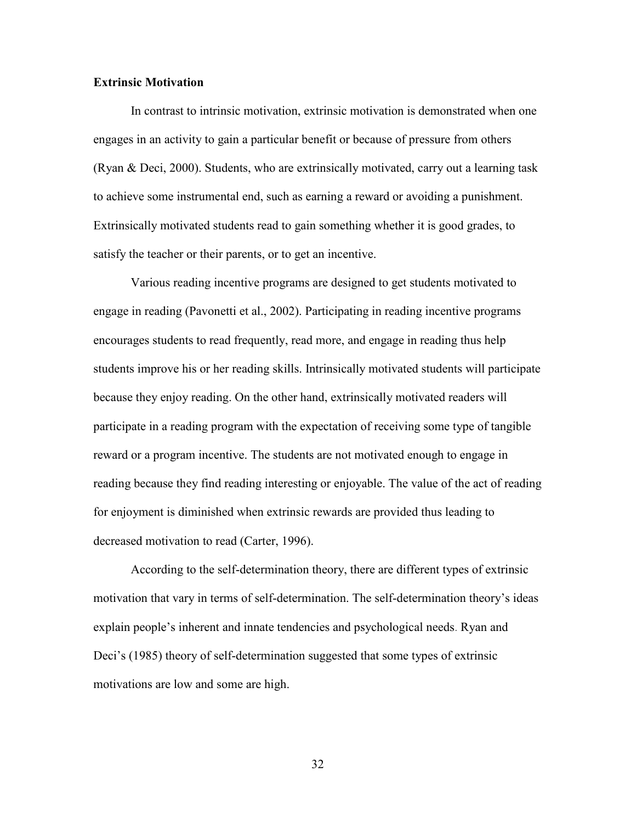# **Extrinsic Motivation**

In contrast to intrinsic motivation, extrinsic motivation is demonstrated when one engages in an activity to gain a particular benefit or because of pressure from others (Ryan & Deci, 2000). Students, who are extrinsically motivated, carry out a learning task to achieve some instrumental end, such as earning a reward or avoiding a punishment. Extrinsically motivated students read to gain something whether it is good grades, to satisfy the teacher or their parents, or to get an incentive.

Various reading incentive programs are designed to get students motivated to engage in reading (Pavonetti et al., 2002). Participating in reading incentive programs encourages students to read frequently, read more, and engage in reading thus help students improve his or her reading skills. Intrinsically motivated students will participate because they enjoy reading. On the other hand, extrinsically motivated readers will participate in a reading program with the expectation of receiving some type of tangible reward or a program incentive. The students are not motivated enough to engage in reading because they find reading interesting or enjoyable. The value of the act of reading for enjoyment is diminished when extrinsic rewards are provided thus leading to decreased motivation to read (Carter, 1996).

According to the self-determination theory, there are different types of extrinsic motivation that vary in terms of self-determination. The self-determination theory's ideas explain people's inherent and innate tendencies and psychological needs. Ryan and Deci's (1985) theory of self-determination suggested that some types of extrinsic motivations are low and some are high.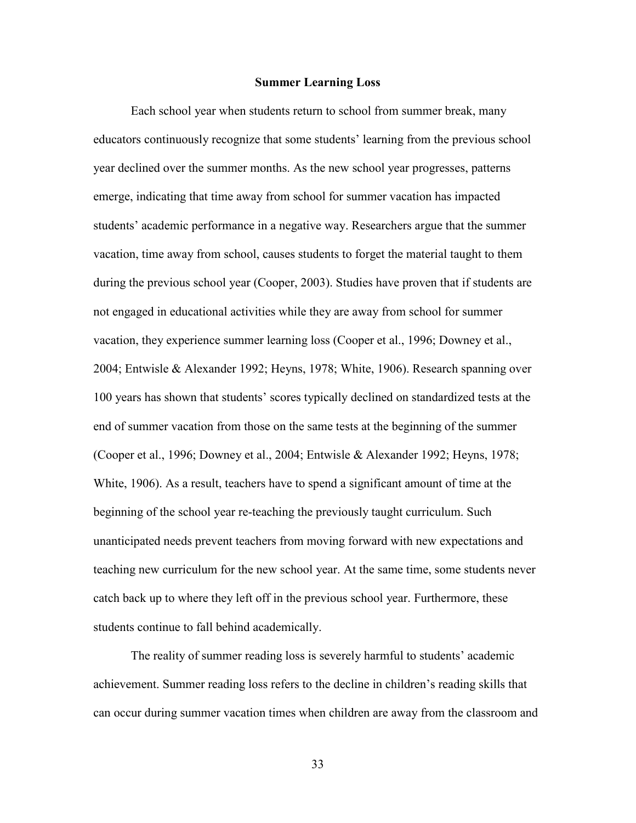#### **Summer Learning Loss**

Each school year when students return to school from summer break, many educators continuously recognize that some students' learning from the previous school year declined over the summer months. As the new school year progresses, patterns emerge, indicating that time away from school for summer vacation has impacted students' academic performance in a negative way. Researchers argue that the summer vacation, time away from school, causes students to forget the material taught to them during the previous school year (Cooper, 2003). Studies have proven that if students are not engaged in educational activities while they are away from school for summer vacation, they experience summer learning loss (Cooper et al., 1996; Downey et al., 2004; Entwisle & Alexander 1992; Heyns, 1978; White, 1906). Research spanning over 100 years has shown that students' scores typically declined on standardized tests at the end of summer vacation from those on the same tests at the beginning of the summer (Cooper et al., 1996; Downey et al., 2004; Entwisle & Alexander 1992; Heyns, 1978; White, 1906). As a result, teachers have to spend a significant amount of time at the beginning of the school year re-teaching the previously taught curriculum. Such unanticipated needs prevent teachers from moving forward with new expectations and teaching new curriculum for the new school year. At the same time, some students never catch back up to where they left off in the previous school year. Furthermore, these students continue to fall behind academically.

The reality of summer reading loss is severely harmful to students' academic achievement. Summer reading loss refers to the decline in children's reading skills that can occur during summer vacation times when children are away from the classroom and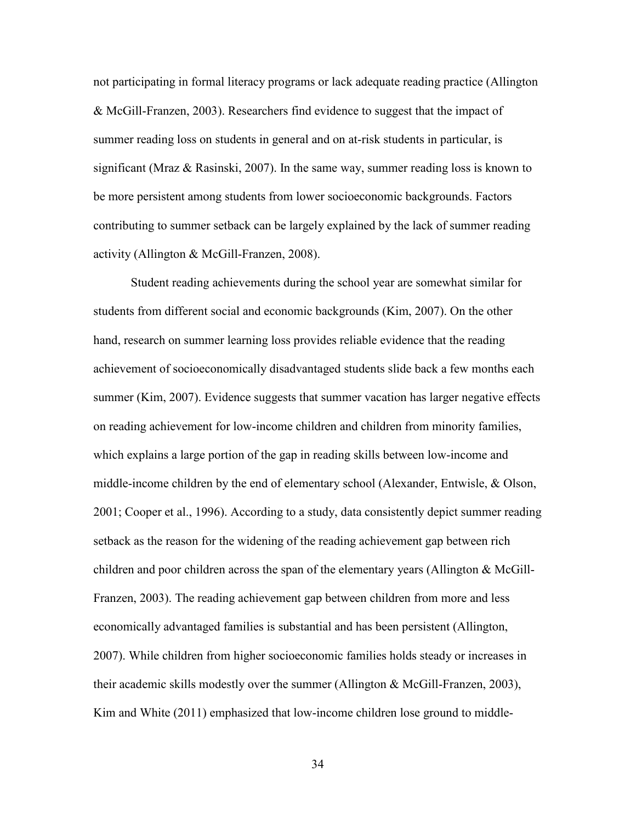not participating in formal literacy programs or lack adequate reading practice (Allington & McGill-Franzen, 2003). Researchers find evidence to suggest that the impact of summer reading loss on students in general and on at-risk students in particular, is significant (Mraz  $\&$  Rasinski, 2007). In the same way, summer reading loss is known to be more persistent among students from lower socioeconomic backgrounds. Factors contributing to summer setback can be largely explained by the lack of summer reading activity (Allington & McGill-Franzen, 2008).

Student reading achievements during the school year are somewhat similar for students from different social and economic backgrounds (Kim, 2007). On the other hand, research on summer learning loss provides reliable evidence that the reading achievement of socioeconomically disadvantaged students slide back a few months each summer (Kim, 2007). Evidence suggests that summer vacation has larger negative effects on reading achievement for low-income children and children from minority families, which explains a large portion of the gap in reading skills between low-income and middle-income children by the end of elementary school (Alexander, Entwisle, & Olson, 2001; Cooper et al., 1996). According to a study, data consistently depict summer reading setback as the reason for the widening of the reading achievement gap between rich children and poor children across the span of the elementary years (Allington & McGill-Franzen, 2003). The reading achievement gap between children from more and less economically advantaged families is substantial and has been persistent (Allington, 2007). While children from higher socioeconomic families holds steady or increases in their academic skills modestly over the summer (Allington & McGill-Franzen, 2003), Kim and White (2011) emphasized that low-income children lose ground to middle-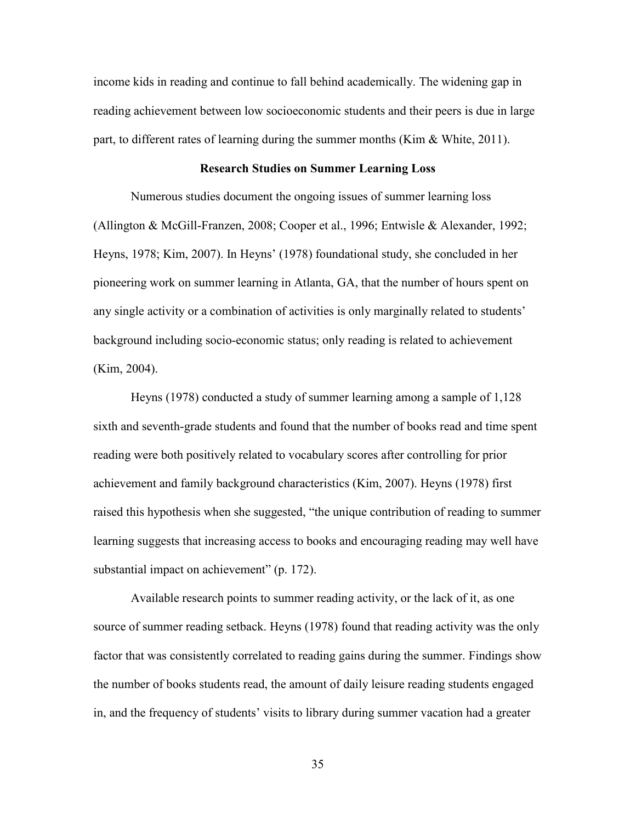income kids in reading and continue to fall behind academically. The widening gap in reading achievement between low socioeconomic students and their peers is due in large part, to different rates of learning during the summer months (Kim  $\&$  White, 2011).

# **Research Studies on Summer Learning Loss**

Numerous studies document the ongoing issues of summer learning loss (Allington & McGill-Franzen, 2008; Cooper et al., 1996; Entwisle & Alexander, 1992; Heyns, 1978; Kim, 2007). In Heyns' (1978) foundational study, she concluded in her pioneering work on summer learning in Atlanta, GA, that the number of hours spent on any single activity or a combination of activities is only marginally related to students' background including socio-economic status; only reading is related to achievement (Kim, 2004).

Heyns (1978) conducted a study of summer learning among a sample of 1,128 sixth and seventh-grade students and found that the number of books read and time spent reading were both positively related to vocabulary scores after controlling for prior achievement and family background characteristics (Kim, 2007). Heyns (1978) first raised this hypothesis when she suggested, "the unique contribution of reading to summer learning suggests that increasing access to books and encouraging reading may well have substantial impact on achievement" (p. 172).

Available research points to summer reading activity, or the lack of it, as one source of summer reading setback. Heyns (1978) found that reading activity was the only factor that was consistently correlated to reading gains during the summer. Findings show the number of books students read, the amount of daily leisure reading students engaged in, and the frequency of students' visits to library during summer vacation had a greater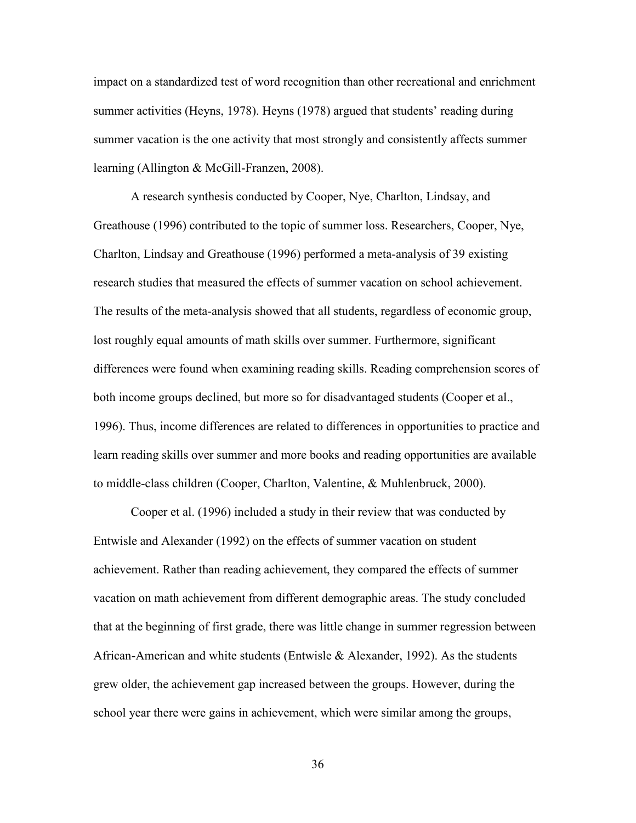impact on a standardized test of word recognition than other recreational and enrichment summer activities (Heyns, 1978). Heyns (1978) argued that students' reading during summer vacation is the one activity that most strongly and consistently affects summer learning (Allington & McGill-Franzen, 2008).

A research synthesis conducted by Cooper, Nye, Charlton, Lindsay, and Greathouse (1996) contributed to the topic of summer loss. Researchers, Cooper, Nye, Charlton, Lindsay and Greathouse (1996) performed a meta-analysis of 39 existing research studies that measured the effects of summer vacation on school achievement. The results of the meta-analysis showed that all students, regardless of economic group, lost roughly equal amounts of math skills over summer. Furthermore, significant differences were found when examining reading skills. Reading comprehension scores of both income groups declined, but more so for disadvantaged students (Cooper et al., 1996). Thus, income differences are related to differences in opportunities to practice and learn reading skills over summer and more books and reading opportunities are available to middle-class children (Cooper, Charlton, Valentine, & Muhlenbruck, 2000).

Cooper et al. (1996) included a study in their review that was conducted by Entwisle and Alexander (1992) on the effects of summer vacation on student achievement. Rather than reading achievement, they compared the effects of summer vacation on math achievement from different demographic areas. The study concluded that at the beginning of first grade, there was little change in summer regression between African-American and white students (Entwisle & Alexander, 1992). As the students grew older, the achievement gap increased between the groups. However, during the school year there were gains in achievement, which were similar among the groups,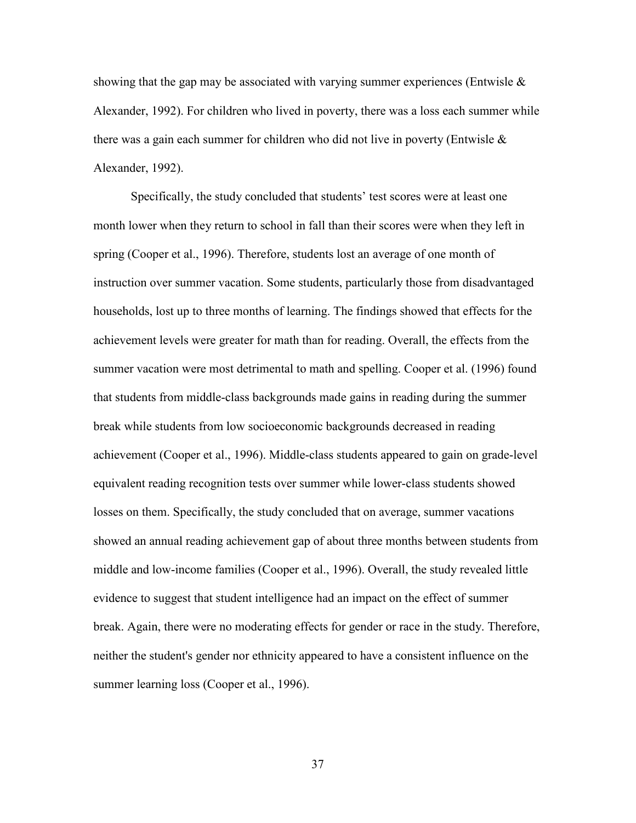showing that the gap may be associated with varying summer experiences (Entwisle  $\&$ Alexander, 1992). For children who lived in poverty, there was a loss each summer while there was a gain each summer for children who did not live in poverty (Entwisle  $\&$ Alexander, 1992).

Specifically, the study concluded that students' test scores were at least one month lower when they return to school in fall than their scores were when they left in spring (Cooper et al., 1996). Therefore, students lost an average of one month of instruction over summer vacation. Some students, particularly those from disadvantaged households, lost up to three months of learning. The findings showed that effects for the achievement levels were greater for math than for reading. Overall, the effects from the summer vacation were most detrimental to math and spelling. Cooper et al. (1996) found that students from middle-class backgrounds made gains in reading during the summer break while students from low socioeconomic backgrounds decreased in reading achievement (Cooper et al., 1996). Middle-class students appeared to gain on grade-level equivalent reading recognition tests over summer while lower-class students showed losses on them. Specifically, the study concluded that on average, summer vacations showed an annual reading achievement gap of about three months between students from middle and low-income families (Cooper et al., 1996). Overall, the study revealed little evidence to suggest that student intelligence had an impact on the effect of summer break. Again, there were no moderating effects for gender or race in the study. Therefore, neither the student's gender nor ethnicity appeared to have a consistent influence on the summer learning loss (Cooper et al., 1996).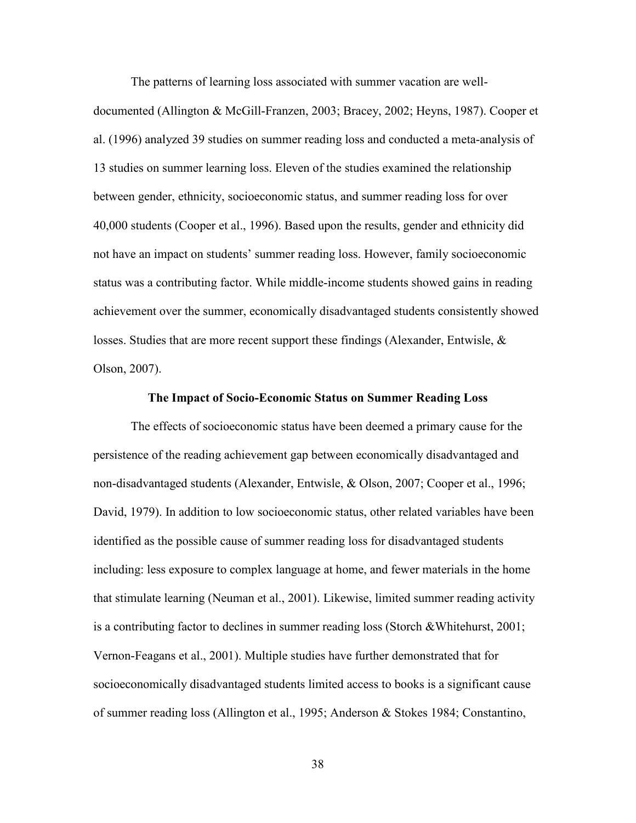The patterns of learning loss associated with summer vacation are well-

documented (Allington & McGill-Franzen, 2003; Bracey, 2002; Heyns, 1987). Cooper et al. (1996) analyzed 39 studies on summer reading loss and conducted a meta-analysis of 13 studies on summer learning loss. Eleven of the studies examined the relationship between gender, ethnicity, socioeconomic status, and summer reading loss for over 40,000 students (Cooper et al., 1996). Based upon the results, gender and ethnicity did not have an impact on students' summer reading loss. However, family socioeconomic status was a contributing factor. While middle-income students showed gains in reading achievement over the summer, economically disadvantaged students consistently showed losses. Studies that are more recent support these findings (Alexander, Entwisle, & Olson, 2007).

# **The Impact of Socio-Economic Status on Summer Reading Loss**

The effects of socioeconomic status have been deemed a primary cause for the persistence of the reading achievement gap between economically disadvantaged and non-disadvantaged students (Alexander, Entwisle, & Olson, 2007; Cooper et al., 1996; David, 1979). In addition to low socioeconomic status, other related variables have been identified as the possible cause of summer reading loss for disadvantaged students including: less exposure to complex language at home, and fewer materials in the home that stimulate learning (Neuman et al., 2001). Likewise, limited summer reading activity is a contributing factor to declines in summer reading loss (Storch &Whitehurst, 2001; Vernon-Feagans et al., 2001). Multiple studies have further demonstrated that for socioeconomically disadvantaged students limited access to books is a significant cause of summer reading loss (Allington et al., 1995; Anderson & Stokes 1984; Constantino,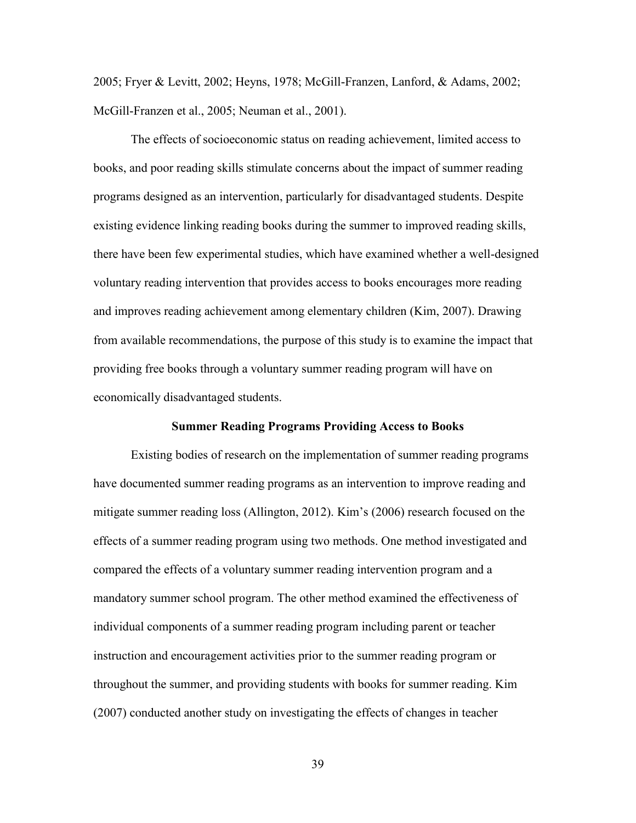2005; Fryer & Levitt, 2002; Heyns, 1978; McGill-Franzen, Lanford, & Adams, 2002; McGill-Franzen et al., 2005; Neuman et al., 2001).

The effects of socioeconomic status on reading achievement, limited access to books, and poor reading skills stimulate concerns about the impact of summer reading programs designed as an intervention, particularly for disadvantaged students. Despite existing evidence linking reading books during the summer to improved reading skills, there have been few experimental studies, which have examined whether a well-designed voluntary reading intervention that provides access to books encourages more reading and improves reading achievement among elementary children (Kim, 2007). Drawing from available recommendations, the purpose of this study is to examine the impact that providing free books through a voluntary summer reading program will have on economically disadvantaged students.

#### **Summer Reading Programs Providing Access to Books**

Existing bodies of research on the implementation of summer reading programs have documented summer reading programs as an intervention to improve reading and mitigate summer reading loss (Allington, 2012). Kim's (2006) research focused on the effects of a summer reading program using two methods. One method investigated and compared the effects of a voluntary summer reading intervention program and a mandatory summer school program. The other method examined the effectiveness of individual components of a summer reading program including parent or teacher instruction and encouragement activities prior to the summer reading program or throughout the summer, and providing students with books for summer reading. Kim (2007) conducted another study on investigating the effects of changes in teacher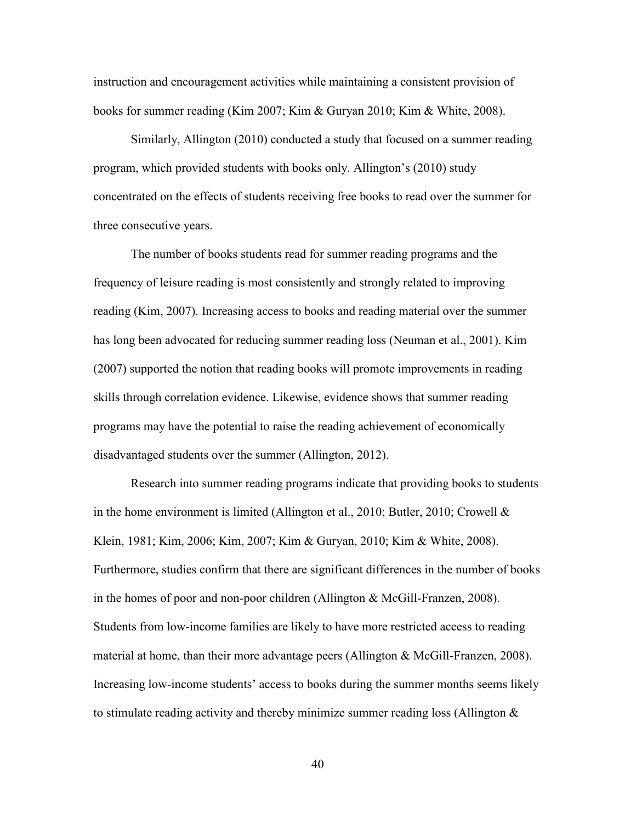instruction and encouragement activities while maintaining a consistent provision of books for summer reading (Kim 2007; Kim & Guryan 2010; Kim & White, 2008).

Similarly, Allington (2010) conducted a study that focused on a summer reading program, which provided students with books only. Allington's (2010) study concentrated on the effects of students receiving free books to read over the summer for three consecutive years.

The number of books students read for summer reading programs and the frequency of leisure reading is most consistently and strongly related to improving reading (Kim, 2007). Increasing access to books and reading material over the summer has long been advocated for reducing summer reading loss (Neuman et al., 2001). Kim (2007) supported the notion that reading books will promote improvements in reading skills through correlation evidence. Likewise, evidence shows that summer reading programs may have the potential to raise the reading achievement of economically disadvantaged students over the summer (Allington, 2012).

Research into summer reading programs indicate that providing books to students in the home environment is limited (Allington et al., 2010; Butler, 2010; Crowell & Klein, 1981; Kim, 2006; Kim, 2007; Kim & Guryan, 2010; Kim & White, 2008). Furthermore, studies confirm that there are significant differences in the number of books in the homes of poor and non-poor children (Allington & McGill-Franzen, 2008). Students from low-income families are likely to have more restricted access to reading material at home, than their more advantage peers (Allington & McGill-Franzen, 2008). Increasing low-income students' access to books during the summer months seems likely to stimulate reading activity and thereby minimize summer reading loss (Allington &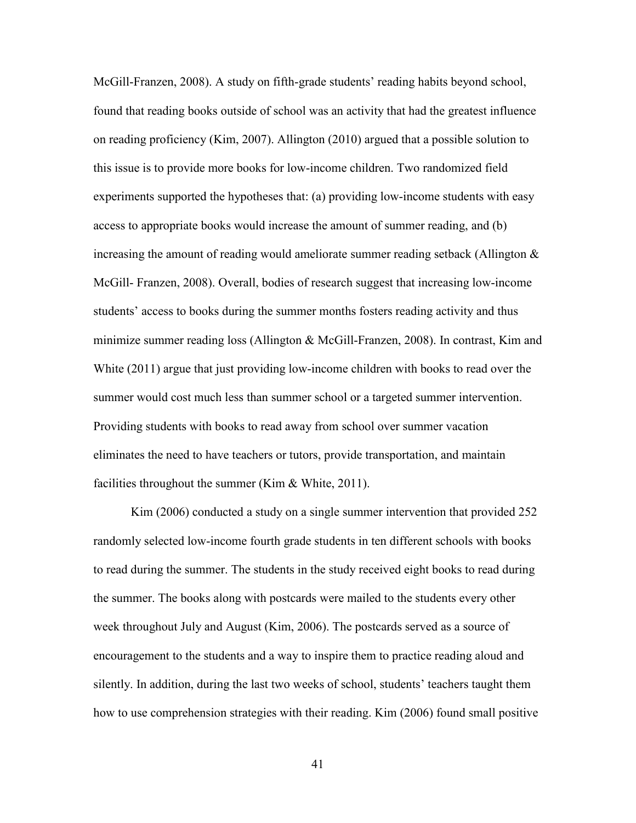McGill-Franzen, 2008). A study on fifth-grade students' reading habits beyond school, found that reading books outside of school was an activity that had the greatest influence on reading proficiency (Kim, 2007). Allington (2010) argued that a possible solution to this issue is to provide more books for low-income children. Two randomized field experiments supported the hypotheses that: (a) providing low-income students with easy access to appropriate books would increase the amount of summer reading, and (b) increasing the amount of reading would ameliorate summer reading setback (Allington & McGill- Franzen, 2008). Overall, bodies of research suggest that increasing low-income students' access to books during the summer months fosters reading activity and thus minimize summer reading loss (Allington & McGill-Franzen, 2008). In contrast, Kim and White (2011) argue that just providing low-income children with books to read over the summer would cost much less than summer school or a targeted summer intervention. Providing students with books to read away from school over summer vacation eliminates the need to have teachers or tutors, provide transportation, and maintain facilities throughout the summer (Kim  $&$  White, 2011).

Kim (2006) conducted a study on a single summer intervention that provided 252 randomly selected low-income fourth grade students in ten different schools with books to read during the summer. The students in the study received eight books to read during the summer. The books along with postcards were mailed to the students every other week throughout July and August (Kim, 2006). The postcards served as a source of encouragement to the students and a way to inspire them to practice reading aloud and silently. In addition, during the last two weeks of school, students' teachers taught them how to use comprehension strategies with their reading. Kim (2006) found small positive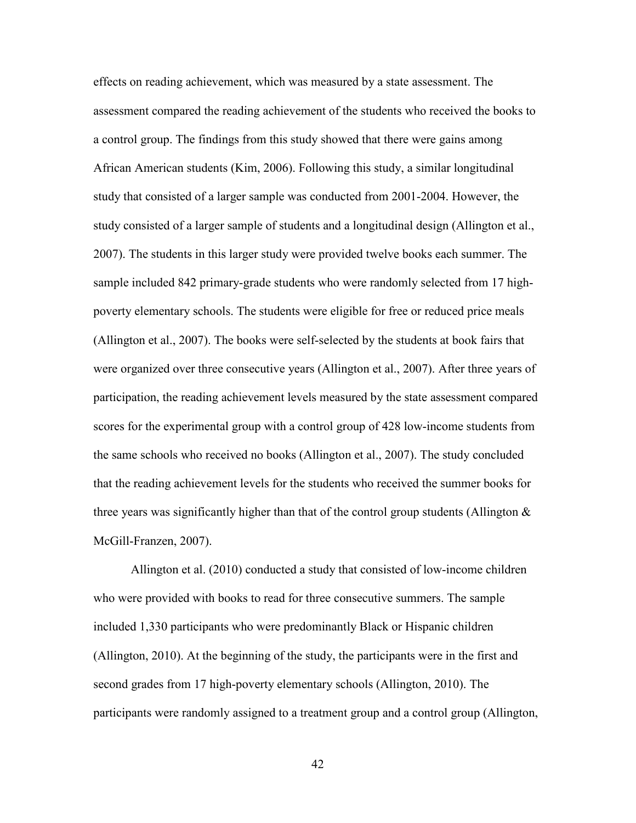effects on reading achievement, which was measured by a state assessment. The assessment compared the reading achievement of the students who received the books to a control group. The findings from this study showed that there were gains among African American students (Kim, 2006). Following this study, a similar longitudinal study that consisted of a larger sample was conducted from 2001-2004. However, the study consisted of a larger sample of students and a longitudinal design (Allington et al., 2007). The students in this larger study were provided twelve books each summer. The sample included 842 primary-grade students who were randomly selected from 17 highpoverty elementary schools. The students were eligible for free or reduced price meals (Allington et al., 2007). The books were self-selected by the students at book fairs that were organized over three consecutive years (Allington et al., 2007). After three years of participation, the reading achievement levels measured by the state assessment compared scores for the experimental group with a control group of 428 low-income students from the same schools who received no books (Allington et al., 2007). The study concluded that the reading achievement levels for the students who received the summer books for three years was significantly higher than that of the control group students (Allington  $\&$ McGill-Franzen, 2007).

Allington et al. (2010) conducted a study that consisted of low-income children who were provided with books to read for three consecutive summers. The sample included 1,330 participants who were predominantly Black or Hispanic children (Allington, 2010). At the beginning of the study, the participants were in the first and second grades from 17 high-poverty elementary schools (Allington, 2010). The participants were randomly assigned to a treatment group and a control group (Allington,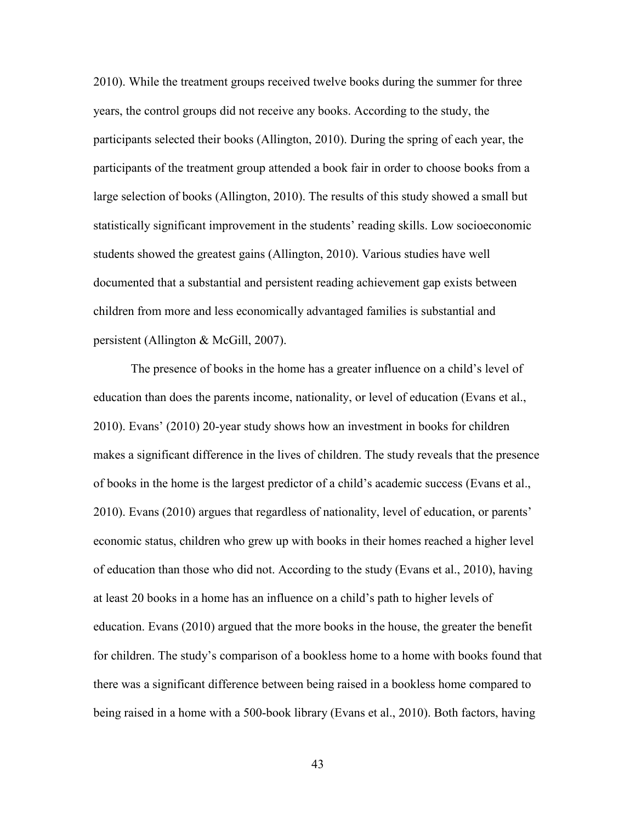2010). While the treatment groups received twelve books during the summer for three years, the control groups did not receive any books. According to the study, the participants selected their books (Allington, 2010). During the spring of each year, the participants of the treatment group attended a book fair in order to choose books from a large selection of books (Allington, 2010). The results of this study showed a small but statistically significant improvement in the students' reading skills. Low socioeconomic students showed the greatest gains (Allington, 2010). Various studies have well documented that a substantial and persistent reading achievement gap exists between children from more and less economically advantaged families is substantial and persistent (Allington & McGill, 2007).

The presence of books in the home has a greater influence on a child's level of education than does the parents income, nationality, or level of education (Evans et al., 2010). Evans' (2010) 20-year study shows how an investment in books for children makes a significant difference in the lives of children. The study reveals that the presence of books in the home is the largest predictor of a child's academic success (Evans et al., 2010). Evans (2010) argues that regardless of nationality, level of education, or parents' economic status, children who grew up with books in their homes reached a higher level of education than those who did not. According to the study (Evans et al., 2010), having at least 20 books in a home has an influence on a child's path to higher levels of education. Evans (2010) argued that the more books in the house, the greater the benefit for children. The study's comparison of a bookless home to a home with books found that there was a significant difference between being raised in a bookless home compared to being raised in a home with a 500-book library (Evans et al., 2010). Both factors, having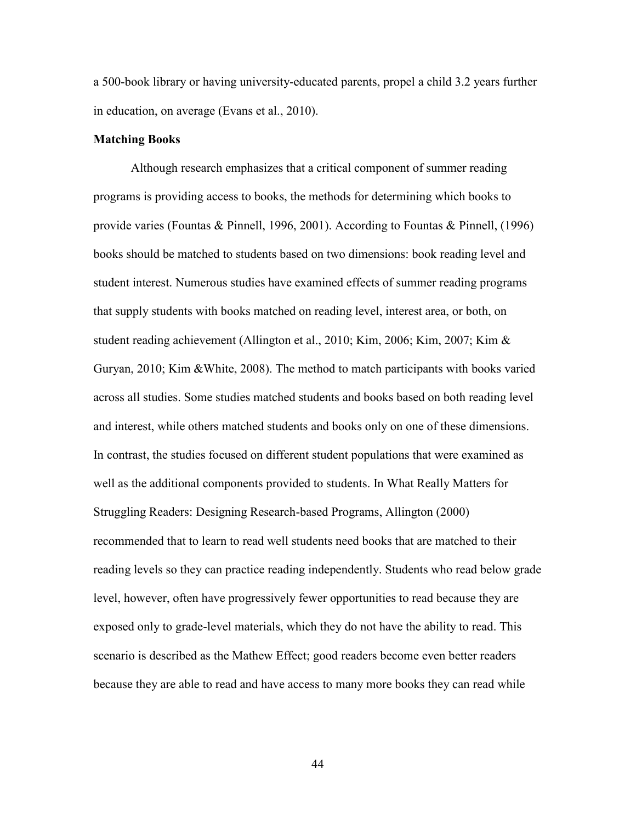a 500-book library or having university-educated parents, propel a child 3.2 years further in education, on average (Evans et al., 2010).

# **Matching Books**

Although research emphasizes that a critical component of summer reading programs is providing access to books, the methods for determining which books to provide varies (Fountas & Pinnell, 1996, 2001). According to Fountas & Pinnell, (1996) books should be matched to students based on two dimensions: book reading level and student interest. Numerous studies have examined effects of summer reading programs that supply students with books matched on reading level, interest area, or both, on student reading achievement (Allington et al., 2010; Kim, 2006; Kim, 2007; Kim & Guryan, 2010; Kim &White, 2008). The method to match participants with books varied across all studies. Some studies matched students and books based on both reading level and interest, while others matched students and books only on one of these dimensions. In contrast, the studies focused on different student populations that were examined as well as the additional components provided to students. In What Really Matters for Struggling Readers: Designing Research-based Programs, Allington (2000) recommended that to learn to read well students need books that are matched to their reading levels so they can practice reading independently. Students who read below grade level, however, often have progressively fewer opportunities to read because they are exposed only to grade-level materials, which they do not have the ability to read. This scenario is described as the Mathew Effect; good readers become even better readers because they are able to read and have access to many more books they can read while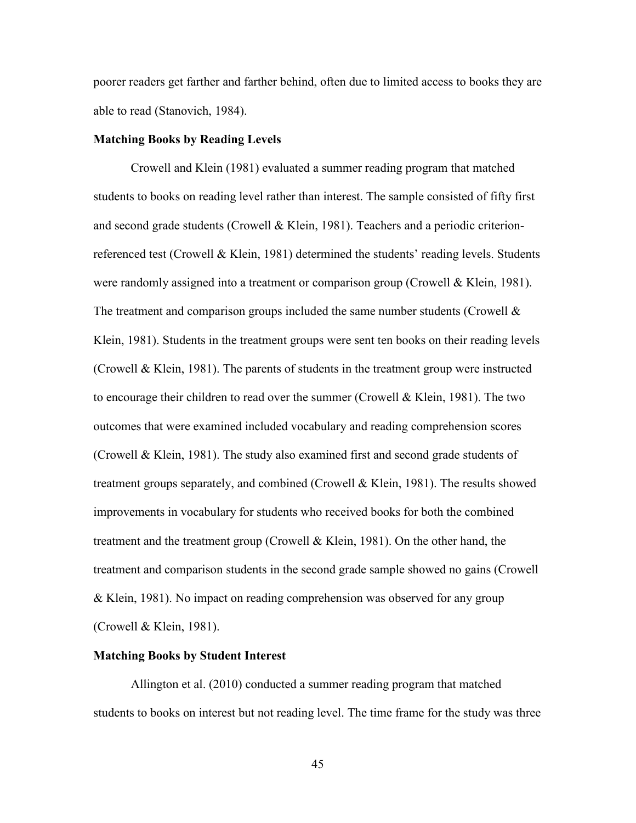poorer readers get farther and farther behind, often due to limited access to books they are able to read (Stanovich, 1984).

# **Matching Books by Reading Levels**

Crowell and Klein (1981) evaluated a summer reading program that matched students to books on reading level rather than interest. The sample consisted of fifty first and second grade students (Crowell & Klein, 1981). Teachers and a periodic criterionreferenced test (Crowell & Klein, 1981) determined the students' reading levels. Students were randomly assigned into a treatment or comparison group (Crowell & Klein, 1981). The treatment and comparison groups included the same number students (Crowell  $\&$ Klein, 1981). Students in the treatment groups were sent ten books on their reading levels (Crowell & Klein, 1981). The parents of students in the treatment group were instructed to encourage their children to read over the summer (Crowell & Klein, 1981). The two outcomes that were examined included vocabulary and reading comprehension scores (Crowell & Klein, 1981). The study also examined first and second grade students of treatment groups separately, and combined (Crowell & Klein, 1981). The results showed improvements in vocabulary for students who received books for both the combined treatment and the treatment group (Crowell & Klein, 1981). On the other hand, the treatment and comparison students in the second grade sample showed no gains (Crowell & Klein, 1981). No impact on reading comprehension was observed for any group (Crowell & Klein, 1981).

# **Matching Books by Student Interest**

Allington et al. (2010) conducted a summer reading program that matched students to books on interest but not reading level. The time frame for the study was three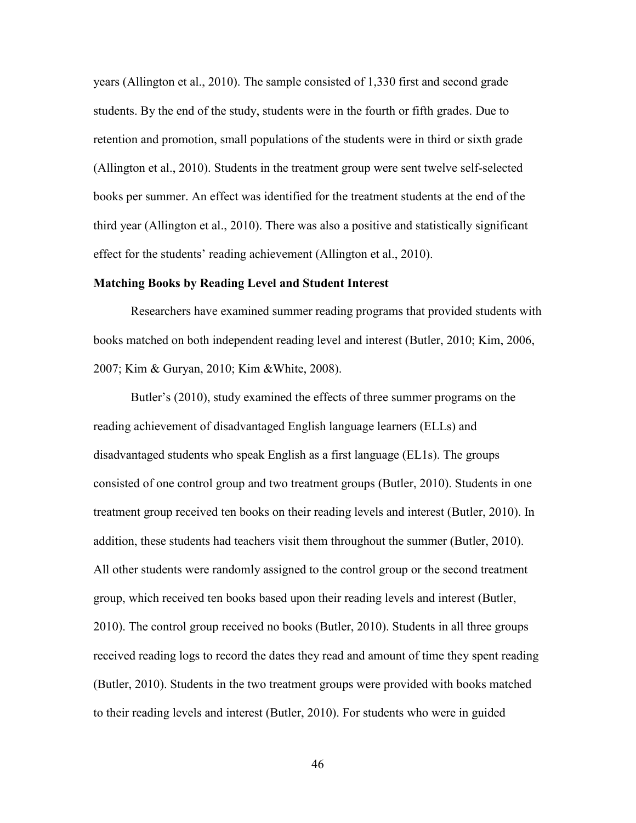years (Allington et al., 2010). The sample consisted of 1,330 first and second grade students. By the end of the study, students were in the fourth or fifth grades. Due to retention and promotion, small populations of the students were in third or sixth grade (Allington et al., 2010). Students in the treatment group were sent twelve self-selected books per summer. An effect was identified for the treatment students at the end of the third year (Allington et al., 2010). There was also a positive and statistically significant effect for the students' reading achievement (Allington et al., 2010).

# **Matching Books by Reading Level and Student Interest**

Researchers have examined summer reading programs that provided students with books matched on both independent reading level and interest (Butler, 2010; Kim, 2006, 2007; Kim & Guryan, 2010; Kim &White, 2008).

Butler's (2010), study examined the effects of three summer programs on the reading achievement of disadvantaged English language learners (ELLs) and disadvantaged students who speak English as a first language (EL1s). The groups consisted of one control group and two treatment groups (Butler, 2010). Students in one treatment group received ten books on their reading levels and interest (Butler, 2010). In addition, these students had teachers visit them throughout the summer (Butler, 2010). All other students were randomly assigned to the control group or the second treatment group, which received ten books based upon their reading levels and interest (Butler, 2010). The control group received no books (Butler, 2010). Students in all three groups received reading logs to record the dates they read and amount of time they spent reading (Butler, 2010). Students in the two treatment groups were provided with books matched to their reading levels and interest (Butler, 2010). For students who were in guided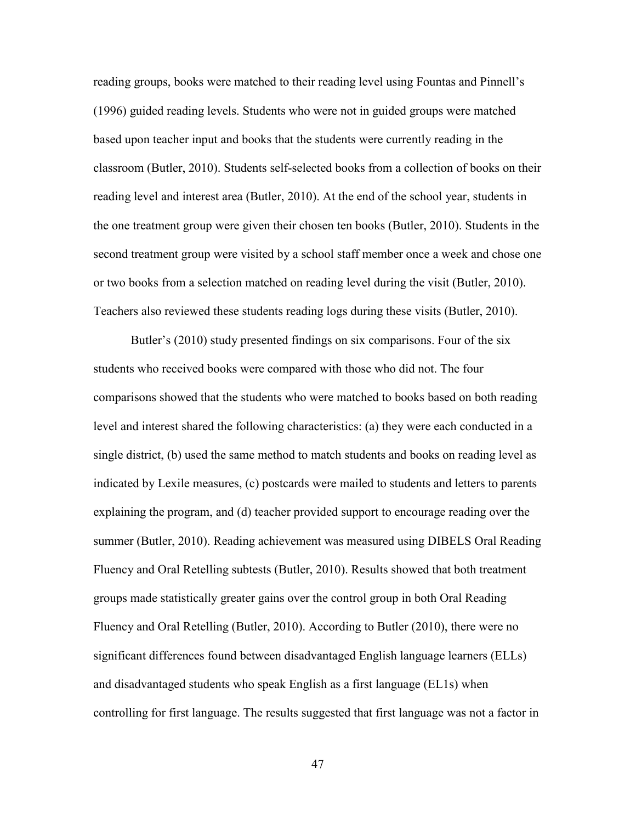reading groups, books were matched to their reading level using Fountas and Pinnell's (1996) guided reading levels. Students who were not in guided groups were matched based upon teacher input and books that the students were currently reading in the classroom (Butler, 2010). Students self-selected books from a collection of books on their reading level and interest area (Butler, 2010). At the end of the school year, students in the one treatment group were given their chosen ten books (Butler, 2010). Students in the second treatment group were visited by a school staff member once a week and chose one or two books from a selection matched on reading level during the visit (Butler, 2010). Teachers also reviewed these students reading logs during these visits (Butler, 2010).

Butler's (2010) study presented findings on six comparisons. Four of the six students who received books were compared with those who did not. The four comparisons showed that the students who were matched to books based on both reading level and interest shared the following characteristics: (a) they were each conducted in a single district, (b) used the same method to match students and books on reading level as indicated by Lexile measures, (c) postcards were mailed to students and letters to parents explaining the program, and (d) teacher provided support to encourage reading over the summer (Butler, 2010). Reading achievement was measured using DIBELS Oral Reading Fluency and Oral Retelling subtests (Butler, 2010). Results showed that both treatment groups made statistically greater gains over the control group in both Oral Reading Fluency and Oral Retelling (Butler, 2010). According to Butler (2010), there were no significant differences found between disadvantaged English language learners (ELLs) and disadvantaged students who speak English as a first language (EL1s) when controlling for first language. The results suggested that first language was not a factor in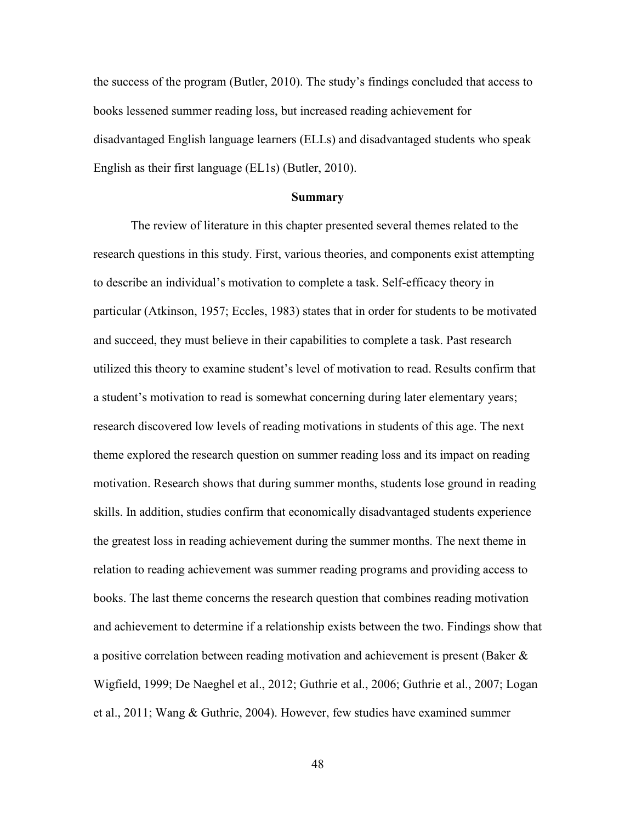the success of the program (Butler, 2010). The study's findings concluded that access to books lessened summer reading loss, but increased reading achievement for disadvantaged English language learners (ELLs) and disadvantaged students who speak English as their first language (EL1s) (Butler, 2010).

#### **Summary**

The review of literature in this chapter presented several themes related to the research questions in this study. First, various theories, and components exist attempting to describe an individual's motivation to complete a task. Self-efficacy theory in particular (Atkinson, 1957; Eccles, 1983) states that in order for students to be motivated and succeed, they must believe in their capabilities to complete a task. Past research utilized this theory to examine student's level of motivation to read. Results confirm that a student's motivation to read is somewhat concerning during later elementary years; research discovered low levels of reading motivations in students of this age. The next theme explored the research question on summer reading loss and its impact on reading motivation. Research shows that during summer months, students lose ground in reading skills. In addition, studies confirm that economically disadvantaged students experience the greatest loss in reading achievement during the summer months. The next theme in relation to reading achievement was summer reading programs and providing access to books. The last theme concerns the research question that combines reading motivation and achievement to determine if a relationship exists between the two. Findings show that a positive correlation between reading motivation and achievement is present (Baker & Wigfield, 1999; De Naeghel et al., 2012; Guthrie et al., 2006; Guthrie et al., 2007; Logan et al., 2011; Wang & Guthrie, 2004). However, few studies have examined summer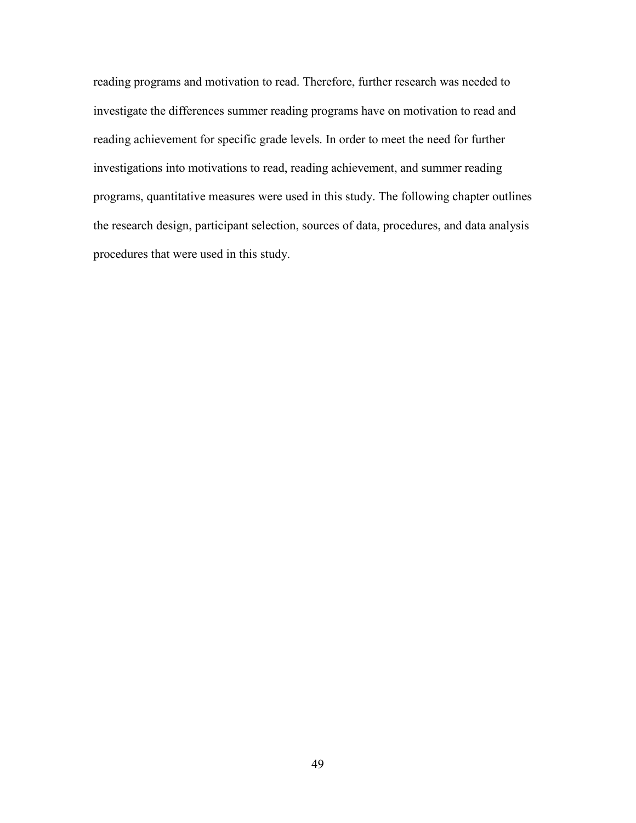reading programs and motivation to read. Therefore, further research was needed to investigate the differences summer reading programs have on motivation to read and reading achievement for specific grade levels. In order to meet the need for further investigations into motivations to read, reading achievement, and summer reading programs, quantitative measures were used in this study. The following chapter outlines the research design, participant selection, sources of data, procedures, and data analysis procedures that were used in this study.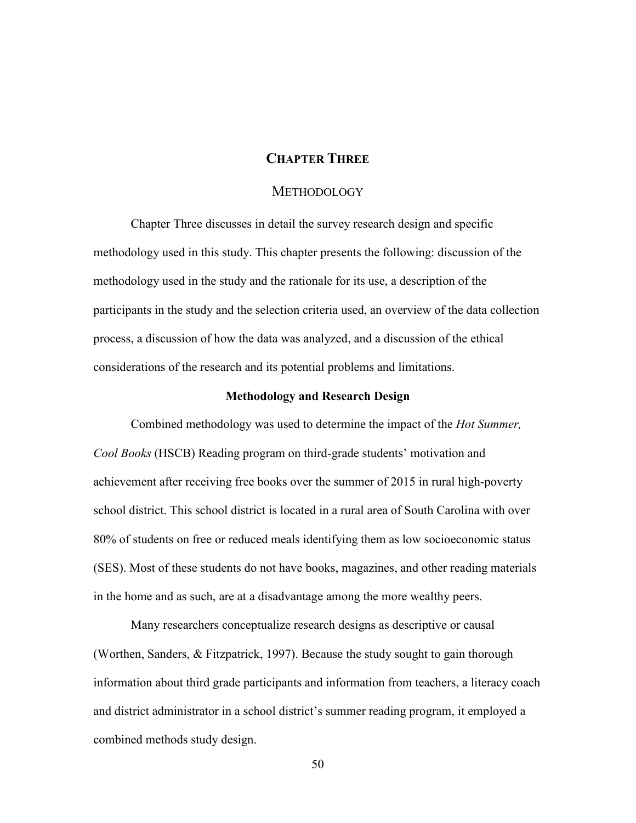# **CHAPTER THREE**

# **METHODOLOGY**

Chapter Three discusses in detail the survey research design and specific methodology used in this study. This chapter presents the following: discussion of the methodology used in the study and the rationale for its use, a description of the participants in the study and the selection criteria used, an overview of the data collection process, a discussion of how the data was analyzed, and a discussion of the ethical considerations of the research and its potential problems and limitations.

#### **Methodology and Research Design**

Combined methodology was used to determine the impact of the *Hot Summer, Cool Books* (HSCB) Reading program on third-grade students' motivation and achievement after receiving free books over the summer of 2015 in rural high-poverty school district. This school district is located in a rural area of South Carolina with over 80% of students on free or reduced meals identifying them as low socioeconomic status (SES). Most of these students do not have books, magazines, and other reading materials in the home and as such, are at a disadvantage among the more wealthy peers.

Many researchers conceptualize research designs as descriptive or causal (Worthen, Sanders, & Fitzpatrick, 1997). Because the study sought to gain thorough information about third grade participants and information from teachers, a literacy coach and district administrator in a school district's summer reading program, it employed a combined methods study design.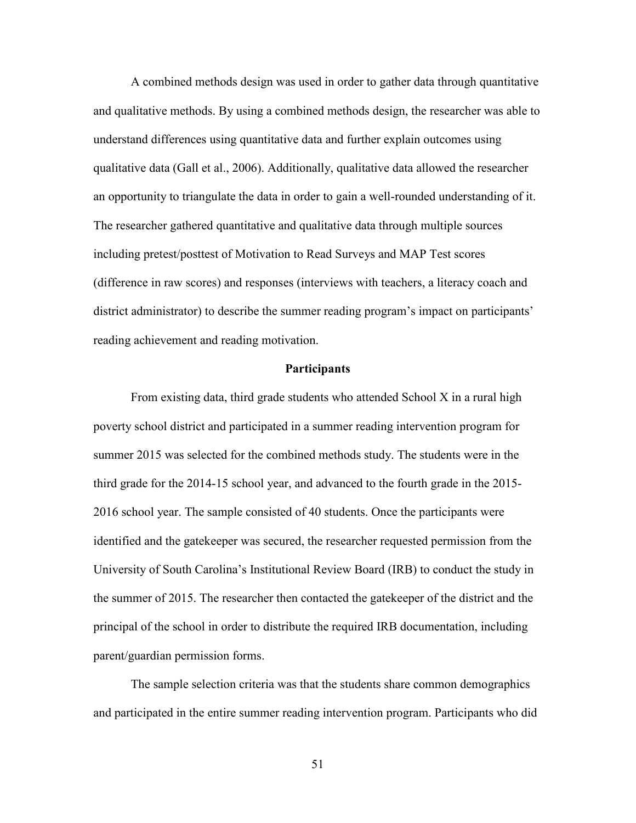A combined methods design was used in order to gather data through quantitative and qualitative methods. By using a combined methods design, the researcher was able to understand differences using quantitative data and further explain outcomes using qualitative data (Gall et al., 2006). Additionally, qualitative data allowed the researcher an opportunity to triangulate the data in order to gain a well-rounded understanding of it. The researcher gathered quantitative and qualitative data through multiple sources including pretest/posttest of Motivation to Read Surveys and MAP Test scores (difference in raw scores) and responses (interviews with teachers, a literacy coach and district administrator) to describe the summer reading program's impact on participants' reading achievement and reading motivation.

#### **Participants**

From existing data, third grade students who attended School X in a rural high poverty school district and participated in a summer reading intervention program for summer 2015 was selected for the combined methods study. The students were in the third grade for the 2014-15 school year, and advanced to the fourth grade in the 2015- 2016 school year. The sample consisted of 40 students. Once the participants were identified and the gatekeeper was secured, the researcher requested permission from the University of South Carolina's Institutional Review Board (IRB) to conduct the study in the summer of 2015. The researcher then contacted the gatekeeper of the district and the principal of the school in order to distribute the required IRB documentation, including parent/guardian permission forms.

The sample selection criteria was that the students share common demographics and participated in the entire summer reading intervention program. Participants who did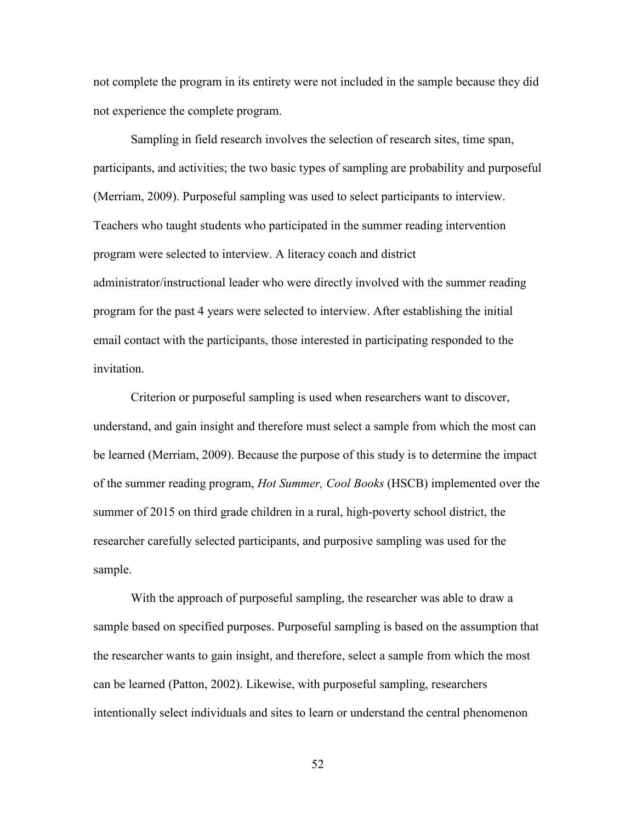not complete the program in its entirety were not included in the sample because they did not experience the complete program.

Sampling in field research involves the selection of research sites, time span, participants, and activities; the two basic types of sampling are probability and purposeful (Merriam, 2009). Purposeful sampling was used to select participants to interview. Teachers who taught students who participated in the summer reading intervention program were selected to interview. A literacy coach and district administrator/instructional leader who were directly involved with the summer reading program for the past 4 years were selected to interview. After establishing the initial email contact with the participants, those interested in participating responded to the invitation.

Criterion or purposeful sampling is used when researchers want to discover, understand, and gain insight and therefore must select a sample from which the most can be learned (Merriam, 2009). Because the purpose of this study is to determine the impact of the summer reading program, *Hot Summer, Cool Books* (HSCB) implemented over the summer of 2015 on third grade children in a rural, high-poverty school district, the researcher carefully selected participants, and purposive sampling was used for the sample.

With the approach of purposeful sampling, the researcher was able to draw a sample based on specified purposes. Purposeful sampling is based on the assumption that the researcher wants to gain insight, and therefore, select a sample from which the most can be learned (Patton, 2002). Likewise, with purposeful sampling, researchers intentionally select individuals and sites to learn or understand the central phenomenon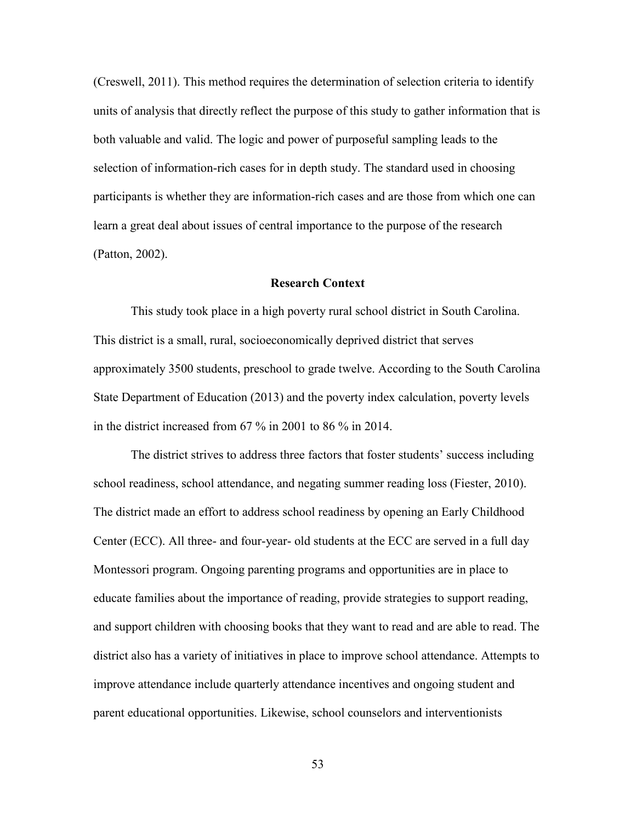(Creswell, 2011). This method requires the determination of selection criteria to identify units of analysis that directly reflect the purpose of this study to gather information that is both valuable and valid. The logic and power of purposeful sampling leads to the selection of information-rich cases for in depth study. The standard used in choosing participants is whether they are information-rich cases and are those from which one can learn a great deal about issues of central importance to the purpose of the research (Patton, 2002).

# **Research Context**

This study took place in a high poverty rural school district in South Carolina. This district is a small, rural, socioeconomically deprived district that serves approximately 3500 students, preschool to grade twelve. According to the South Carolina State Department of Education (2013) and the poverty index calculation, poverty levels in the district increased from 67 % in 2001 to 86 % in 2014.

The district strives to address three factors that foster students' success including school readiness, school attendance, and negating summer reading loss (Fiester, 2010). The district made an effort to address school readiness by opening an Early Childhood Center (ECC). All three- and four-year- old students at the ECC are served in a full day Montessori program. Ongoing parenting programs and opportunities are in place to educate families about the importance of reading, provide strategies to support reading, and support children with choosing books that they want to read and are able to read. The district also has a variety of initiatives in place to improve school attendance. Attempts to improve attendance include quarterly attendance incentives and ongoing student and parent educational opportunities. Likewise, school counselors and interventionists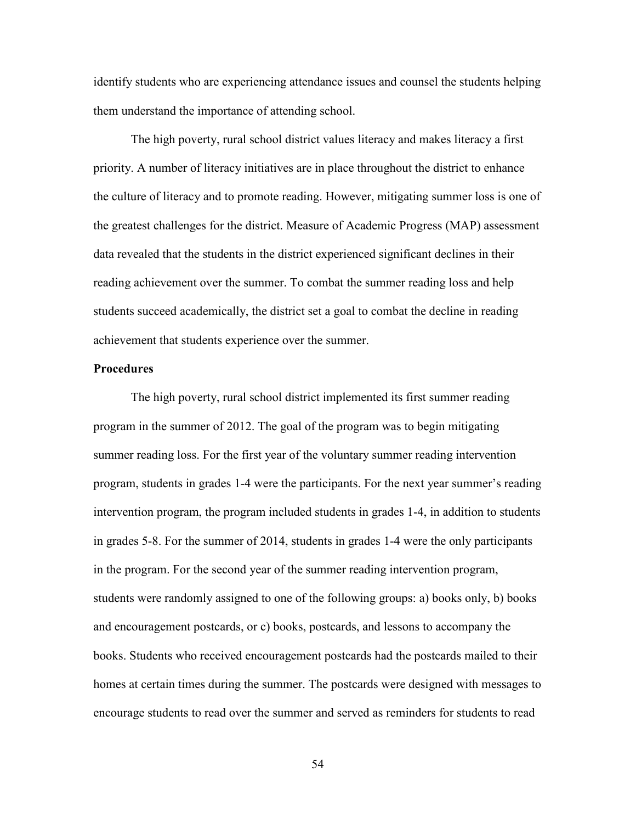identify students who are experiencing attendance issues and counsel the students helping them understand the importance of attending school.

The high poverty, rural school district values literacy and makes literacy a first priority. A number of literacy initiatives are in place throughout the district to enhance the culture of literacy and to promote reading. However, mitigating summer loss is one of the greatest challenges for the district. Measure of Academic Progress (MAP) assessment data revealed that the students in the district experienced significant declines in their reading achievement over the summer. To combat the summer reading loss and help students succeed academically, the district set a goal to combat the decline in reading achievement that students experience over the summer.

## **Procedures**

The high poverty, rural school district implemented its first summer reading program in the summer of 2012. The goal of the program was to begin mitigating summer reading loss. For the first year of the voluntary summer reading intervention program, students in grades 1-4 were the participants. For the next year summer's reading intervention program, the program included students in grades 1-4, in addition to students in grades 5-8. For the summer of 2014, students in grades 1-4 were the only participants in the program. For the second year of the summer reading intervention program, students were randomly assigned to one of the following groups: a) books only, b) books and encouragement postcards, or c) books, postcards, and lessons to accompany the books. Students who received encouragement postcards had the postcards mailed to their homes at certain times during the summer. The postcards were designed with messages to encourage students to read over the summer and served as reminders for students to read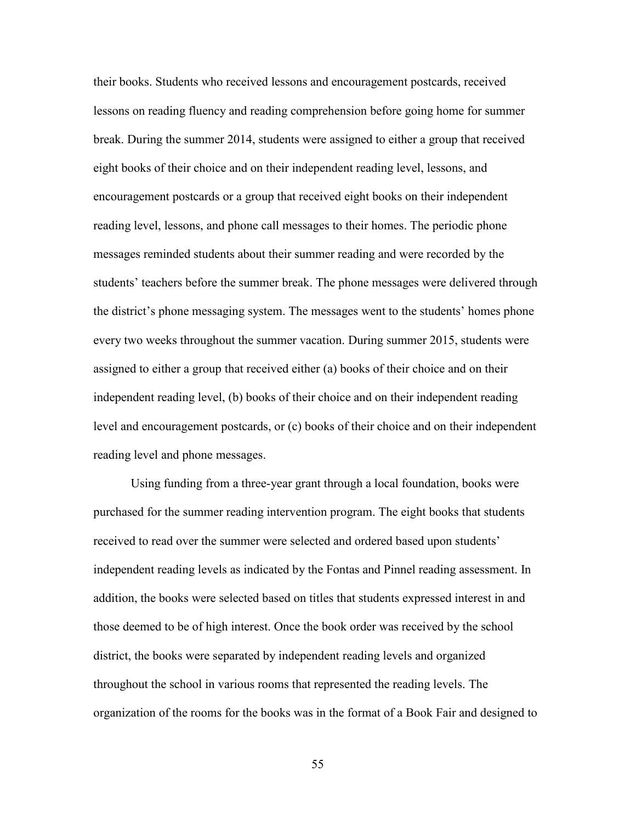their books. Students who received lessons and encouragement postcards, received lessons on reading fluency and reading comprehension before going home for summer break. During the summer 2014, students were assigned to either a group that received eight books of their choice and on their independent reading level, lessons, and encouragement postcards or a group that received eight books on their independent reading level, lessons, and phone call messages to their homes. The periodic phone messages reminded students about their summer reading and were recorded by the students' teachers before the summer break. The phone messages were delivered through the district's phone messaging system. The messages went to the students' homes phone every two weeks throughout the summer vacation. During summer 2015, students were assigned to either a group that received either (a) books of their choice and on their independent reading level, (b) books of their choice and on their independent reading level and encouragement postcards, or (c) books of their choice and on their independent reading level and phone messages.

Using funding from a three-year grant through a local foundation, books were purchased for the summer reading intervention program. The eight books that students received to read over the summer were selected and ordered based upon students' independent reading levels as indicated by the Fontas and Pinnel reading assessment. In addition, the books were selected based on titles that students expressed interest in and those deemed to be of high interest. Once the book order was received by the school district, the books were separated by independent reading levels and organized throughout the school in various rooms that represented the reading levels. The organization of the rooms for the books was in the format of a Book Fair and designed to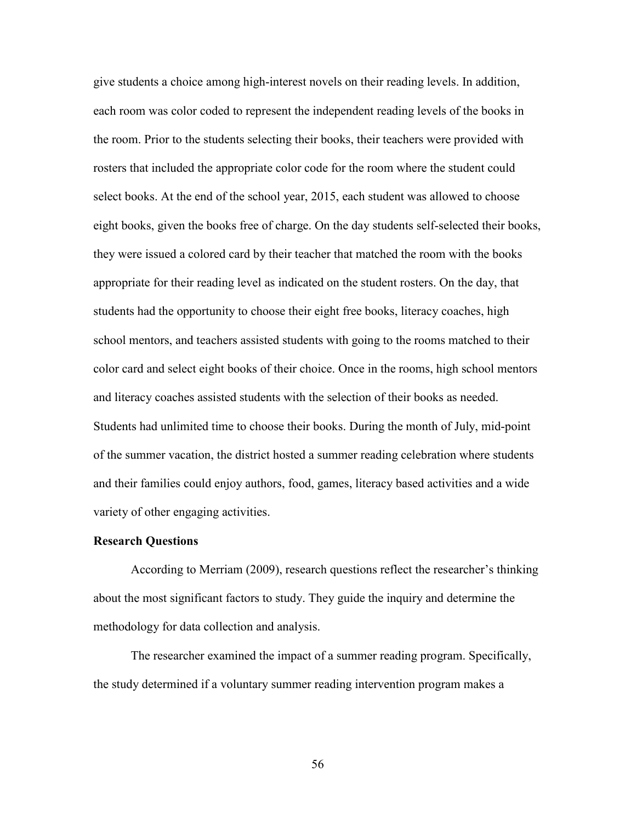give students a choice among high-interest novels on their reading levels. In addition, each room was color coded to represent the independent reading levels of the books in the room. Prior to the students selecting their books, their teachers were provided with rosters that included the appropriate color code for the room where the student could select books. At the end of the school year, 2015, each student was allowed to choose eight books, given the books free of charge. On the day students self-selected their books, they were issued a colored card by their teacher that matched the room with the books appropriate for their reading level as indicated on the student rosters. On the day, that students had the opportunity to choose their eight free books, literacy coaches, high school mentors, and teachers assisted students with going to the rooms matched to their color card and select eight books of their choice. Once in the rooms, high school mentors and literacy coaches assisted students with the selection of their books as needed. Students had unlimited time to choose their books. During the month of July, mid-point of the summer vacation, the district hosted a summer reading celebration where students and their families could enjoy authors, food, games, literacy based activities and a wide variety of other engaging activities.

# **Research Questions**

According to Merriam (2009), research questions reflect the researcher's thinking about the most significant factors to study. They guide the inquiry and determine the methodology for data collection and analysis.

The researcher examined the impact of a summer reading program. Specifically, the study determined if a voluntary summer reading intervention program makes a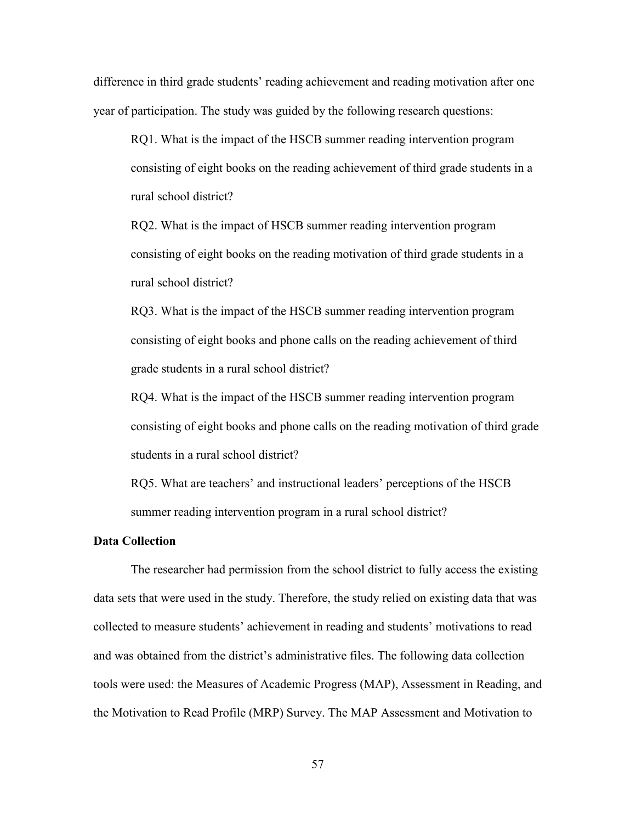difference in third grade students' reading achievement and reading motivation after one year of participation. The study was guided by the following research questions:

RQ1. What is the impact of the HSCB summer reading intervention program consisting of eight books on the reading achievement of third grade students in a rural school district?

RQ2. What is the impact of HSCB summer reading intervention program consisting of eight books on the reading motivation of third grade students in a rural school district?

RQ3. What is the impact of the HSCB summer reading intervention program consisting of eight books and phone calls on the reading achievement of third grade students in a rural school district?

RQ4. What is the impact of the HSCB summer reading intervention program consisting of eight books and phone calls on the reading motivation of third grade students in a rural school district?

RQ5. What are teachers' and instructional leaders' perceptions of the HSCB summer reading intervention program in a rural school district?

# **Data Collection**

The researcher had permission from the school district to fully access the existing data sets that were used in the study. Therefore, the study relied on existing data that was collected to measure students' achievement in reading and students' motivations to read and was obtained from the district's administrative files. The following data collection tools were used: the Measures of Academic Progress (MAP), Assessment in Reading, and the Motivation to Read Profile (MRP) Survey. The MAP Assessment and Motivation to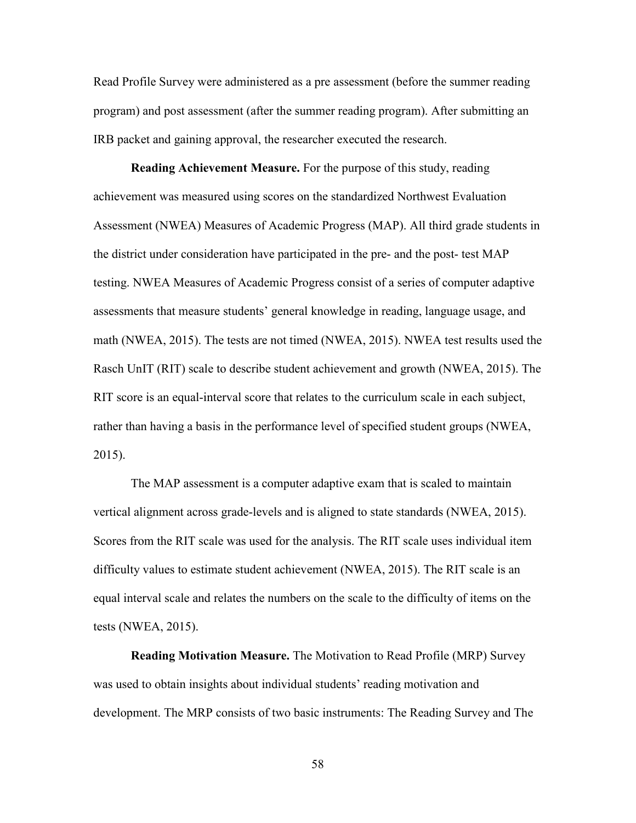Read Profile Survey were administered as a pre assessment (before the summer reading program) and post assessment (after the summer reading program). After submitting an IRB packet and gaining approval, the researcher executed the research.

**Reading Achievement Measure.** For the purpose of this study, reading achievement was measured using scores on the standardized Northwest Evaluation Assessment (NWEA) Measures of Academic Progress (MAP). All third grade students in the district under consideration have participated in the pre- and the post- test MAP testing. NWEA Measures of Academic Progress consist of a series of computer adaptive assessments that measure students' general knowledge in reading, language usage, and math (NWEA, 2015). The tests are not timed (NWEA, 2015). NWEA test results used the Rasch UnIT (RIT) scale to describe student achievement and growth (NWEA, 2015). The RIT score is an equal-interval score that relates to the curriculum scale in each subject, rather than having a basis in the performance level of specified student groups (NWEA, 2015).

The MAP assessment is a computer adaptive exam that is scaled to maintain vertical alignment across grade-levels and is aligned to state standards (NWEA, 2015). Scores from the RIT scale was used for the analysis. The RIT scale uses individual item difficulty values to estimate student achievement (NWEA, 2015). The RIT scale is an equal interval scale and relates the numbers on the scale to the difficulty of items on the tests (NWEA, 2015).

**Reading Motivation Measure.** The Motivation to Read Profile (MRP) Survey was used to obtain insights about individual students' reading motivation and development. The MRP consists of two basic instruments: The Reading Survey and The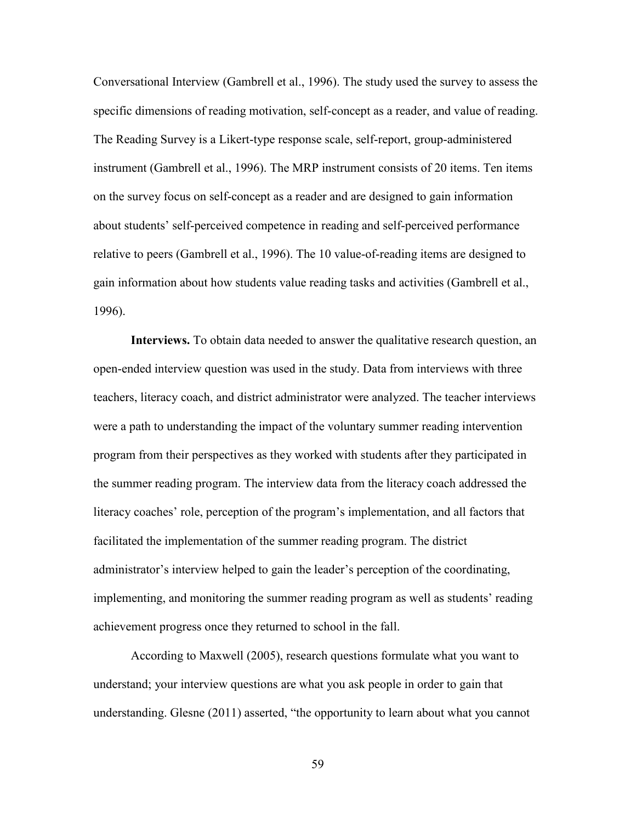Conversational Interview (Gambrell et al., 1996). The study used the survey to assess the specific dimensions of reading motivation, self-concept as a reader, and value of reading. The Reading Survey is a Likert-type response scale, self-report, group-administered instrument (Gambrell et al., 1996). The MRP instrument consists of 20 items. Ten items on the survey focus on self-concept as a reader and are designed to gain information about students' self-perceived competence in reading and self-perceived performance relative to peers (Gambrell et al., 1996). The 10 value-of-reading items are designed to gain information about how students value reading tasks and activities (Gambrell et al., 1996).

**Interviews.** To obtain data needed to answer the qualitative research question, an open-ended interview question was used in the study. Data from interviews with three teachers, literacy coach, and district administrator were analyzed. The teacher interviews were a path to understanding the impact of the voluntary summer reading intervention program from their perspectives as they worked with students after they participated in the summer reading program. The interview data from the literacy coach addressed the literacy coaches' role, perception of the program's implementation, and all factors that facilitated the implementation of the summer reading program. The district administrator's interview helped to gain the leader's perception of the coordinating, implementing, and monitoring the summer reading program as well as students' reading achievement progress once they returned to school in the fall.

According to Maxwell (2005), research questions formulate what you want to understand; your interview questions are what you ask people in order to gain that understanding. Glesne (2011) asserted, "the opportunity to learn about what you cannot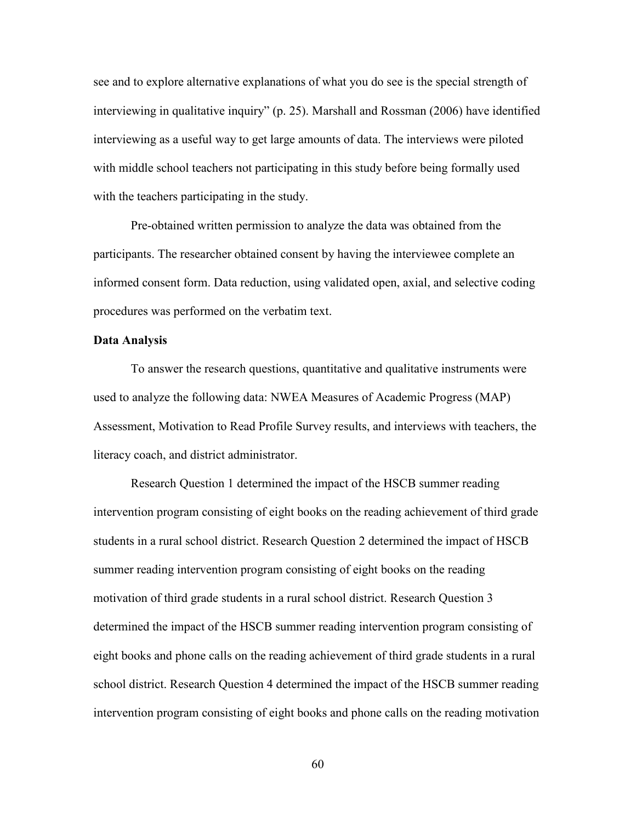see and to explore alternative explanations of what you do see is the special strength of interviewing in qualitative inquiry" (p. 25). Marshall and Rossman (2006) have identified interviewing as a useful way to get large amounts of data. The interviews were piloted with middle school teachers not participating in this study before being formally used with the teachers participating in the study.

Pre-obtained written permission to analyze the data was obtained from the participants. The researcher obtained consent by having the interviewee complete an informed consent form. Data reduction, using validated open, axial, and selective coding procedures was performed on the verbatim text.

# **Data Analysis**

To answer the research questions, quantitative and qualitative instruments were used to analyze the following data: NWEA Measures of Academic Progress (MAP) Assessment, Motivation to Read Profile Survey results, and interviews with teachers, the literacy coach, and district administrator.

Research Question 1 determined the impact of the HSCB summer reading intervention program consisting of eight books on the reading achievement of third grade students in a rural school district. Research Question 2 determined the impact of HSCB summer reading intervention program consisting of eight books on the reading motivation of third grade students in a rural school district. Research Question 3 determined the impact of the HSCB summer reading intervention program consisting of eight books and phone calls on the reading achievement of third grade students in a rural school district. Research Question 4 determined the impact of the HSCB summer reading intervention program consisting of eight books and phone calls on the reading motivation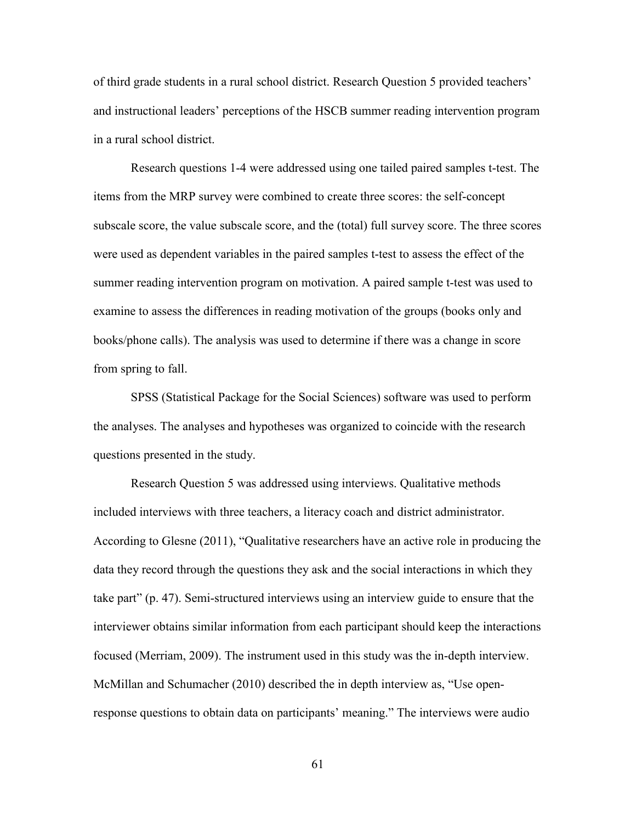of third grade students in a rural school district. Research Question 5 provided teachers' and instructional leaders' perceptions of the HSCB summer reading intervention program in a rural school district.

Research questions 1-4 were addressed using one tailed paired samples t-test. The items from the MRP survey were combined to create three scores: the self-concept subscale score, the value subscale score, and the (total) full survey score. The three scores were used as dependent variables in the paired samples t-test to assess the effect of the summer reading intervention program on motivation. A paired sample t-test was used to examine to assess the differences in reading motivation of the groups (books only and books/phone calls). The analysis was used to determine if there was a change in score from spring to fall.

SPSS (Statistical Package for the Social Sciences) software was used to perform the analyses. The analyses and hypotheses was organized to coincide with the research questions presented in the study.

Research Question 5 was addressed using interviews. Qualitative methods included interviews with three teachers, a literacy coach and district administrator. According to Glesne (2011), "Qualitative researchers have an active role in producing the data they record through the questions they ask and the social interactions in which they take part" (p. 47). Semi-structured interviews using an interview guide to ensure that the interviewer obtains similar information from each participant should keep the interactions focused (Merriam, 2009). The instrument used in this study was the in-depth interview. McMillan and Schumacher (2010) described the in depth interview as, "Use openresponse questions to obtain data on participants' meaning." The interviews were audio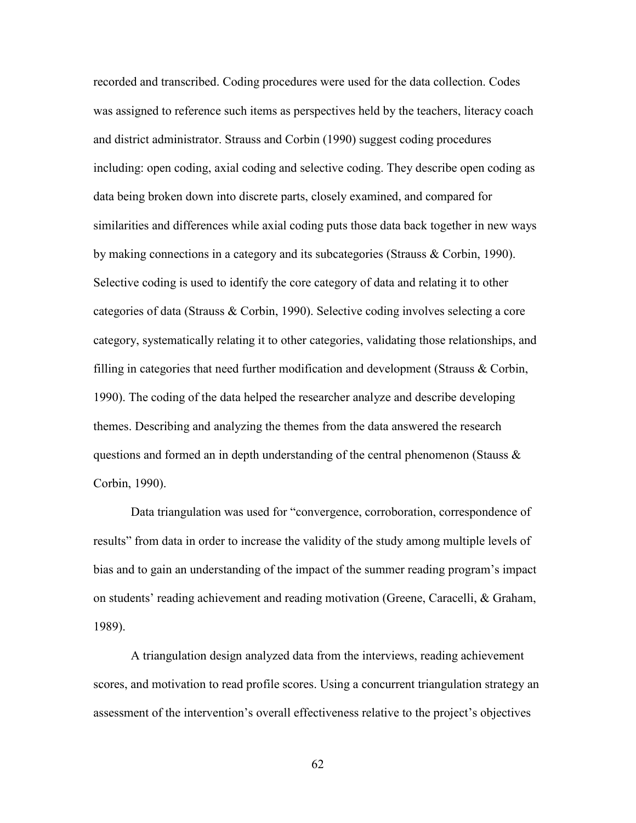recorded and transcribed. Coding procedures were used for the data collection. Codes was assigned to reference such items as perspectives held by the teachers, literacy coach and district administrator. Strauss and Corbin (1990) suggest coding procedures including: open coding, axial coding and selective coding. They describe open coding as data being broken down into discrete parts, closely examined, and compared for similarities and differences while axial coding puts those data back together in new ways by making connections in a category and its subcategories (Strauss & Corbin, 1990). Selective coding is used to identify the core category of data and relating it to other categories of data (Strauss & Corbin, 1990). Selective coding involves selecting a core category, systematically relating it to other categories, validating those relationships, and filling in categories that need further modification and development (Strauss & Corbin, 1990). The coding of the data helped the researcher analyze and describe developing themes. Describing and analyzing the themes from the data answered the research questions and formed an in depth understanding of the central phenomenon (Stauss  $\&$ Corbin, 1990).

Data triangulation was used for "convergence, corroboration, correspondence of results" from data in order to increase the validity of the study among multiple levels of bias and to gain an understanding of the impact of the summer reading program's impact on students' reading achievement and reading motivation (Greene, Caracelli, & Graham, 1989).

A triangulation design analyzed data from the interviews, reading achievement scores, and motivation to read profile scores. Using a concurrent triangulation strategy an assessment of the intervention's overall effectiveness relative to the project's objectives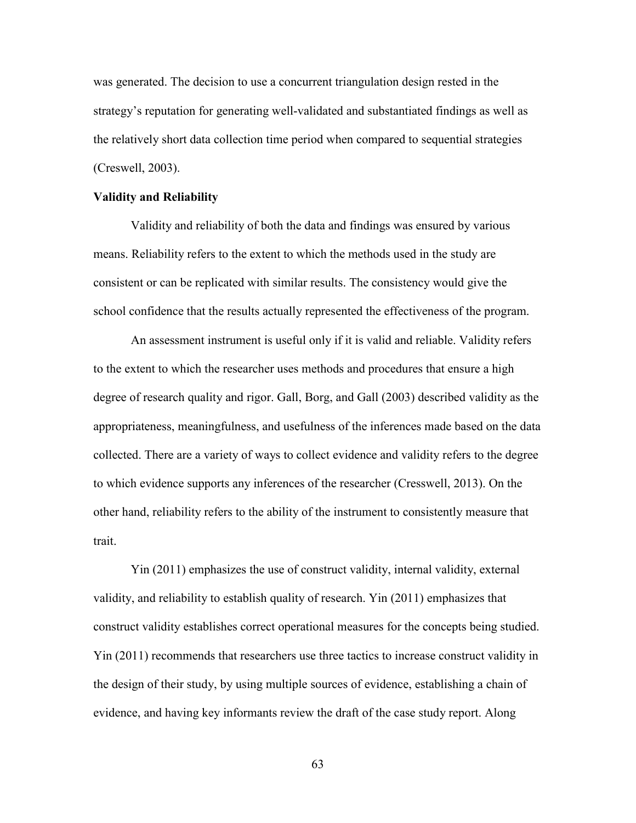was generated. The decision to use a concurrent triangulation design rested in the strategy's reputation for generating well-validated and substantiated findings as well as the relatively short data collection time period when compared to sequential strategies (Creswell, 2003).

### **Validity and Reliability**

Validity and reliability of both the data and findings was ensured by various means. Reliability refers to the extent to which the methods used in the study are consistent or can be replicated with similar results. The consistency would give the school confidence that the results actually represented the effectiveness of the program.

An assessment instrument is useful only if it is valid and reliable. Validity refers to the extent to which the researcher uses methods and procedures that ensure a high degree of research quality and rigor. Gall, Borg, and Gall (2003) described validity as the appropriateness, meaningfulness, and usefulness of the inferences made based on the data collected. There are a variety of ways to collect evidence and validity refers to the degree to which evidence supports any inferences of the researcher (Cresswell, 2013). On the other hand, reliability refers to the ability of the instrument to consistently measure that trait.

Yin (2011) emphasizes the use of construct validity, internal validity, external validity, and reliability to establish quality of research. Yin (2011) emphasizes that construct validity establishes correct operational measures for the concepts being studied. Yin (2011) recommends that researchers use three tactics to increase construct validity in the design of their study, by using multiple sources of evidence, establishing a chain of evidence, and having key informants review the draft of the case study report. Along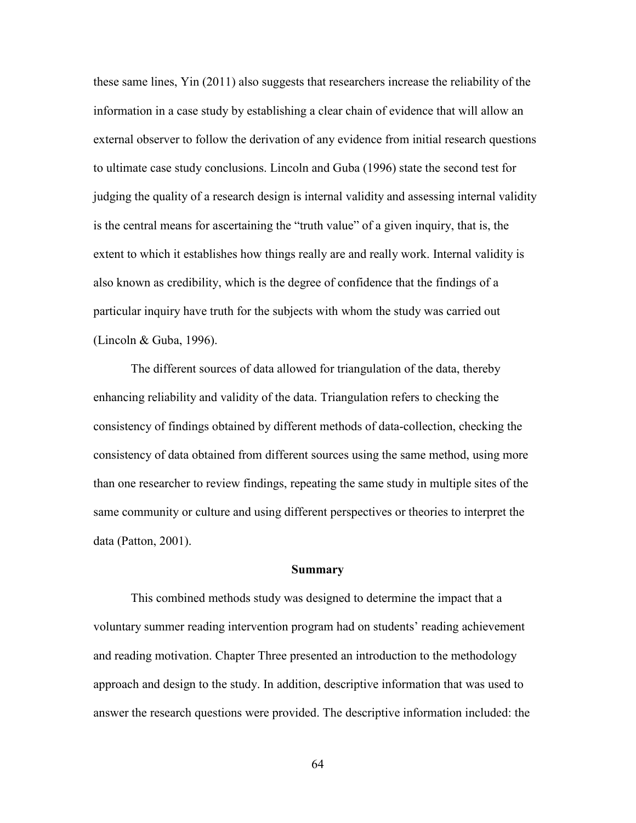these same lines, Yin (2011) also suggests that researchers increase the reliability of the information in a case study by establishing a clear chain of evidence that will allow an external observer to follow the derivation of any evidence from initial research questions to ultimate case study conclusions. Lincoln and Guba (1996) state the second test for judging the quality of a research design is internal validity and assessing internal validity is the central means for ascertaining the "truth value" of a given inquiry, that is, the extent to which it establishes how things really are and really work. Internal validity is also known as credibility, which is the degree of confidence that the findings of a particular inquiry have truth for the subjects with whom the study was carried out (Lincoln & Guba, 1996).

The different sources of data allowed for triangulation of the data, thereby enhancing reliability and validity of the data. Triangulation refers to checking the consistency of findings obtained by different methods of data-collection, checking the consistency of data obtained from different sources using the same method, using more than one researcher to review findings, repeating the same study in multiple sites of the same community or culture and using different perspectives or theories to interpret the data (Patton, 2001).

#### **Summary**

This combined methods study was designed to determine the impact that a voluntary summer reading intervention program had on students' reading achievement and reading motivation. Chapter Three presented an introduction to the methodology approach and design to the study. In addition, descriptive information that was used to answer the research questions were provided. The descriptive information included: the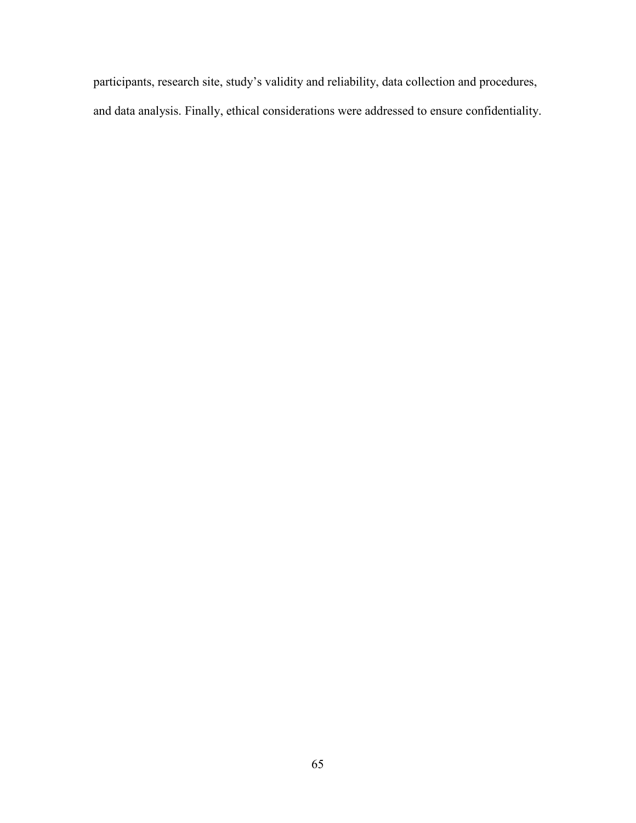participants, research site, study's validity and reliability, data collection and procedures, and data analysis. Finally, ethical considerations were addressed to ensure confidentiality.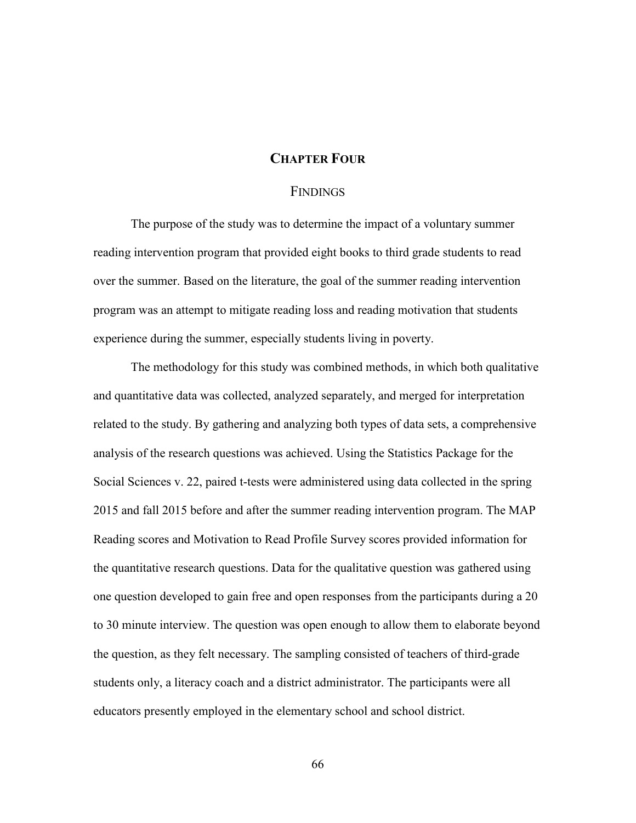# **CHAPTER FOUR**

## **FINDINGS**

The purpose of the study was to determine the impact of a voluntary summer reading intervention program that provided eight books to third grade students to read over the summer. Based on the literature, the goal of the summer reading intervention program was an attempt to mitigate reading loss and reading motivation that students experience during the summer, especially students living in poverty.

The methodology for this study was combined methods, in which both qualitative and quantitative data was collected, analyzed separately, and merged for interpretation related to the study. By gathering and analyzing both types of data sets, a comprehensive analysis of the research questions was achieved. Using the Statistics Package for the Social Sciences v. 22, paired t-tests were administered using data collected in the spring 2015 and fall 2015 before and after the summer reading intervention program. The MAP Reading scores and Motivation to Read Profile Survey scores provided information for the quantitative research questions. Data for the qualitative question was gathered using one question developed to gain free and open responses from the participants during a 20 to 30 minute interview. The question was open enough to allow them to elaborate beyond the question, as they felt necessary. The sampling consisted of teachers of third-grade students only, a literacy coach and a district administrator. The participants were all educators presently employed in the elementary school and school district.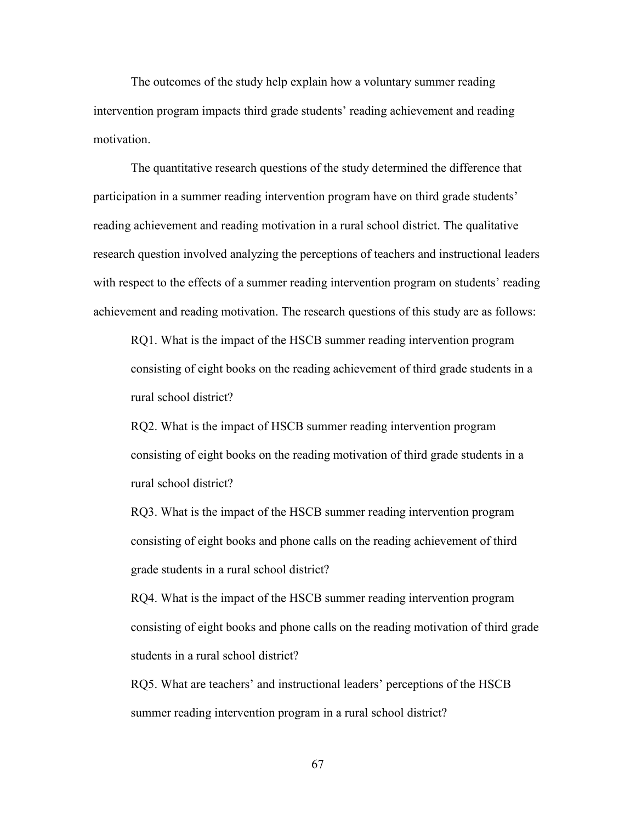The outcomes of the study help explain how a voluntary summer reading intervention program impacts third grade students' reading achievement and reading motivation.

The quantitative research questions of the study determined the difference that participation in a summer reading intervention program have on third grade students' reading achievement and reading motivation in a rural school district. The qualitative research question involved analyzing the perceptions of teachers and instructional leaders with respect to the effects of a summer reading intervention program on students' reading achievement and reading motivation. The research questions of this study are as follows:

RQ1. What is the impact of the HSCB summer reading intervention program consisting of eight books on the reading achievement of third grade students in a rural school district?

RQ2. What is the impact of HSCB summer reading intervention program consisting of eight books on the reading motivation of third grade students in a rural school district?

RQ3. What is the impact of the HSCB summer reading intervention program consisting of eight books and phone calls on the reading achievement of third grade students in a rural school district?

RQ4. What is the impact of the HSCB summer reading intervention program consisting of eight books and phone calls on the reading motivation of third grade students in a rural school district?

RQ5. What are teachers' and instructional leaders' perceptions of the HSCB summer reading intervention program in a rural school district?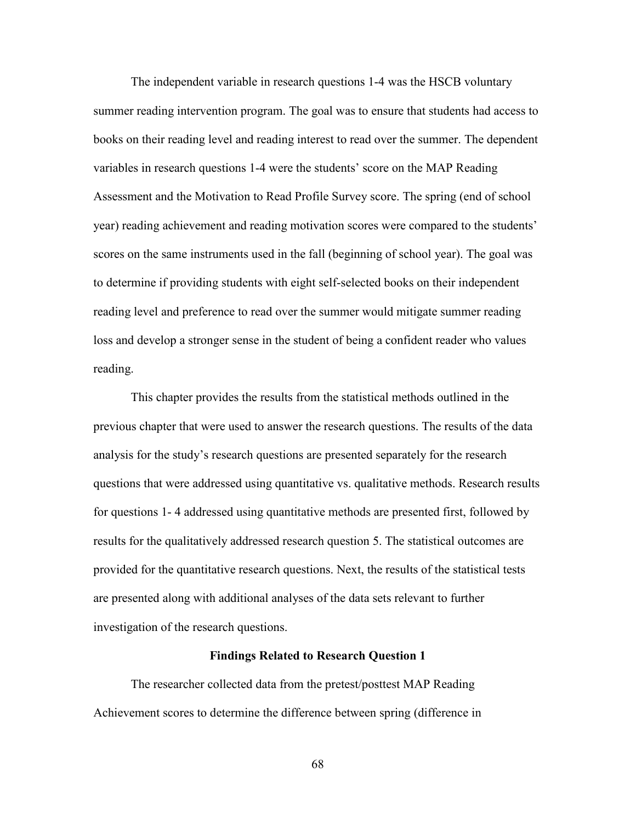The independent variable in research questions 1-4 was the HSCB voluntary summer reading intervention program. The goal was to ensure that students had access to books on their reading level and reading interest to read over the summer. The dependent variables in research questions 1-4 were the students' score on the MAP Reading Assessment and the Motivation to Read Profile Survey score. The spring (end of school year) reading achievement and reading motivation scores were compared to the students' scores on the same instruments used in the fall (beginning of school year). The goal was to determine if providing students with eight self-selected books on their independent reading level and preference to read over the summer would mitigate summer reading loss and develop a stronger sense in the student of being a confident reader who values reading.

This chapter provides the results from the statistical methods outlined in the previous chapter that were used to answer the research questions. The results of the data analysis for the study's research questions are presented separately for the research questions that were addressed using quantitative vs. qualitative methods. Research results for questions 1- 4 addressed using quantitative methods are presented first, followed by results for the qualitatively addressed research question 5. The statistical outcomes are provided for the quantitative research questions. Next, the results of the statistical tests are presented along with additional analyses of the data sets relevant to further investigation of the research questions.

### **Findings Related to Research Question 1**

The researcher collected data from the pretest/posttest MAP Reading Achievement scores to determine the difference between spring (difference in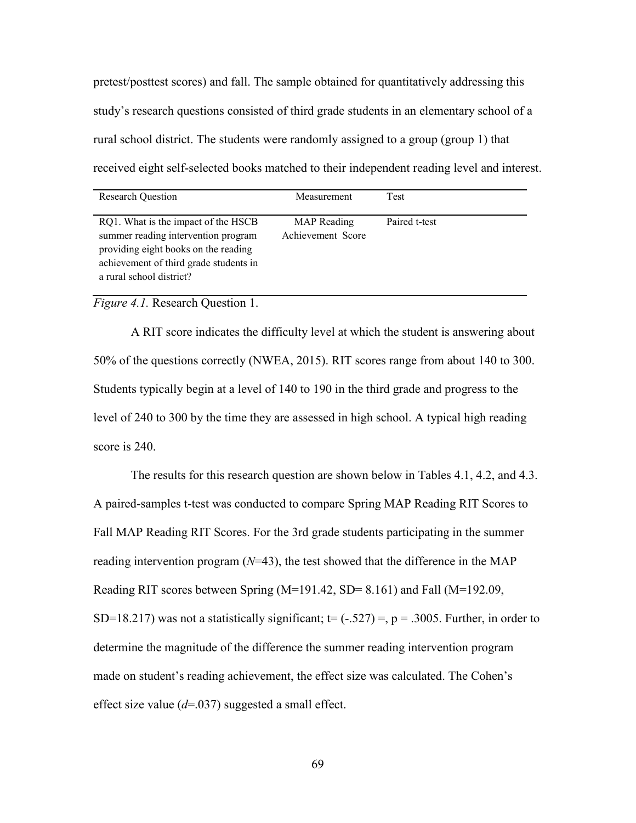pretest/posttest scores) and fall. The sample obtained for quantitatively addressing this study's research questions consisted of third grade students in an elementary school of a rural school district. The students were randomly assigned to a group (group 1) that received eight self-selected books matched to their independent reading level and interest.

| <b>Research Question</b>                                                                                                                                                                 | Measurement                      | Test          |
|------------------------------------------------------------------------------------------------------------------------------------------------------------------------------------------|----------------------------------|---------------|
| RQ1. What is the impact of the HSCB<br>summer reading intervention program<br>providing eight books on the reading<br>achievement of third grade students in<br>a rural school district? | MAP Reading<br>Achievement Score | Paired t-test |

*Figure 4.1.* Research Question 1.

A RIT score indicates the difficulty level at which the student is answering about 50% of the questions correctly (NWEA, 2015). RIT scores range from about 140 to 300. Students typically begin at a level of 140 to 190 in the third grade and progress to the level of 240 to 300 by the time they are assessed in high school. A typical high reading score is 240.

The results for this research question are shown below in Tables 4.1, 4.2, and 4.3. A paired-samples t-test was conducted to compare Spring MAP Reading RIT Scores to Fall MAP Reading RIT Scores. For the 3rd grade students participating in the summer reading intervention program (*N*=43), the test showed that the difference in the MAP Reading RIT scores between Spring (M=191.42, SD= 8.161) and Fall (M=192.09, SD=18.217) was not a statistically significant;  $t=$  (-.527) =, p = .3005. Further, in order to determine the magnitude of the difference the summer reading intervention program made on student's reading achievement, the effect size was calculated. The Cohen's effect size value (*d*=.037) suggested a small effect.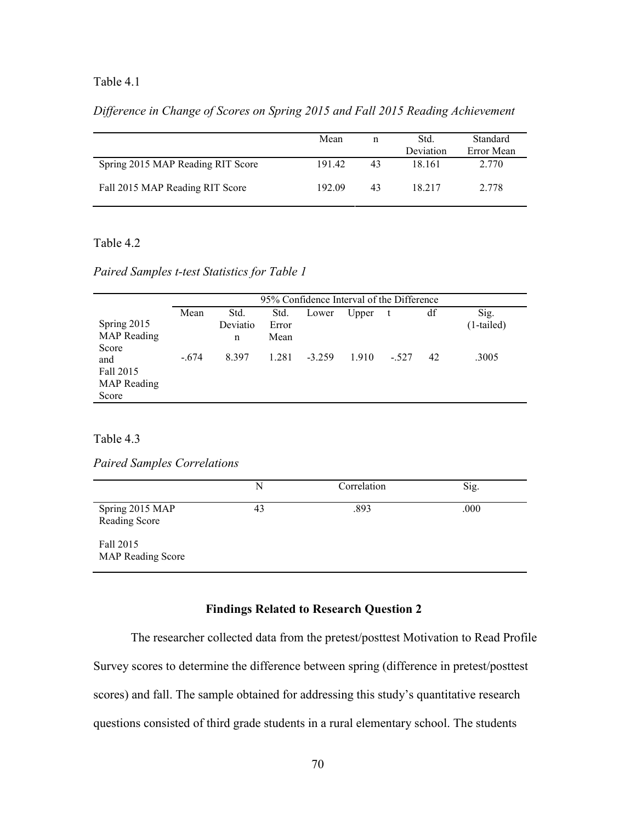## Table 4.1

*Difference in Change of Scores on Spring 2015 and Fall 2015 Reading Achievement*

|                                   | Mean   | n  | Std.<br>Deviation | Standard<br>Error Mean |
|-----------------------------------|--------|----|-------------------|------------------------|
| Spring 2015 MAP Reading RIT Score | 19142  | 43 | 18 161            | 2.770                  |
| Fall 2015 MAP Reading RIT Score   | 192.09 | 43 | 18 217            | 2.778                  |

## Table 4.2

*Paired Samples t-test Statistics for Table 1*

|                                                 | 95% Confidence Interval of the Difference |                       |                       |          |       |        |    |                      |
|-------------------------------------------------|-------------------------------------------|-----------------------|-----------------------|----------|-------|--------|----|----------------------|
| Spring 2015<br><b>MAP</b> Reading<br>Score      | Mean                                      | Std.<br>Deviatio<br>n | Std.<br>Error<br>Mean | Lower    | Upper | t      | df | Sig.<br>$(1-tailed)$ |
| and<br>Fall 2015<br><b>MAP</b> Reading<br>Score | $-.674$                                   | 8.397                 | 1.281                 | $-3.259$ | 1.910 | $-527$ | 42 | .3005                |

Table 4.3

*Paired Samples Correlations*

|                                       | N  | Correlation | Sig. |
|---------------------------------------|----|-------------|------|
| Spring 2015 MAP<br>Reading Score      | 43 | .893        | .000 |
| Fall 2015<br><b>MAP Reading Score</b> |    |             |      |

# **Findings Related to Research Question 2**

The researcher collected data from the pretest/posttest Motivation to Read Profile Survey scores to determine the difference between spring (difference in pretest/posttest scores) and fall. The sample obtained for addressing this study's quantitative research questions consisted of third grade students in a rural elementary school. The students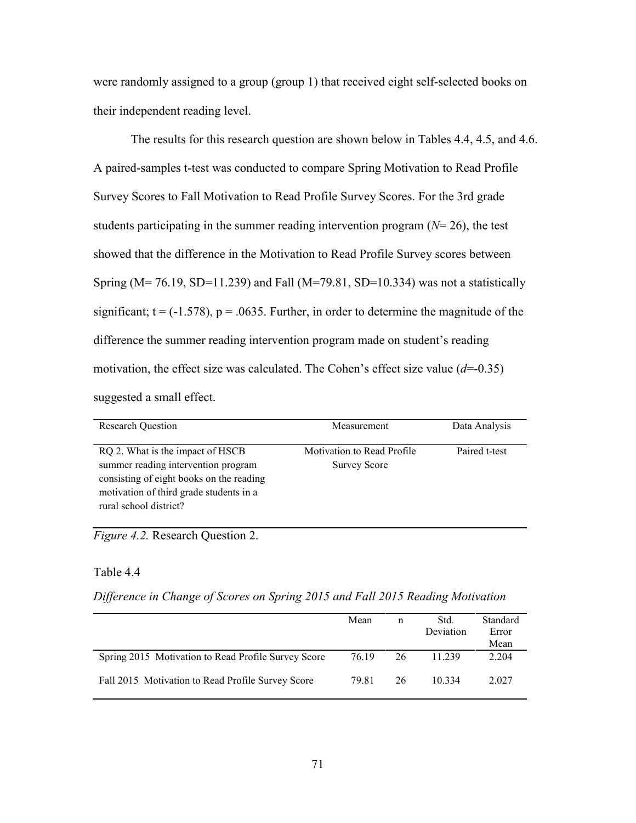were randomly assigned to a group (group 1) that received eight self-selected books on their independent reading level.

The results for this research question are shown below in Tables 4.4, 4.5, and 4.6. A paired-samples t-test was conducted to compare Spring Motivation to Read Profile Survey Scores to Fall Motivation to Read Profile Survey Scores. For the 3rd grade students participating in the summer reading intervention program (*N*= 26), the test showed that the difference in the Motivation to Read Profile Survey scores between Spring (M= 76.19, SD=11.239) and Fall (M=79.81, SD=10.334) was not a statistically significant;  $t = (-1.578)$ ,  $p = .0635$ . Further, in order to determine the magnitude of the difference the summer reading intervention program made on student's reading motivation, the effect size was calculated. The Cohen's effect size value (*d*=-0.35) suggested a small effect.

| <b>Research Question</b>                                                                                                                                                                 | Measurement                                       | Data Analysis |
|------------------------------------------------------------------------------------------------------------------------------------------------------------------------------------------|---------------------------------------------------|---------------|
| RQ 2. What is the impact of HSCB<br>summer reading intervention program<br>consisting of eight books on the reading<br>motivation of third grade students in a<br>rural school district? | Motivation to Read Profile<br><b>Survey Score</b> | Paired t-test |

*Figure 4.2.* Research Question 2.

### Table 4.4

*Difference in Change of Scores on Spring 2015 and Fall 2015 Reading Motivation*

|                                                     | Mean  | n  | Std.<br>Deviation | Standard<br>Error<br>Mean |
|-----------------------------------------------------|-------|----|-------------------|---------------------------|
| Spring 2015 Motivation to Read Profile Survey Score | 76.19 | 26 | 11.239            | 2.204                     |
| Fall 2015 Motivation to Read Profile Survey Score   | 79.81 | 26 | 10 334            | 2.027                     |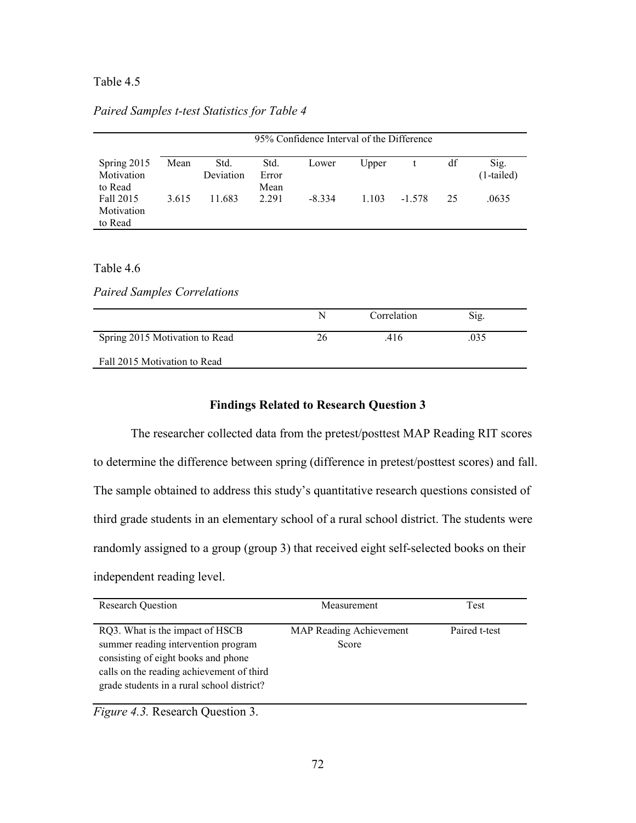## Table 4.5

*Paired Samples t-test Statistics for Table 4*

|                                      | 95% Confidence Interval of the Difference |                   |                       |         |       |          |    |                      |
|--------------------------------------|-------------------------------------------|-------------------|-----------------------|---------|-------|----------|----|----------------------|
| Spring 2015<br>Motivation<br>to Read | Mean                                      | Std.<br>Deviation | Std.<br>Error<br>Mean | Lower   | Upper |          | df | Sig.<br>$(1-tailed)$ |
| Fall 2015<br>Motivation<br>to Read   | 3.615                                     | 11.683            | 2.291                 | $-8334$ | 1.103 | $-1.578$ | 25 | .0635                |

### Table 4.6

*Paired Samples Correlations*

|                                | N  | Correlation | Sig. |  |
|--------------------------------|----|-------------|------|--|
| Spring 2015 Motivation to Read | 26 | .416        | .035 |  |
| Fall 2015 Motivation to Read   |    |             |      |  |

### **Findings Related to Research Question 3**

The researcher collected data from the pretest/posttest MAP Reading RIT scores to determine the difference between spring (difference in pretest/posttest scores) and fall. The sample obtained to address this study's quantitative research questions consisted of third grade students in an elementary school of a rural school district. The students were randomly assigned to a group (group 3) that received eight self-selected books on their independent reading level.

| <b>Research Question</b>                                                                                                                                                                                 | Measurement                      | Test          |
|----------------------------------------------------------------------------------------------------------------------------------------------------------------------------------------------------------|----------------------------------|---------------|
| RQ3. What is the impact of HSCB<br>summer reading intervention program<br>consisting of eight books and phone<br>calls on the reading achievement of third<br>grade students in a rural school district? | MAP Reading Achievement<br>Score | Paired t-test |

*Figure 4.3.* Research Question 3.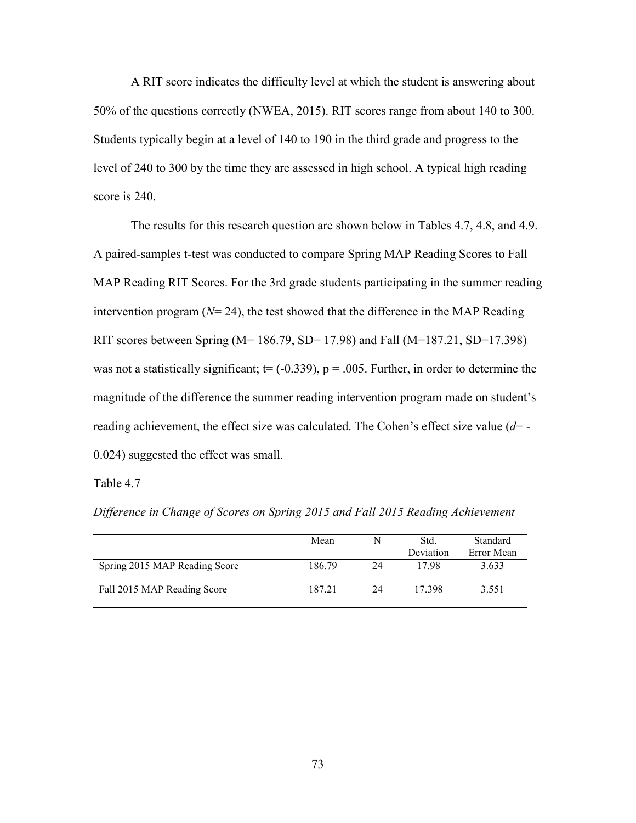A RIT score indicates the difficulty level at which the student is answering about 50% of the questions correctly (NWEA, 2015). RIT scores range from about 140 to 300. Students typically begin at a level of 140 to 190 in the third grade and progress to the level of 240 to 300 by the time they are assessed in high school. A typical high reading score is 240.

The results for this research question are shown below in Tables 4.7, 4.8, and 4.9. A paired-samples t-test was conducted to compare Spring MAP Reading Scores to Fall MAP Reading RIT Scores. For the 3rd grade students participating in the summer reading intervention program  $(N=24)$ , the test showed that the difference in the MAP Reading RIT scores between Spring (M=  $186.79$ , SD=  $17.98$ ) and Fall (M= $187.21$ , SD= $17.398$ ) was not a statistically significant;  $t = (-0.339)$ ,  $p = .005$ . Further, in order to determine the magnitude of the difference the summer reading intervention program made on student's reading achievement, the effect size was calculated. The Cohen's effect size value (*d*= - 0.024) suggested the effect was small.

Table 4.7

|                               | Mean   | N  | Std.<br>Deviation | Standard<br>Error Mean |
|-------------------------------|--------|----|-------------------|------------------------|
| Spring 2015 MAP Reading Score | 186.79 | 24 | 1798              | 3.633                  |
| Fall 2015 MAP Reading Score   | 187.21 | 24 | 17 398            | 3.551                  |

*Difference in Change of Scores on Spring 2015 and Fall 2015 Reading Achievement*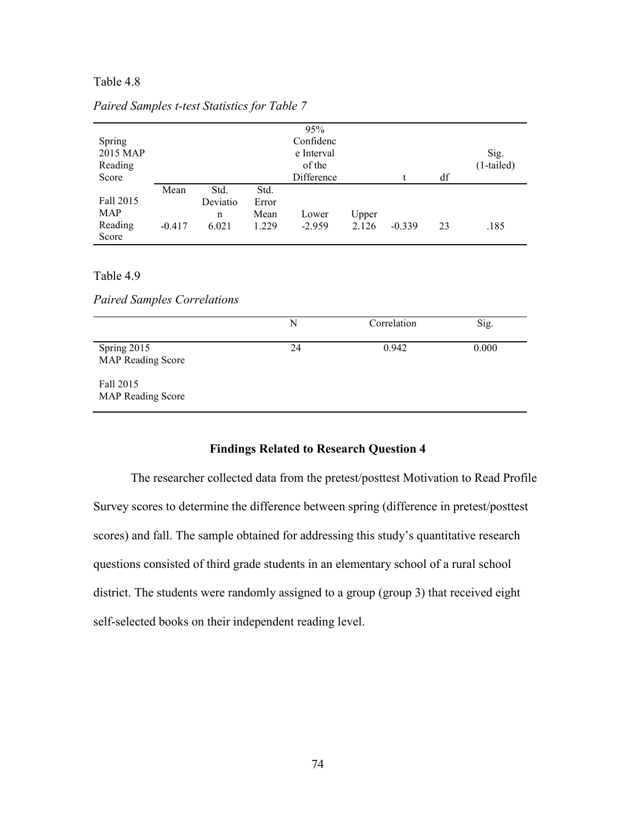## Table 4.8

|            |          |          |       | 95%        |       |          |    |              |
|------------|----------|----------|-------|------------|-------|----------|----|--------------|
| Spring     |          |          |       | Confidenc  |       |          |    |              |
| 2015 MAP   |          |          |       | e Interval |       |          |    | Sig.         |
| Reading    |          |          |       | of the     |       |          |    | $(1-tailed)$ |
| Score      |          |          |       | Difference |       |          | df |              |
|            | Mean     | Std.     | Std.  |            |       |          |    |              |
| Fall 2015  |          | Deviatio | Error |            |       |          |    |              |
| <b>MAP</b> |          | n        | Mean  | Lower      | Upper |          |    |              |
| Reading    | $-0.417$ | 6.021    | 1.229 | $-2.959$   | 2.126 | $-0.339$ | 23 | .185         |
| Score      |          |          |       |            |       |          |    |              |

### *Paired Samples t-test Statistics for Table 7*

### Table 4.9

*Paired Samples Correlations*

|                                         | N  | Correlation | Sig.  |
|-----------------------------------------|----|-------------|-------|
| Spring 2015<br><b>MAP Reading Score</b> | 24 | 0.942       | 0.000 |
| Fall 2015<br><b>MAP Reading Score</b>   |    |             |       |

## **Findings Related to Research Question 4**

The researcher collected data from the pretest/posttest Motivation to Read Profile Survey scores to determine the difference between spring (difference in pretest/posttest scores) and fall. The sample obtained for addressing this study's quantitative research questions consisted of third grade students in an elementary school of a rural school district. The students were randomly assigned to a group (group 3) that received eight self-selected books on their independent reading level.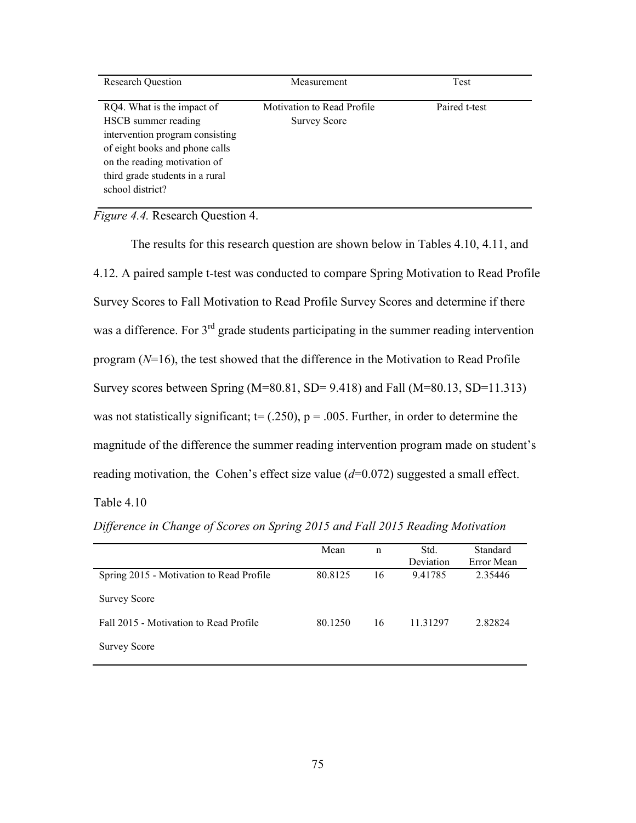| <b>Research Question</b>                                                                                                                                                                                      | Measurement                                              | Test          |
|---------------------------------------------------------------------------------------------------------------------------------------------------------------------------------------------------------------|----------------------------------------------------------|---------------|
| RQ4. What is the impact of<br>HSCB summer reading<br>intervention program consisting<br>of eight books and phone calls<br>on the reading motivation of<br>third grade students in a rural<br>school district? | <b>Motivation to Read Profile</b><br><b>Survey Score</b> | Paired t-test |

*Figure 4.4.* Research Question 4.

The results for this research question are shown below in Tables 4.10, 4.11, and 4.12. A paired sample t-test was conducted to compare Spring Motivation to Read Profile Survey Scores to Fall Motivation to Read Profile Survey Scores and determine if there was a difference. For  $3<sup>rd</sup>$  grade students participating in the summer reading intervention program (*N*=16), the test showed that the difference in the Motivation to Read Profile Survey scores between Spring  $(M=80.81, SD= 9.418)$  and Fall  $(M=80.13, SD=11.313)$ was not statistically significant;  $t = (.250)$ ,  $p = .005$ . Further, in order to determine the magnitude of the difference the summer reading intervention program made on student's reading motivation, the Cohen's effect size value ( $d=0.072$ ) suggested a small effect. Table 4.10

|                                          | Mean    | n  | Std.<br>Deviation | Standard<br>Error Mean |
|------------------------------------------|---------|----|-------------------|------------------------|
| Spring 2015 - Motivation to Read Profile | 80.8125 | 16 | 9.41785           | 2.35446                |
| <b>Survey Score</b>                      |         |    |                   |                        |
| Fall 2015 - Motivation to Read Profile   | 80.1250 | 16 | 11.31297          | 2.82824                |
| <b>Survey Score</b>                      |         |    |                   |                        |

*Difference in Change of Scores on Spring 2015 and Fall 2015 Reading Motivation*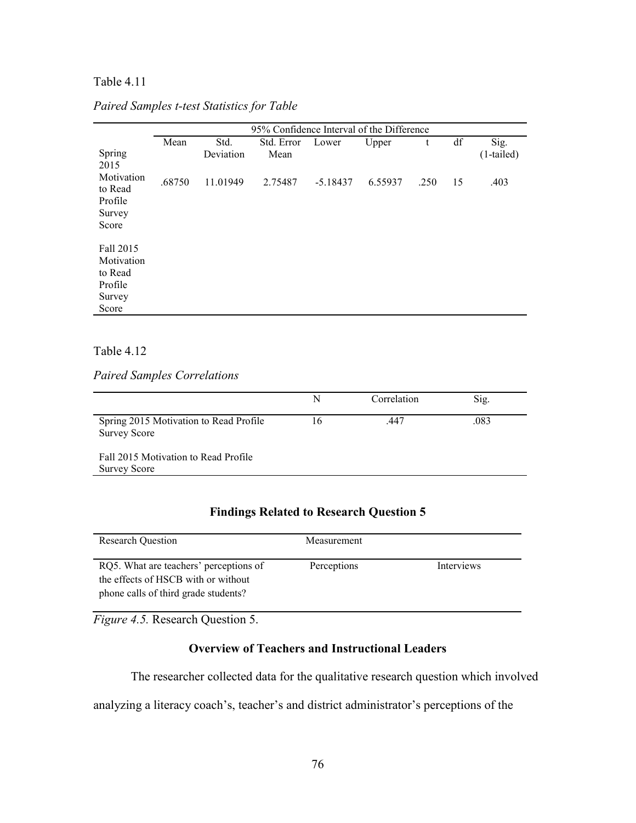## Table 4.11

|                                                                  | 95% Confidence Interval of the Difference |                   |                    |            |         |      |    |                      |
|------------------------------------------------------------------|-------------------------------------------|-------------------|--------------------|------------|---------|------|----|----------------------|
| Spring<br>2015                                                   | Mean                                      | Std.<br>Deviation | Std. Error<br>Mean | Lower      | Upper   | t    | df | Sig.<br>$(1-tailed)$ |
| Motivation<br>to Read<br>Profile<br>Survey<br>Score              | .68750                                    | 11.01949          | 2.75487            | $-5.18437$ | 6.55937 | .250 | 15 | .403                 |
| Fall 2015<br>Motivation<br>to Read<br>Profile<br>Survey<br>Score |                                           |                   |                    |            |         |      |    |                      |

## *Paired Samples t-test Statistics for Table*

## Table 4.12

*Paired Samples Correlations*

|                                                               | N  | Correlation | Sig. |
|---------------------------------------------------------------|----|-------------|------|
| Spring 2015 Motivation to Read Profile<br><b>Survey Score</b> | 16 | .447        | .083 |
| Fall 2015 Motivation to Read Profile<br><b>Survey Score</b>   |    |             |      |

# **Findings Related to Research Question 5**

| <b>Research Ouestion</b>                                                                                              | Measurement |            |
|-----------------------------------------------------------------------------------------------------------------------|-------------|------------|
| RQ5. What are teachers' perceptions of<br>the effects of HSCB with or without<br>phone calls of third grade students? | Perceptions | Interviews |

*Figure 4.5.* Research Question 5.

# **Overview of Teachers and Instructional Leaders**

The researcher collected data for the qualitative research question which involved

analyzing a literacy coach's, teacher's and district administrator's perceptions of the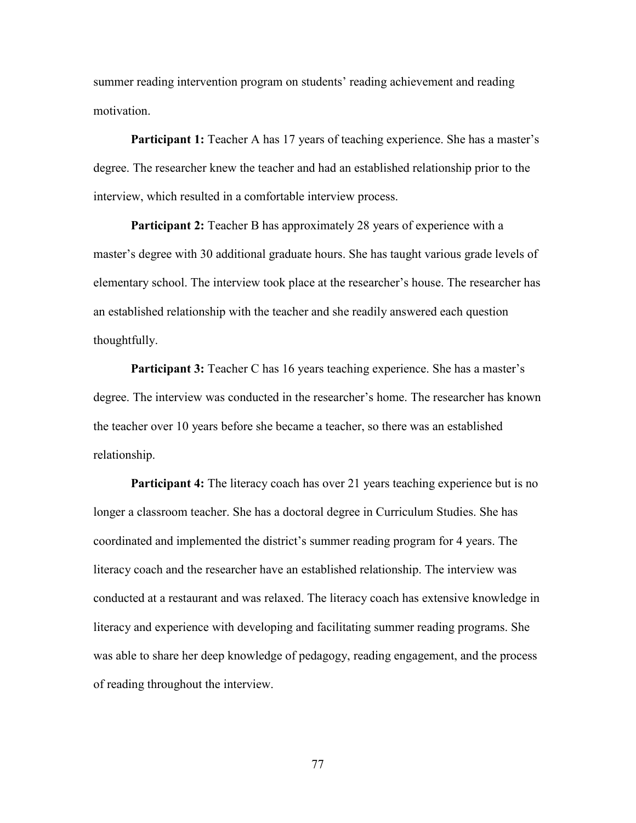summer reading intervention program on students' reading achievement and reading motivation.

**Participant 1:** Teacher A has 17 years of teaching experience. She has a master's degree. The researcher knew the teacher and had an established relationship prior to the interview, which resulted in a comfortable interview process.

**Participant 2:** Teacher B has approximately 28 years of experience with a master's degree with 30 additional graduate hours. She has taught various grade levels of elementary school. The interview took place at the researcher's house. The researcher has an established relationship with the teacher and she readily answered each question thoughtfully.

**Participant 3:** Teacher C has 16 years teaching experience. She has a master's degree. The interview was conducted in the researcher's home. The researcher has known the teacher over 10 years before she became a teacher, so there was an established relationship.

**Participant 4:** The literacy coach has over 21 years teaching experience but is no longer a classroom teacher. She has a doctoral degree in Curriculum Studies. She has coordinated and implemented the district's summer reading program for 4 years. The literacy coach and the researcher have an established relationship. The interview was conducted at a restaurant and was relaxed. The literacy coach has extensive knowledge in literacy and experience with developing and facilitating summer reading programs. She was able to share her deep knowledge of pedagogy, reading engagement, and the process of reading throughout the interview.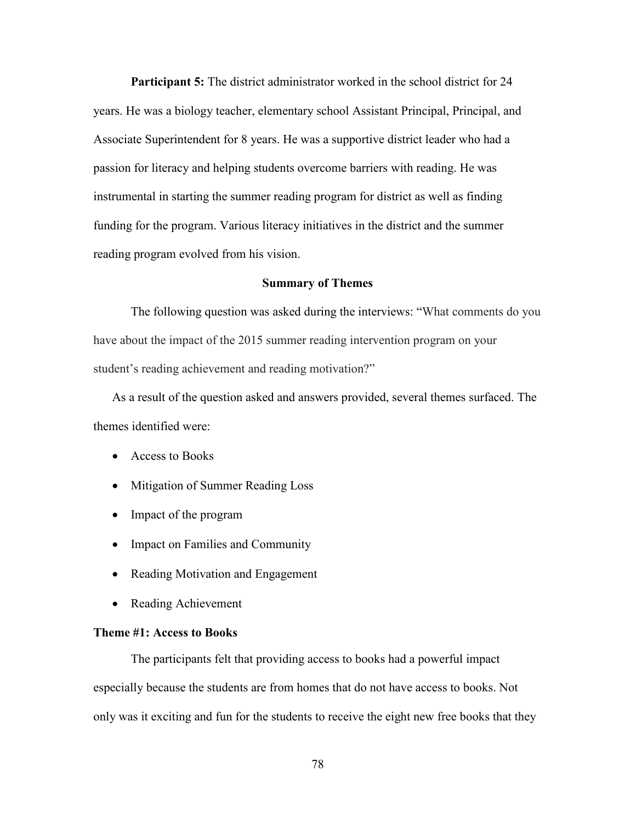**Participant 5:** The district administrator worked in the school district for 24 years. He was a biology teacher, elementary school Assistant Principal, Principal, and Associate Superintendent for 8 years. He was a supportive district leader who had a passion for literacy and helping students overcome barriers with reading. He was instrumental in starting the summer reading program for district as well as finding funding for the program. Various literacy initiatives in the district and the summer reading program evolved from his vision.

### **Summary of Themes**

The following question was asked during the interviews: "What comments do you have about the impact of the 2015 summer reading intervention program on your student's reading achievement and reading motivation?"

As a result of the question asked and answers provided, several themes surfaced. The themes identified were:

- Access to Books
- Mitigation of Summer Reading Loss
- Impact of the program
- Impact on Families and Community
- Reading Motivation and Engagement
- Reading Achievement

### **Theme #1: Access to Books**

The participants felt that providing access to books had a powerful impact especially because the students are from homes that do not have access to books. Not only was it exciting and fun for the students to receive the eight new free books that they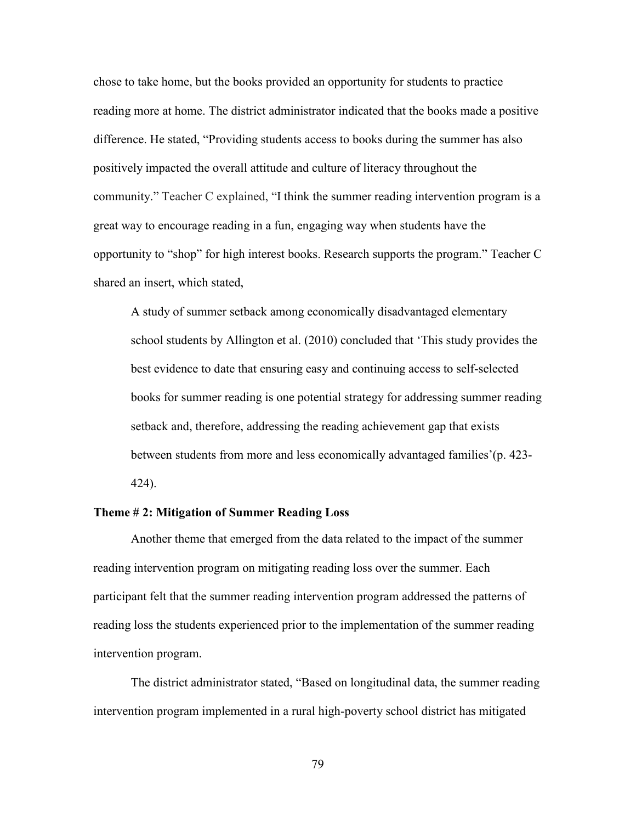chose to take home, but the books provided an opportunity for students to practice reading more at home. The district administrator indicated that the books made a positive difference. He stated, "Providing students access to books during the summer has also positively impacted the overall attitude and culture of literacy throughout the community." Teacher C explained, "I think the summer reading intervention program is a great way to encourage reading in a fun, engaging way when students have the opportunity to "shop" for high interest books. Research supports the program." Teacher C shared an insert, which stated,

A study of summer setback among economically disadvantaged elementary school students by Allington et al. (2010) concluded that 'This study provides the best evidence to date that ensuring easy and continuing access to self-selected books for summer reading is one potential strategy for addressing summer reading setback and, therefore, addressing the reading achievement gap that exists between students from more and less economically advantaged families'(p. 423- 424).

## **Theme # 2: Mitigation of Summer Reading Loss**

Another theme that emerged from the data related to the impact of the summer reading intervention program on mitigating reading loss over the summer. Each participant felt that the summer reading intervention program addressed the patterns of reading loss the students experienced prior to the implementation of the summer reading intervention program.

The district administrator stated, "Based on longitudinal data, the summer reading intervention program implemented in a rural high-poverty school district has mitigated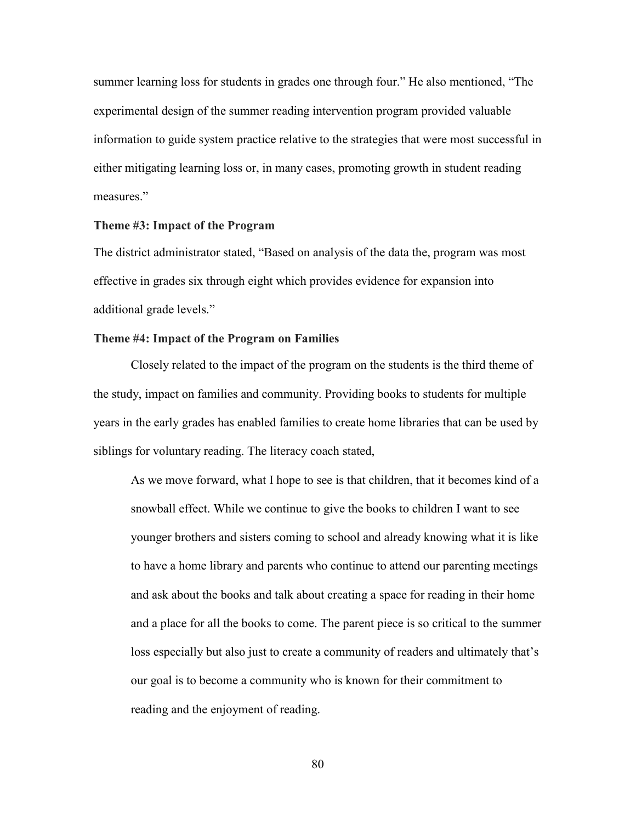summer learning loss for students in grades one through four." He also mentioned, "The experimental design of the summer reading intervention program provided valuable information to guide system practice relative to the strategies that were most successful in either mitigating learning loss or, in many cases, promoting growth in student reading measures."

### **Theme #3: Impact of the Program**

The district administrator stated, "Based on analysis of the data the, program was most effective in grades six through eight which provides evidence for expansion into additional grade levels."

## **Theme #4: Impact of the Program on Families**

Closely related to the impact of the program on the students is the third theme of the study, impact on families and community. Providing books to students for multiple years in the early grades has enabled families to create home libraries that can be used by siblings for voluntary reading. The literacy coach stated,

As we move forward, what I hope to see is that children, that it becomes kind of a snowball effect. While we continue to give the books to children I want to see younger brothers and sisters coming to school and already knowing what it is like to have a home library and parents who continue to attend our parenting meetings and ask about the books and talk about creating a space for reading in their home and a place for all the books to come. The parent piece is so critical to the summer loss especially but also just to create a community of readers and ultimately that's our goal is to become a community who is known for their commitment to reading and the enjoyment of reading.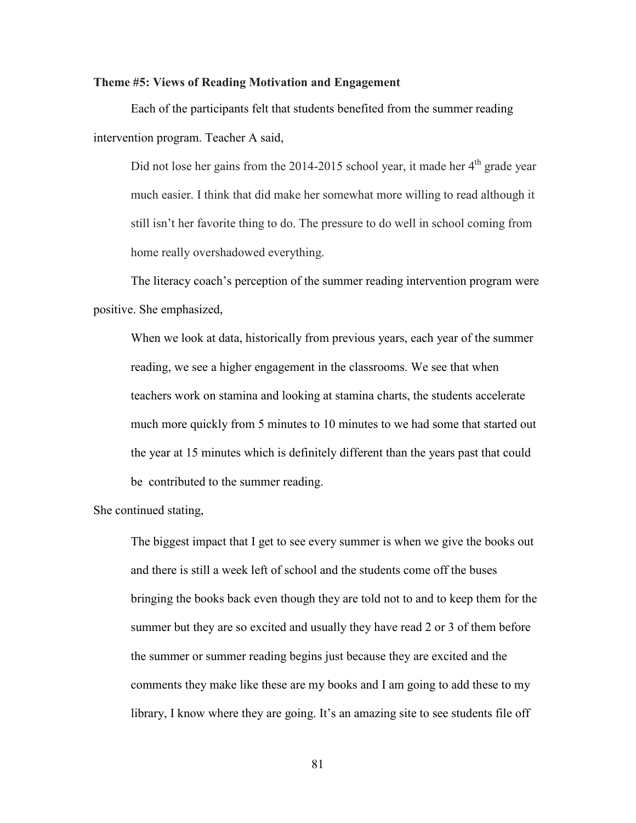### **Theme #5: Views of Reading Motivation and Engagement**

Each of the participants felt that students benefited from the summer reading intervention program. Teacher A said,

Did not lose her gains from the 2014-2015 school year, it made her  $4<sup>th</sup>$  grade year much easier. I think that did make her somewhat more willing to read although it still isn't her favorite thing to do. The pressure to do well in school coming from home really overshadowed everything.

The literacy coach's perception of the summer reading intervention program were positive. She emphasized,

When we look at data, historically from previous years, each year of the summer reading, we see a higher engagement in the classrooms. We see that when teachers work on stamina and looking at stamina charts, the students accelerate much more quickly from 5 minutes to 10 minutes to we had some that started out the year at 15 minutes which is definitely different than the years past that could be contributed to the summer reading.

She continued stating,

The biggest impact that I get to see every summer is when we give the books out and there is still a week left of school and the students come off the buses bringing the books back even though they are told not to and to keep them for the summer but they are so excited and usually they have read 2 or 3 of them before the summer or summer reading begins just because they are excited and the comments they make like these are my books and I am going to add these to my library, I know where they are going. It's an amazing site to see students file off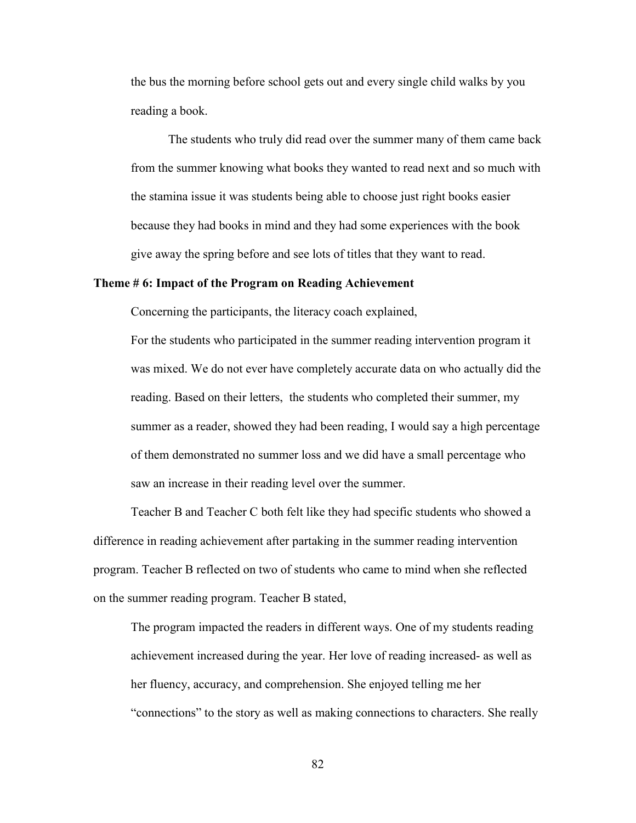the bus the morning before school gets out and every single child walks by you reading a book.

The students who truly did read over the summer many of them came back from the summer knowing what books they wanted to read next and so much with the stamina issue it was students being able to choose just right books easier because they had books in mind and they had some experiences with the book give away the spring before and see lots of titles that they want to read.

### **Theme # 6: Impact of the Program on Reading Achievement**

Concerning the participants, the literacy coach explained,

For the students who participated in the summer reading intervention program it was mixed. We do not ever have completely accurate data on who actually did the reading. Based on their letters, the students who completed their summer, my summer as a reader, showed they had been reading, I would say a high percentage of them demonstrated no summer loss and we did have a small percentage who saw an increase in their reading level over the summer.

Teacher B and Teacher C both felt like they had specific students who showed a difference in reading achievement after partaking in the summer reading intervention program. Teacher B reflected on two of students who came to mind when she reflected on the summer reading program. Teacher B stated,

The program impacted the readers in different ways. One of my students reading achievement increased during the year. Her love of reading increased- as well as her fluency, accuracy, and comprehension. She enjoyed telling me her "connections" to the story as well as making connections to characters. She really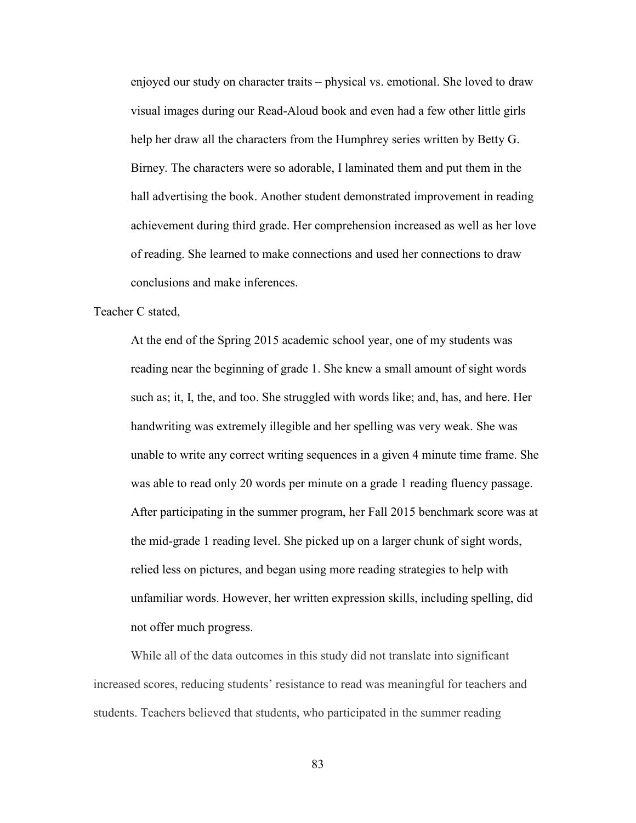enjoyed our study on character traits – physical vs. emotional. She loved to draw visual images during our Read-Aloud book and even had a few other little girls help her draw all the characters from the Humphrey series written by Betty G. Birney. The characters were so adorable, I laminated them and put them in the hall advertising the book. Another student demonstrated improvement in reading achievement during third grade. Her comprehension increased as well as her love of reading. She learned to make connections and used her connections to draw conclusions and make inferences.

Teacher C stated,

At the end of the Spring 2015 academic school year, one of my students was reading near the beginning of grade 1. She knew a small amount of sight words such as; it, I, the, and too. She struggled with words like; and, has, and here. Her handwriting was extremely illegible and her spelling was very weak. She was unable to write any correct writing sequences in a given 4 minute time frame. She was able to read only 20 words per minute on a grade 1 reading fluency passage. After participating in the summer program, her Fall 2015 benchmark score was at the mid-grade 1 reading level. She picked up on a larger chunk of sight words, relied less on pictures, and began using more reading strategies to help with unfamiliar words. However, her written expression skills, including spelling, did not offer much progress.

While all of the data outcomes in this study did not translate into significant increased scores, reducing students' resistance to read was meaningful for teachers and students. Teachers believed that students, who participated in the summer reading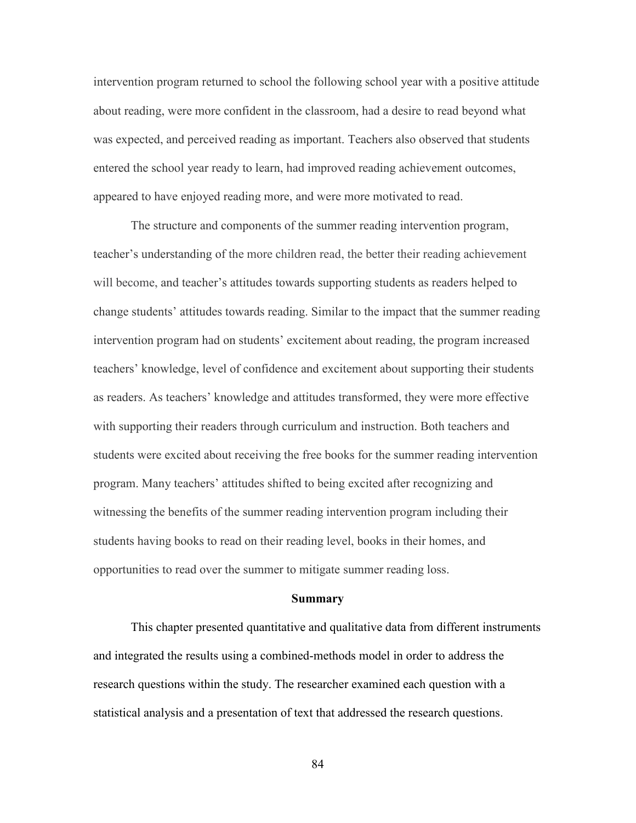intervention program returned to school the following school year with a positive attitude about reading, were more confident in the classroom, had a desire to read beyond what was expected, and perceived reading as important. Teachers also observed that students entered the school year ready to learn, had improved reading achievement outcomes, appeared to have enjoyed reading more, and were more motivated to read.

The structure and components of the summer reading intervention program, teacher's understanding of the more children read, the better their reading achievement will become, and teacher's attitudes towards supporting students as readers helped to change students' attitudes towards reading. Similar to the impact that the summer reading intervention program had on students' excitement about reading, the program increased teachers' knowledge, level of confidence and excitement about supporting their students as readers. As teachers' knowledge and attitudes transformed, they were more effective with supporting their readers through curriculum and instruction. Both teachers and students were excited about receiving the free books for the summer reading intervention program. Many teachers' attitudes shifted to being excited after recognizing and witnessing the benefits of the summer reading intervention program including their students having books to read on their reading level, books in their homes, and opportunities to read over the summer to mitigate summer reading loss.

#### **Summary**

This chapter presented quantitative and qualitative data from different instruments and integrated the results using a combined-methods model in order to address the research questions within the study. The researcher examined each question with a statistical analysis and a presentation of text that addressed the research questions.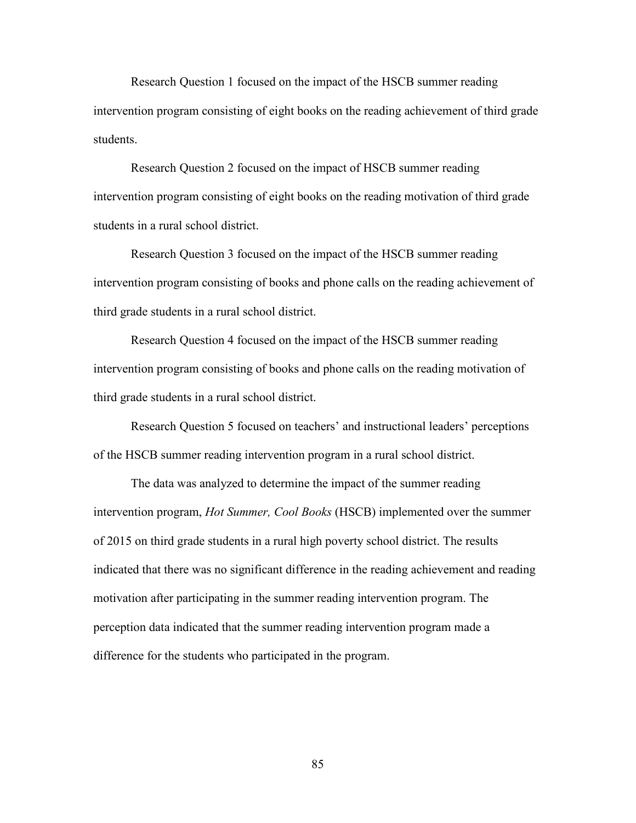Research Question 1 focused on the impact of the HSCB summer reading intervention program consisting of eight books on the reading achievement of third grade students.

Research Question 2 focused on the impact of HSCB summer reading intervention program consisting of eight books on the reading motivation of third grade students in a rural school district.

Research Question 3 focused on the impact of the HSCB summer reading intervention program consisting of books and phone calls on the reading achievement of third grade students in a rural school district.

Research Question 4 focused on the impact of the HSCB summer reading intervention program consisting of books and phone calls on the reading motivation of third grade students in a rural school district.

Research Question 5 focused on teachers' and instructional leaders' perceptions of the HSCB summer reading intervention program in a rural school district.

The data was analyzed to determine the impact of the summer reading intervention program, *Hot Summer, Cool Books* (HSCB) implemented over the summer of 2015 on third grade students in a rural high poverty school district. The results indicated that there was no significant difference in the reading achievement and reading motivation after participating in the summer reading intervention program. The perception data indicated that the summer reading intervention program made a difference for the students who participated in the program.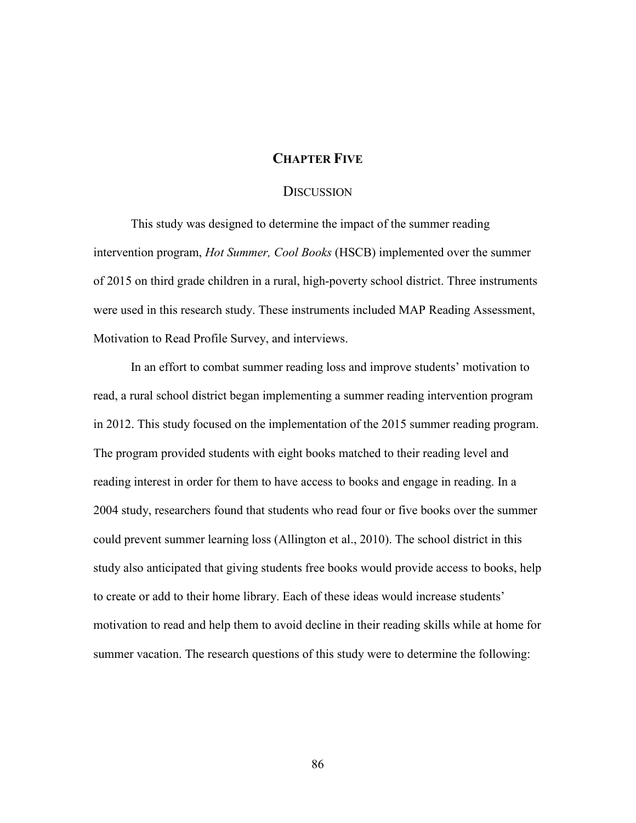# **CHAPTER FIVE**

## **DISCUSSION**

This study was designed to determine the impact of the summer reading intervention program, *Hot Summer, Cool Books* (HSCB) implemented over the summer of 2015 on third grade children in a rural, high-poverty school district. Three instruments were used in this research study. These instruments included MAP Reading Assessment, Motivation to Read Profile Survey, and interviews.

In an effort to combat summer reading loss and improve students' motivation to read, a rural school district began implementing a summer reading intervention program in 2012. This study focused on the implementation of the 2015 summer reading program. The program provided students with eight books matched to their reading level and reading interest in order for them to have access to books and engage in reading. In a 2004 study, researchers found that students who read four or five books over the summer could prevent summer learning loss (Allington et al., 2010). The school district in this study also anticipated that giving students free books would provide access to books, help to create or add to their home library. Each of these ideas would increase students' motivation to read and help them to avoid decline in their reading skills while at home for summer vacation. The research questions of this study were to determine the following: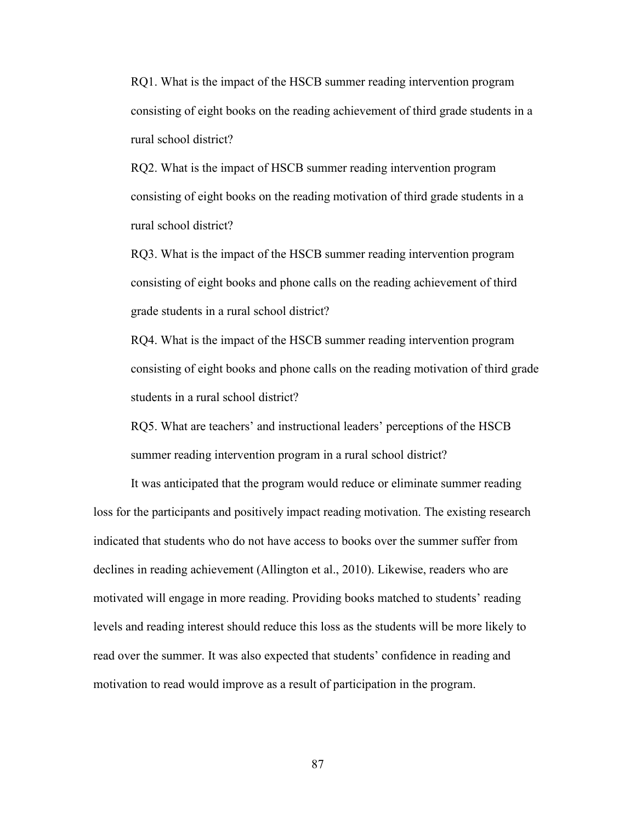RQ1. What is the impact of the HSCB summer reading intervention program consisting of eight books on the reading achievement of third grade students in a rural school district?

RQ2. What is the impact of HSCB summer reading intervention program consisting of eight books on the reading motivation of third grade students in a rural school district?

RQ3. What is the impact of the HSCB summer reading intervention program consisting of eight books and phone calls on the reading achievement of third grade students in a rural school district?

RQ4. What is the impact of the HSCB summer reading intervention program consisting of eight books and phone calls on the reading motivation of third grade students in a rural school district?

RQ5. What are teachers' and instructional leaders' perceptions of the HSCB summer reading intervention program in a rural school district?

It was anticipated that the program would reduce or eliminate summer reading loss for the participants and positively impact reading motivation. The existing research indicated that students who do not have access to books over the summer suffer from declines in reading achievement (Allington et al., 2010). Likewise, readers who are motivated will engage in more reading. Providing books matched to students' reading levels and reading interest should reduce this loss as the students will be more likely to read over the summer. It was also expected that students' confidence in reading and motivation to read would improve as a result of participation in the program.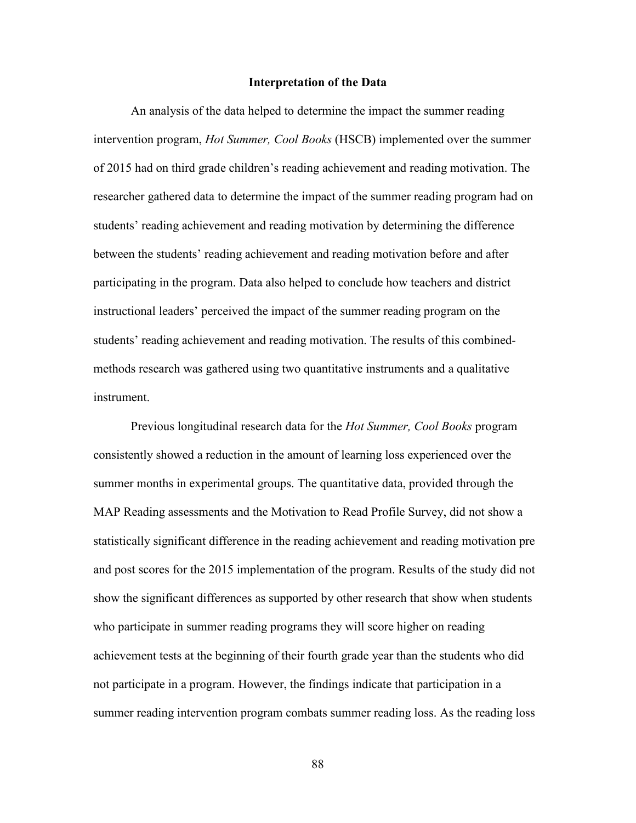#### **Interpretation of the Data**

An analysis of the data helped to determine the impact the summer reading intervention program, *Hot Summer, Cool Books* (HSCB) implemented over the summer of 2015 had on third grade children's reading achievement and reading motivation. The researcher gathered data to determine the impact of the summer reading program had on students' reading achievement and reading motivation by determining the difference between the students' reading achievement and reading motivation before and after participating in the program. Data also helped to conclude how teachers and district instructional leaders' perceived the impact of the summer reading program on the students' reading achievement and reading motivation. The results of this combinedmethods research was gathered using two quantitative instruments and a qualitative instrument.

Previous longitudinal research data for the *Hot Summer, Cool Books* program consistently showed a reduction in the amount of learning loss experienced over the summer months in experimental groups. The quantitative data, provided through the MAP Reading assessments and the Motivation to Read Profile Survey, did not show a statistically significant difference in the reading achievement and reading motivation pre and post scores for the 2015 implementation of the program. Results of the study did not show the significant differences as supported by other research that show when students who participate in summer reading programs they will score higher on reading achievement tests at the beginning of their fourth grade year than the students who did not participate in a program. However, the findings indicate that participation in a summer reading intervention program combats summer reading loss. As the reading loss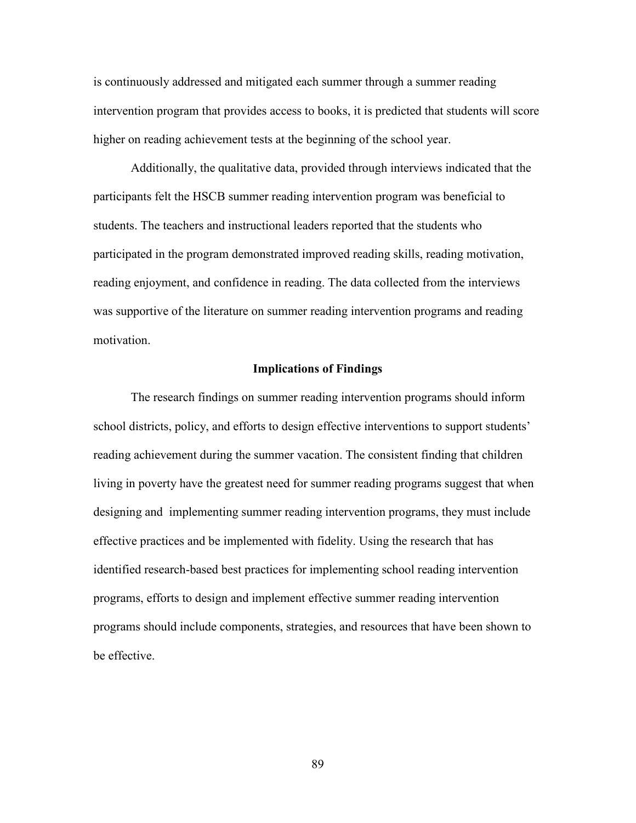is continuously addressed and mitigated each summer through a summer reading intervention program that provides access to books, it is predicted that students will score higher on reading achievement tests at the beginning of the school year.

Additionally, the qualitative data, provided through interviews indicated that the participants felt the HSCB summer reading intervention program was beneficial to students. The teachers and instructional leaders reported that the students who participated in the program demonstrated improved reading skills, reading motivation, reading enjoyment, and confidence in reading. The data collected from the interviews was supportive of the literature on summer reading intervention programs and reading motivation.

### **Implications of Findings**

The research findings on summer reading intervention programs should inform school districts, policy, and efforts to design effective interventions to support students' reading achievement during the summer vacation. The consistent finding that children living in poverty have the greatest need for summer reading programs suggest that when designing and implementing summer reading intervention programs, they must include effective practices and be implemented with fidelity. Using the research that has identified research-based best practices for implementing school reading intervention programs, efforts to design and implement effective summer reading intervention programs should include components, strategies, and resources that have been shown to be effective.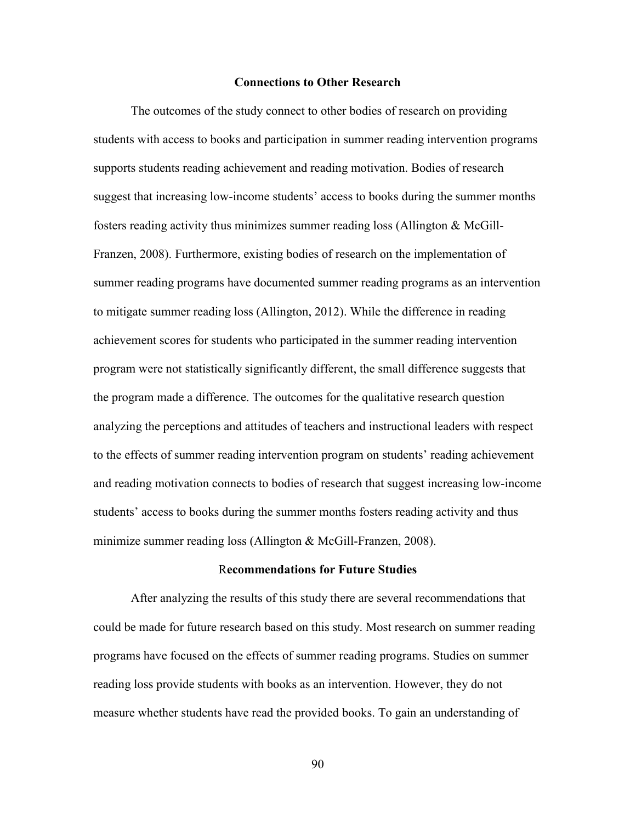### **Connections to Other Research**

The outcomes of the study connect to other bodies of research on providing students with access to books and participation in summer reading intervention programs supports students reading achievement and reading motivation. Bodies of research suggest that increasing low-income students' access to books during the summer months fosters reading activity thus minimizes summer reading loss (Allington & McGill-Franzen, 2008). Furthermore, existing bodies of research on the implementation of summer reading programs have documented summer reading programs as an intervention to mitigate summer reading loss (Allington, 2012). While the difference in reading achievement scores for students who participated in the summer reading intervention program were not statistically significantly different, the small difference suggests that the program made a difference. The outcomes for the qualitative research question analyzing the perceptions and attitudes of teachers and instructional leaders with respect to the effects of summer reading intervention program on students' reading achievement and reading motivation connects to bodies of research that suggest increasing low-income students' access to books during the summer months fosters reading activity and thus minimize summer reading loss (Allington & McGill-Franzen, 2008).

### R**ecommendations for Future Studies**

After analyzing the results of this study there are several recommendations that could be made for future research based on this study. Most research on summer reading programs have focused on the effects of summer reading programs. Studies on summer reading loss provide students with books as an intervention. However, they do not measure whether students have read the provided books. To gain an understanding of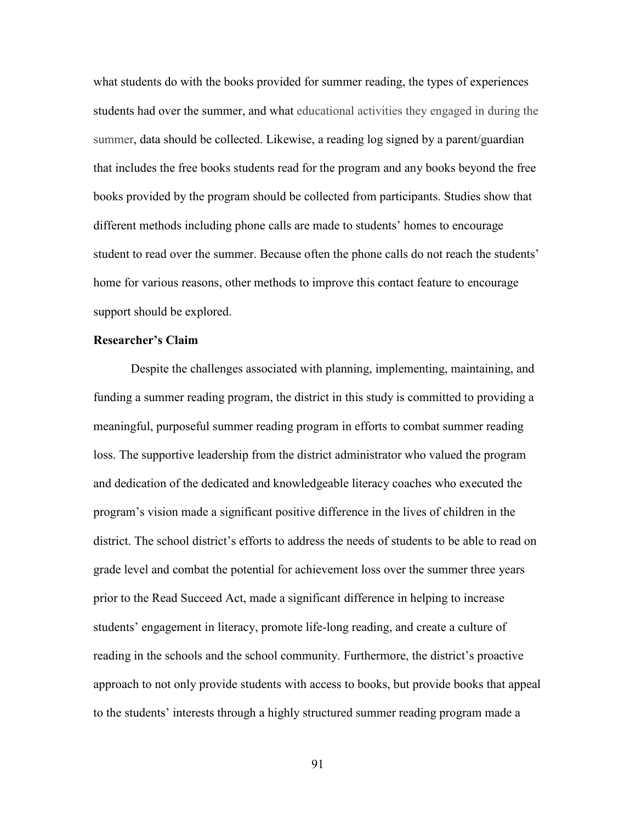what students do with the books provided for summer reading, the types of experiences students had over the summer, and what educational activities they engaged in during the summer, data should be collected. Likewise, a reading log signed by a parent/guardian that includes the free books students read for the program and any books beyond the free books provided by the program should be collected from participants. Studies show that different methods including phone calls are made to students' homes to encourage student to read over the summer. Because often the phone calls do not reach the students' home for various reasons, other methods to improve this contact feature to encourage support should be explored.

### **Researcher's Claim**

Despite the challenges associated with planning, implementing, maintaining, and funding a summer reading program, the district in this study is committed to providing a meaningful, purposeful summer reading program in efforts to combat summer reading loss. The supportive leadership from the district administrator who valued the program and dedication of the dedicated and knowledgeable literacy coaches who executed the program's vision made a significant positive difference in the lives of children in the district. The school district's efforts to address the needs of students to be able to read on grade level and combat the potential for achievement loss over the summer three years prior to the Read Succeed Act, made a significant difference in helping to increase students' engagement in literacy, promote life-long reading, and create a culture of reading in the schools and the school community. Furthermore, the district's proactive approach to not only provide students with access to books, but provide books that appeal to the students' interests through a highly structured summer reading program made a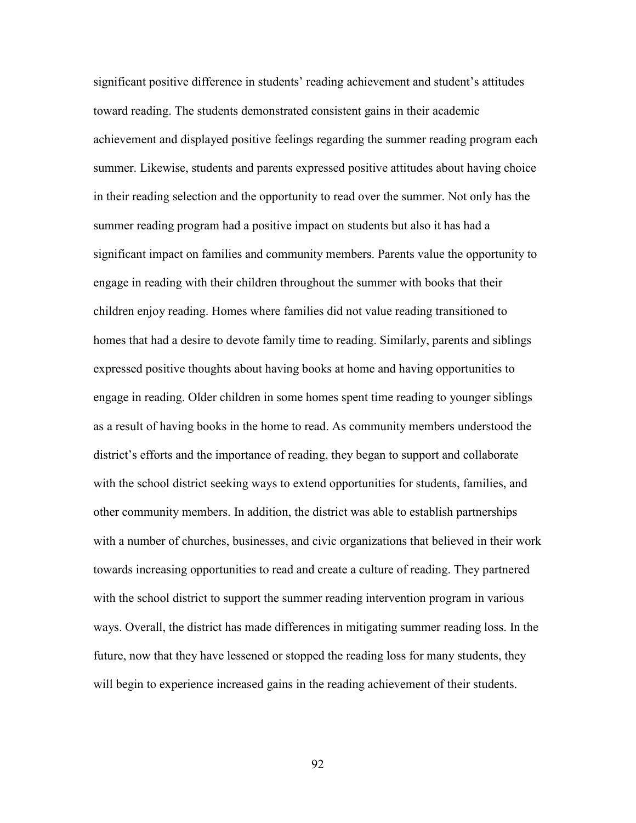significant positive difference in students' reading achievement and student's attitudes toward reading. The students demonstrated consistent gains in their academic achievement and displayed positive feelings regarding the summer reading program each summer. Likewise, students and parents expressed positive attitudes about having choice in their reading selection and the opportunity to read over the summer. Not only has the summer reading program had a positive impact on students but also it has had a significant impact on families and community members. Parents value the opportunity to engage in reading with their children throughout the summer with books that their children enjoy reading. Homes where families did not value reading transitioned to homes that had a desire to devote family time to reading. Similarly, parents and siblings expressed positive thoughts about having books at home and having opportunities to engage in reading. Older children in some homes spent time reading to younger siblings as a result of having books in the home to read. As community members understood the district's efforts and the importance of reading, they began to support and collaborate with the school district seeking ways to extend opportunities for students, families, and other community members. In addition, the district was able to establish partnerships with a number of churches, businesses, and civic organizations that believed in their work towards increasing opportunities to read and create a culture of reading. They partnered with the school district to support the summer reading intervention program in various ways. Overall, the district has made differences in mitigating summer reading loss. In the future, now that they have lessened or stopped the reading loss for many students, they will begin to experience increased gains in the reading achievement of their students.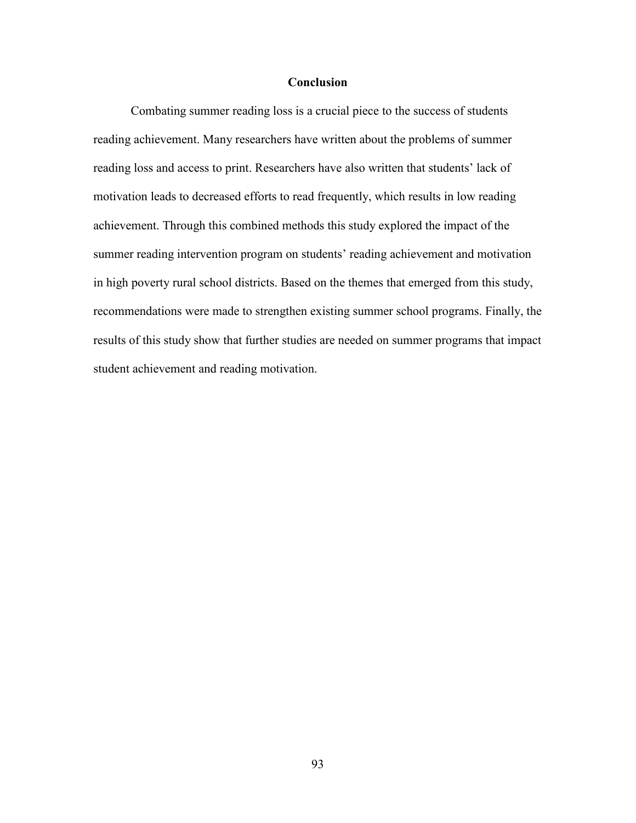## **Conclusion**

Combating summer reading loss is a crucial piece to the success of students reading achievement. Many researchers have written about the problems of summer reading loss and access to print. Researchers have also written that students' lack of motivation leads to decreased efforts to read frequently, which results in low reading achievement. Through this combined methods this study explored the impact of the summer reading intervention program on students' reading achievement and motivation in high poverty rural school districts. Based on the themes that emerged from this study, recommendations were made to strengthen existing summer school programs. Finally, the results of this study show that further studies are needed on summer programs that impact student achievement and reading motivation.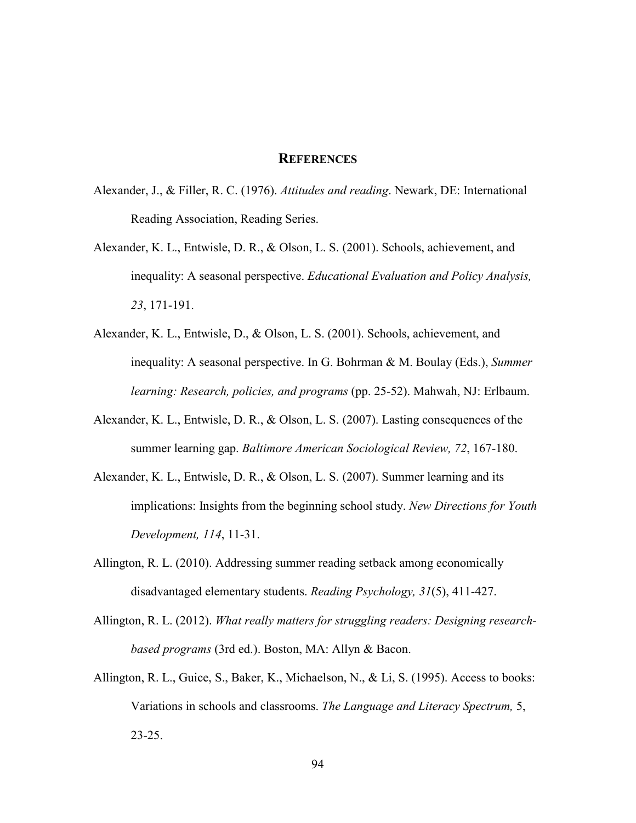## **REFERENCES**

- Alexander, J., & Filler, R. C. (1976). *Attitudes and reading*. Newark, DE: International Reading Association, Reading Series.
- Alexander, K. L., Entwisle, D. R., & Olson, L. S. (2001). Schools, achievement, and inequality: A seasonal perspective. *Educational Evaluation and Policy Analysis, 23*, 171-191.
- Alexander, K. L., Entwisle, D., & Olson, L. S. (2001). Schools, achievement, and inequality: A seasonal perspective. In G. Bohrman & M. Boulay (Eds.), *Summer learning: Research, policies, and programs* (pp. 25-52). Mahwah, NJ: Erlbaum.
- Alexander, K. L., Entwisle, D. R., & Olson, L. S. (2007). Lasting consequences of the summer learning gap. *Baltimore American Sociological Review, 72*, 167-180.
- Alexander, K. L., Entwisle, D. R., & Olson, L. S. (2007). Summer learning and its implications: Insights from the beginning school study. *New Directions for Youth Development, 114*, 11-31.
- Allington, R. L. (2010). Addressing summer reading setback among economically disadvantaged elementary students. *Reading Psychology, 31*(5), 411-427.
- Allington, R. L. (2012). *What really matters for struggling readers: Designing researchbased programs* (3rd ed.). Boston, MA: Allyn & Bacon.
- Allington, R. L., Guice, S., Baker, K., Michaelson, N., & Li, S. (1995). Access to books: Variations in schools and classrooms. *The Language and Literacy Spectrum,* 5, 23-25.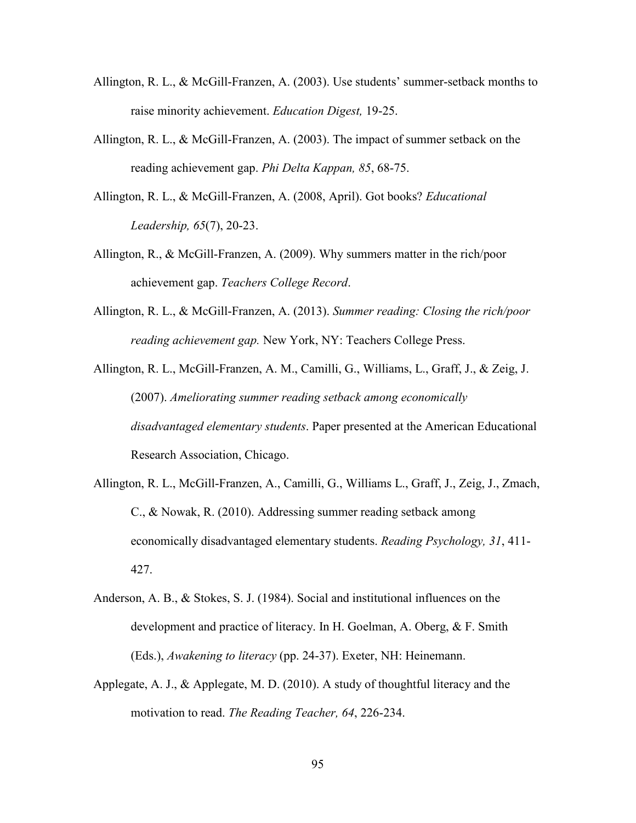- Allington, R. L., & McGill-Franzen, A. (2003). Use students' summer-setback months to raise minority achievement. *Education Digest,* 19-25.
- Allington, R. L., & McGill-Franzen, A. (2003). The impact of summer setback on the reading achievement gap. *Phi Delta Kappan, 85*, 68-75.
- Allington, R. L., & McGill-Franzen, A. (2008, April). Got books? *Educational Leadership, 65*(7), 20-23.
- Allington, R., & McGill-Franzen, A. (2009). Why summers matter in the rich/poor achievement gap. *Teachers College Record*.
- Allington, R. L., & McGill-Franzen, A. (2013). *Summer reading: Closing the rich/poor reading achievement gap.* New York, NY: Teachers College Press.

Allington, R. L., McGill-Franzen, A. M., Camilli, G., Williams, L., Graff, J., & Zeig, J. (2007). *Ameliorating summer reading setback among economically disadvantaged elementary students*. Paper presented at the American Educational Research Association, Chicago.

- Allington, R. L., McGill-Franzen, A., Camilli, G., Williams L., Graff, J., Zeig, J., Zmach, C., & Nowak, R. (2010). Addressing summer reading setback among economically disadvantaged elementary students. *Reading Psychology, 31*, 411- 427.
- Anderson, A. B., & Stokes, S. J. (1984). Social and institutional influences on the development and practice of literacy. In H. Goelman, A. Oberg, & F. Smith (Eds.), *Awakening to literacy* (pp. 24-37). Exeter, NH: Heinemann.
- Applegate, A. J., & Applegate, M. D. (2010). A study of thoughtful literacy and the motivation to read. *The Reading Teacher, 64*, 226-234.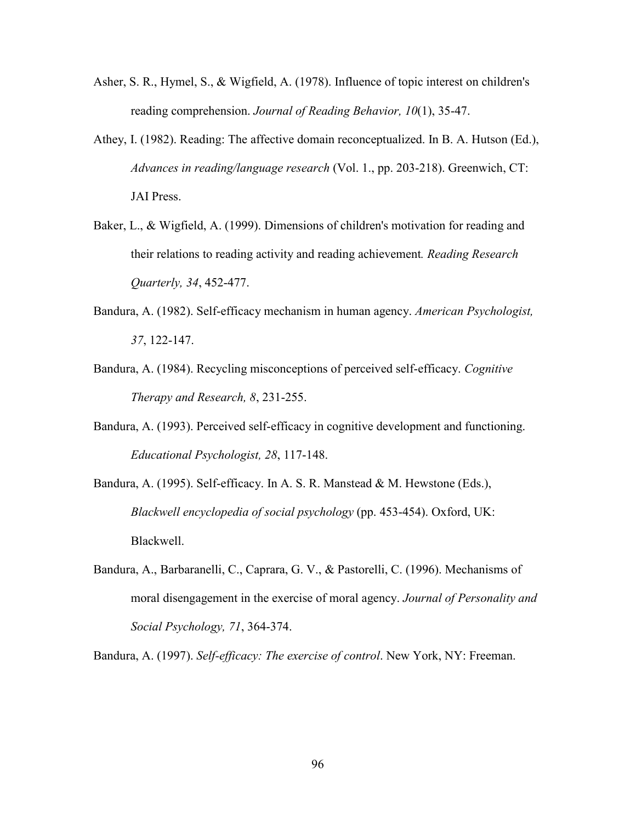- Asher, S. R., Hymel, S., & Wigfield, A. (1978). Influence of topic interest on children's reading comprehension. *Journal of Reading Behavior, 10*(1), 35-47.
- Athey, I. (1982). Reading: The affective domain reconceptualized. In B. A. Hutson (Ed.), *Advances in reading/language research* (Vol. 1., pp. 203-218). Greenwich, CT: JAI Press.
- Baker, L., & Wigfield, A. (1999). Dimensions of children's motivation for reading and their relations to reading activity and reading achievement*. Reading Research Quarterly, 34*, 452-477.
- Bandura, A. (1982). Self-efficacy mechanism in human agency. *American Psychologist, 37*, 122-147.
- Bandura, A. (1984). Recycling misconceptions of perceived self-efficacy. *Cognitive Therapy and Research, 8*, 231-255.
- Bandura, A. (1993). Perceived self-efficacy in cognitive development and functioning. *Educational Psychologist, 28*, 117-148.
- Bandura, A. (1995). Self-efficacy. In A. S. R. Manstead & M. Hewstone (Eds.), *Blackwell encyclopedia of social psychology* (pp. 453-454). Oxford, UK: Blackwell.
- Bandura, A., Barbaranelli, C., Caprara, G. V., & Pastorelli, C. (1996). Mechanisms of moral disengagement in the exercise of moral agency. *Journal of Personality and Social Psychology, 71*, 364-374.

Bandura, A. (1997). *Self-efficacy: The exercise of control*. New York, NY: Freeman.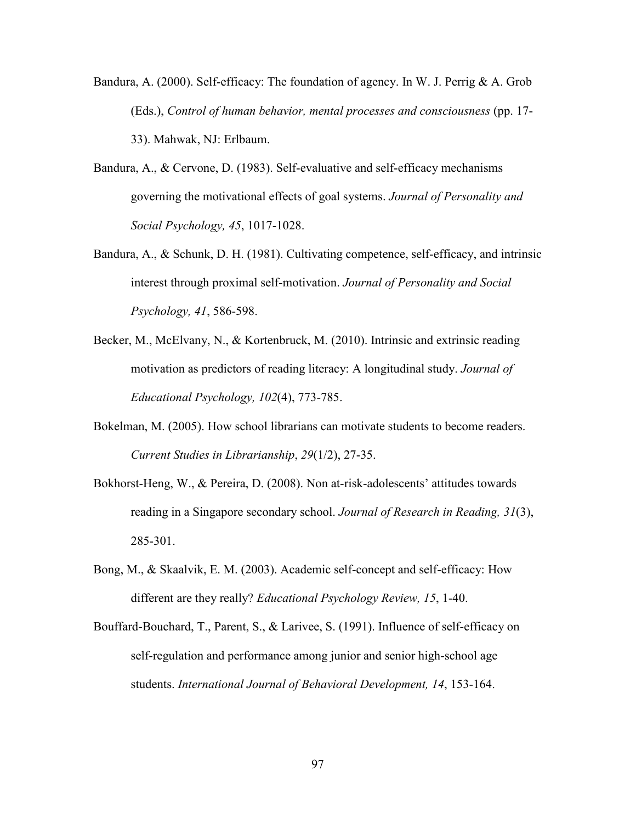Bandura, A. (2000). Self-efficacy: The foundation of agency. In W. J. Perrig  $\& A$ . Grob (Eds.), *Control of human behavior, mental processes and consciousness* (pp. 17- 33). Mahwak, NJ: Erlbaum.

- Bandura, A., & Cervone, D. (1983). Self-evaluative and self-efficacy mechanisms governing the motivational effects of goal systems. *Journal of Personality and Social Psychology, 45*, 1017-1028.
- Bandura, A., & Schunk, D. H. (1981). Cultivating competence, self-efficacy, and intrinsic interest through proximal self-motivation. *Journal of Personality and Social Psychology, 41*, 586-598.
- Becker, M., McElvany, N., & Kortenbruck, M. (2010). Intrinsic and extrinsic reading motivation as predictors of reading literacy: A longitudinal study. *Journal of Educational Psychology, 102*(4), 773-785.
- Bokelman, M. (2005). How school librarians can motivate students to become readers. *Current Studies in Librarianship*, *29*(1/2), 27-35.
- Bokhorst-Heng, W., & Pereira, D. (2008). Non at-risk-adolescents' attitudes towards reading in a Singapore secondary school. *Journal of Research in Reading, 31*(3), 285-301.
- Bong, M., & Skaalvik, E. M. (2003). Academic self-concept and self-efficacy: How different are they really? *Educational Psychology Review, 15*, 1-40.
- Bouffard-Bouchard, T., Parent, S., & Larivee, S. (1991). Influence of self-efficacy on self-regulation and performance among junior and senior high-school age students. *International Journal of Behavioral Development, 14*, 153-164.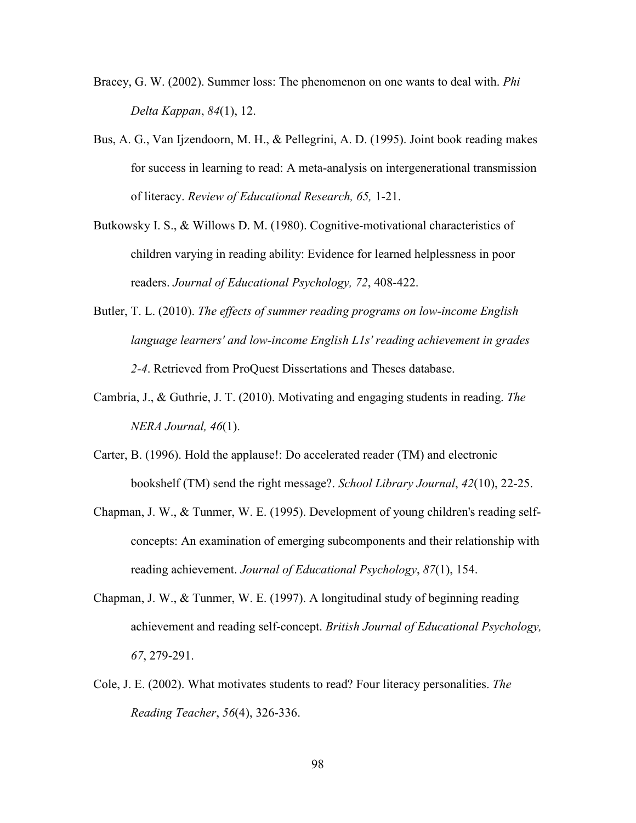- Bracey, G. W. (2002). Summer loss: The phenomenon on one wants to deal with. *Phi Delta Kappan*, *84*(1), 12.
- Bus, A. G., Van Ijzendoorn, M. H., & Pellegrini, A. D. (1995). Joint book reading makes for success in learning to read: A meta-analysis on intergenerational transmission of literacy. *Review of Educational Research, 65,* 1-21.
- Butkowsky I. S., & Willows D. M. (1980). Cognitive-motivational characteristics of children varying in reading ability: Evidence for learned helplessness in poor readers. *Journal of Educational Psychology, 72*, 408-422.
- Butler, T. L. (2010). *The effects of summer reading programs on low-income English language learners' and low-income English L1s' reading achievement in grades 2-4*. Retrieved from ProQuest Dissertations and Theses database.
- Cambria, J., & Guthrie, J. T. (2010). Motivating and engaging students in reading. *The NERA Journal, 46*(1).
- Carter, B. (1996). Hold the applause!: Do accelerated reader (TM) and electronic bookshelf (TM) send the right message?. *School Library Journal*, *42*(10), 22-25.
- Chapman, J. W., & Tunmer, W. E. (1995). Development of young children's reading selfconcepts: An examination of emerging subcomponents and their relationship with reading achievement. *Journal of Educational Psychology*, *87*(1), 154.
- Chapman, J. W., & Tunmer, W. E. (1997). A longitudinal study of beginning reading achievement and reading self-concept. *British Journal of Educational Psychology, 67*, 279-291.
- Cole, J. E. (2002). What motivates students to read? Four literacy personalities. *The Reading Teacher*, *56*(4), 326-336.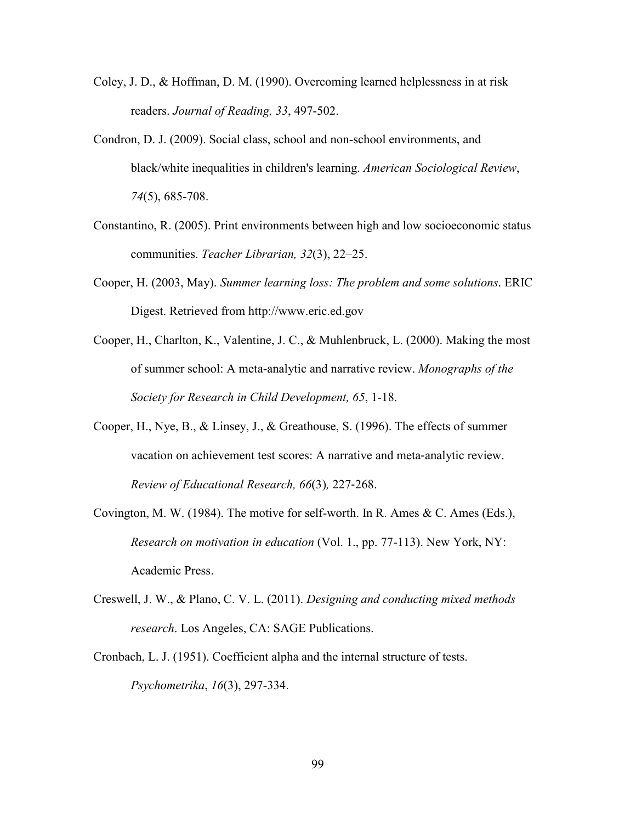- Coley, J. D., & Hoffman, D. M. (1990). Overcoming learned helplessness in at risk readers. *Journal of Reading, 33*, 497-502.
- Condron, D. J. (2009). Social class, school and non-school environments, and black/white inequalities in children's learning. *American Sociological Review*, *74*(5), 685-708.
- Constantino, R. (2005). Print environments between high and low socioeconomic status communities. *Teacher Librarian, 32*(3), 22–25.
- Cooper, H. (2003, May). *Summer learning loss: The problem and some solutions*. ERIC Digest. Retrieved from http://www.eric.ed.gov
- Cooper, H., Charlton, K., Valentine, J. C., & Muhlenbruck, L. (2000). Making the most of summer school: A meta-analytic and narrative review. *Monographs of the Society for Research in Child Development, 65*, 1-18.
- Cooper, H., Nye, B., & Linsey, J., & Greathouse, S. (1996). The effects of summer vacation on achievement test scores: A narrative and meta-analytic review. *Review of Educational Research, 66*(3)*,* 227‐268.
- Covington, M. W. (1984). The motive for self-worth. In R. Ames & C. Ames (Eds.), *Research on motivation in education* (Vol. 1., pp. 77-113). New York, NY: Academic Press.
- Creswell, J. W., & Plano, C. V. L. (2011). *Designing and conducting mixed methods research*. Los Angeles, CA: SAGE Publications.
- Cronbach, L. J. (1951). Coefficient alpha and the internal structure of tests. *Psychometrika*, *16*(3), 297-334.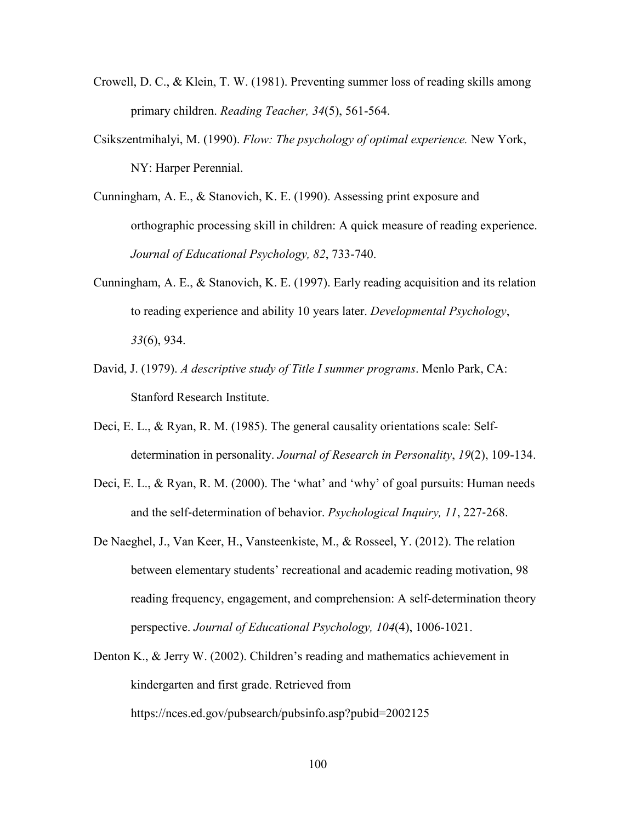- Crowell, D. C., & Klein, T. W. (1981). Preventing summer loss of reading skills among primary children. *Reading Teacher, 34*(5), 561-564.
- Csikszentmihalyi, M. (1990). *Flow: The psychology of optimal experience.* New York, NY: Harper Perennial.
- Cunningham, A. E., & Stanovich, K. E. (1990). Assessing print exposure and orthographic processing skill in children: A quick measure of reading experience. *Journal of Educational Psychology, 82*, 733-740.
- Cunningham, A. E., & Stanovich, K. E. (1997). Early reading acquisition and its relation to reading experience and ability 10 years later. *Developmental Psychology*, *33*(6), 934.
- David, J. (1979). *A descriptive study of Title I summer programs*. Menlo Park, CA: Stanford Research Institute.
- Deci, E. L., & Ryan, R. M. (1985). The general causality orientations scale: Selfdetermination in personality. *Journal of Research in Personality*, *19*(2), 109-134.
- Deci, E. L., & Ryan, R. M. (2000). The 'what' and 'why' of goal pursuits: Human needs and the self‐determination of behavior. *Psychological Inquiry, 11*, 227‐268.
- De Naeghel, J., Van Keer, H., Vansteenkiste, M., & Rosseel, Y. (2012). The relation between elementary students' recreational and academic reading motivation, 98 reading frequency, engagement, and comprehension: A self-determination theory perspective. *Journal of Educational Psychology, 104*(4), 1006-1021.
- Denton K., & Jerry W. (2002). Children's reading and mathematics achievement in kindergarten and first grade. Retrieved from https://nces.ed.gov/pubsearch/pubsinfo.asp?pubid=2002125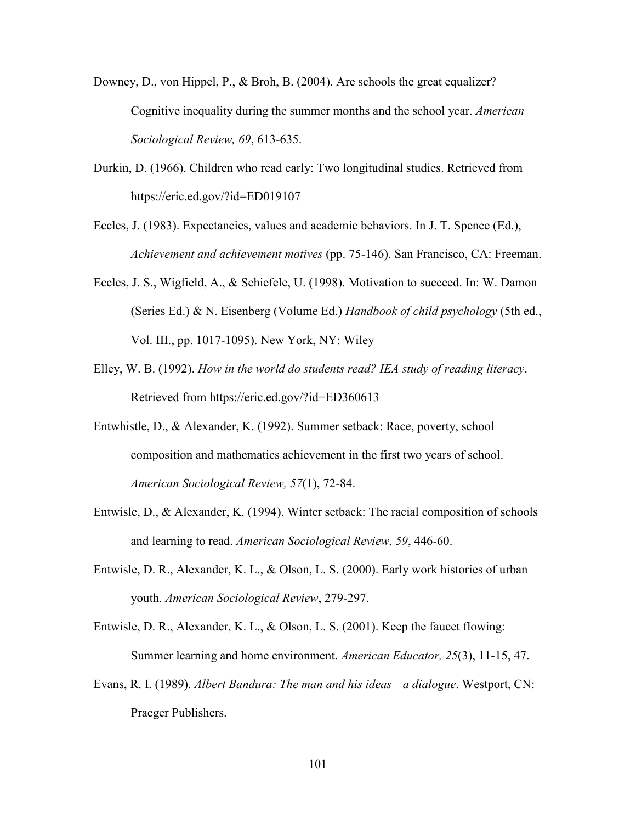- Downey, D., von Hippel, P., & Broh, B. (2004). Are schools the great equalizer? Cognitive inequality during the summer months and the school year. *American Sociological Review, 69*, 613-635.
- Durkin, D. (1966). Children who read early: Two longitudinal studies. Retrieved from https://eric.ed.gov/?id=ED019107
- Eccles, J. (1983). Expectancies, values and academic behaviors. In J. T. Spence (Ed.), *Achievement and achievement motives* (pp. 75-146). San Francisco, CA: Freeman.
- Eccles, J. S., Wigfield, A., & Schiefele, U. (1998). Motivation to succeed. In: W. Damon (Series Ed.) & N. Eisenberg (Volume Ed.) *Handbook of child psychology* (5th ed., Vol. III., pp. 1017-1095). New York, NY: Wiley
- Elley, W. B. (1992). *How in the world do students read? IEA study of reading literacy*. Retrieved from https://eric.ed.gov/?id=ED360613
- Entwhistle, D., & Alexander, K. (1992). Summer setback: Race, poverty, school composition and mathematics achievement in the first two years of school. *American Sociological Review, 57*(1), 72-84.
- Entwisle, D., & Alexander, K. (1994). Winter setback: The racial composition of schools and learning to read. *American Sociological Review, 59*, 446-60.
- Entwisle, D. R., Alexander, K. L., & Olson, L. S. (2000). Early work histories of urban youth. *American Sociological Review*, 279-297.
- Entwisle, D. R., Alexander, K. L., & Olson, L. S. (2001). Keep the faucet flowing: Summer learning and home environment. *American Educator, 25*(3), 11-15, 47.
- Evans, R. I. (1989). *Albert Bandura: The man and his ideas—a dialogue*. Westport, CN: Praeger Publishers.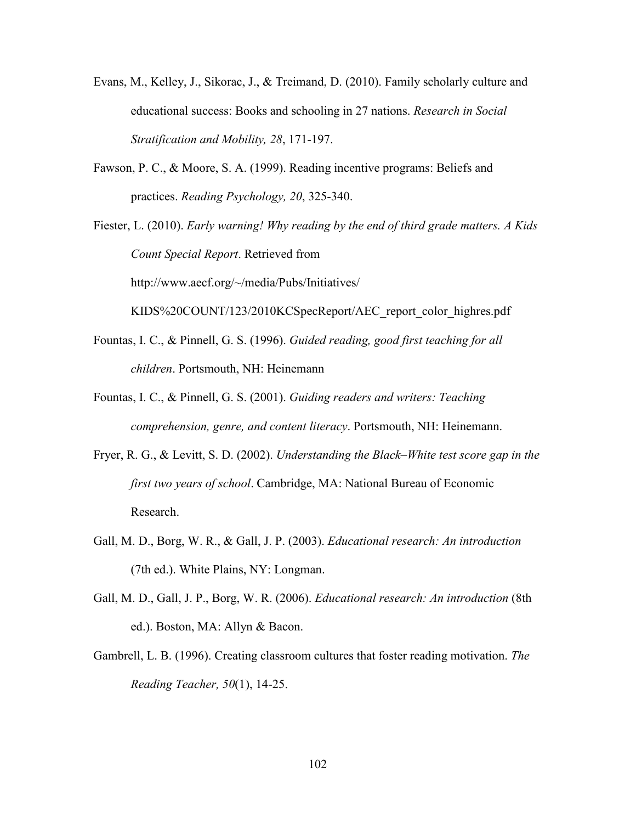- Evans, M., Kelley, J., Sikorac, J., & Treimand, D. (2010). Family scholarly culture and educational success: Books and schooling in 27 nations. *Research in Social Stratification and Mobility, 28*, 171-197.
- Fawson, P. C., & Moore, S. A. (1999). Reading incentive programs: Beliefs and practices. *Reading Psychology, 20*, 325-340.

Fiester, L. (2010). *Early warning! Why reading by the end of third grade matters. A Kids Count Special Report*. Retrieved from http://www.aecf.org/~/media/Pubs/Initiatives/

KIDS%20COUNT/123/2010KCSpecReport/AEC\_report\_color\_highres.pdf

- Fountas, I. C., & Pinnell, G. S. (1996). *Guided reading, good first teaching for all children*. Portsmouth, NH: Heinemann
- Fountas, I. C., & Pinnell, G. S. (2001). *Guiding readers and writers: Teaching comprehension, genre, and content literacy*. Portsmouth, NH: Heinemann.
- Fryer, R. G., & Levitt, S. D. (2002). *Understanding the Black–White test score gap in the first two years of school*. Cambridge, MA: National Bureau of Economic Research.
- Gall, M. D., Borg, W. R., & Gall, J. P. (2003). *Educational research: An introduction* (7th ed.). White Plains, NY: Longman.
- Gall, M. D., Gall, J. P., Borg, W. R. (2006). *Educational research: An introduction* (8th ed.). Boston, MA: Allyn & Bacon.
- Gambrell, L. B. (1996). Creating classroom cultures that foster reading motivation. *The Reading Teacher, 50*(1), 14-25.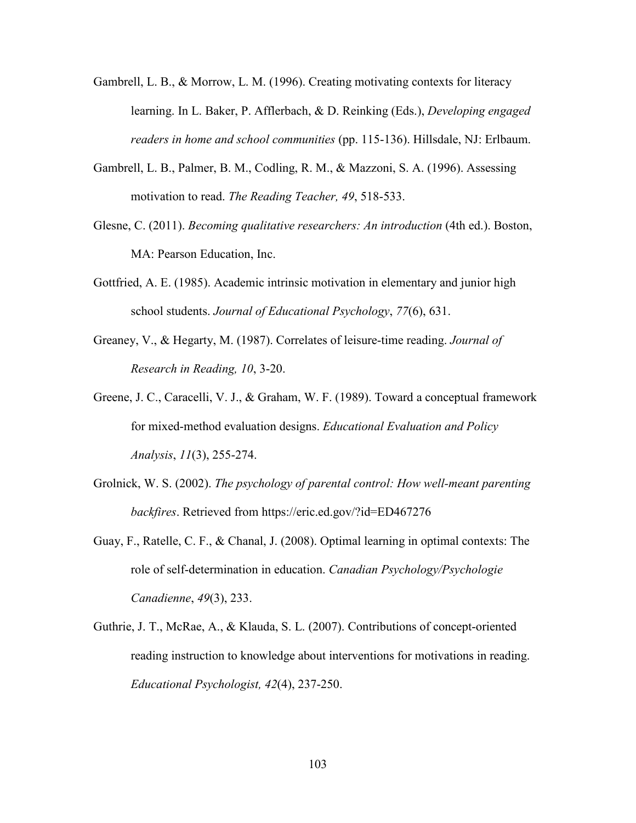- Gambrell, L. B., & Morrow, L. M. (1996). Creating motivating contexts for literacy learning. In L. Baker, P. Afflerbach, & D. Reinking (Eds.), *Developing engaged readers in home and school communities* (pp. 115-136). Hillsdale, NJ: Erlbaum.
- Gambrell, L. B., Palmer, B. M., Codling, R. M., & Mazzoni, S. A. (1996). Assessing motivation to read. *The Reading Teacher, 49*, 518-533.
- Glesne, C. (2011). *Becoming qualitative researchers: An introduction* (4th ed.). Boston, MA: Pearson Education, Inc.
- Gottfried, A. E. (1985). Academic intrinsic motivation in elementary and junior high school students. *Journal of Educational Psychology*, *77*(6), 631.
- Greaney, V., & Hegarty, M. (1987). Correlates of leisure-time reading. *Journal of Research in Reading, 10*, 3-20.
- Greene, J. C., Caracelli, V. J., & Graham, W. F. (1989). Toward a conceptual framework for mixed-method evaluation designs. *Educational Evaluation and Policy Analysis*, *11*(3), 255-274.
- Grolnick, W. S. (2002). *The psychology of parental control: How well-meant parenting backfires*. Retrieved from https://eric.ed.gov/?id=ED467276
- Guay, F., Ratelle, C. F., & Chanal, J. (2008). Optimal learning in optimal contexts: The role of self-determination in education. *Canadian Psychology/Psychologie Canadienne*, *49*(3), 233.
- Guthrie, J. T., McRae, A., & Klauda, S. L. (2007). Contributions of concept-oriented reading instruction to knowledge about interventions for motivations in reading. *Educational Psychologist, 42*(4), 237-250.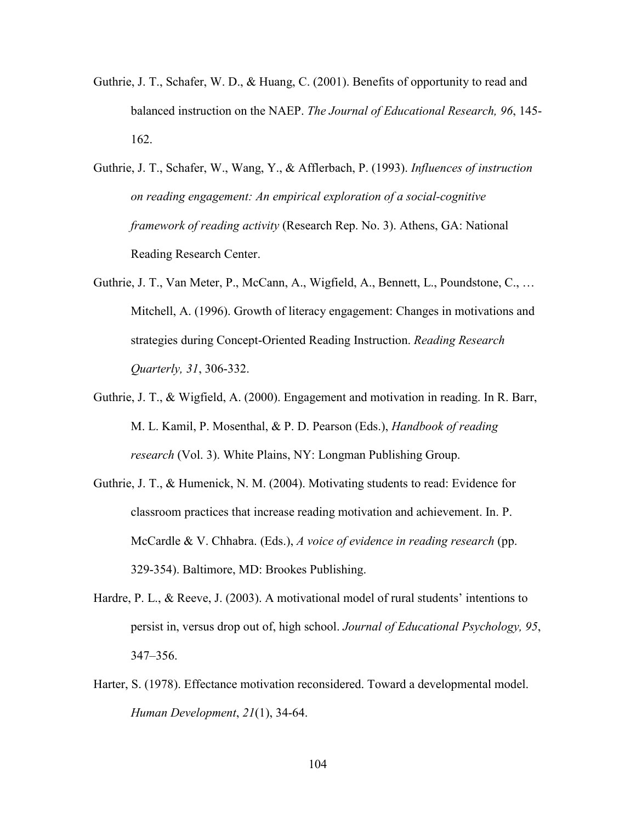- Guthrie, J. T., Schafer, W. D., & Huang, C. (2001). Benefits of opportunity to read and balanced instruction on the NAEP. *The Journal of Educational Research, 96*, 145- 162.
- Guthrie, J. T., Schafer, W., Wang, Y., & Afflerbach, P. (1993). *Influences of instruction on reading engagement: An empirical exploration of a social-cognitive framework of reading activity* (Research Rep. No. 3). Athens, GA: National Reading Research Center.
- Guthrie, J. T., Van Meter, P., McCann, A., Wigfield, A., Bennett, L., Poundstone, C., … Mitchell, A. (1996). Growth of literacy engagement: Changes in motivations and strategies during Concept-Oriented Reading Instruction. *Reading Research Quarterly, 31*, 306-332.
- Guthrie, J. T., & Wigfield, A. (2000). Engagement and motivation in reading. In R. Barr, M. L. Kamil, P. Mosenthal, & P. D. Pearson (Eds.), *Handbook of reading research* (Vol. 3). White Plains, NY: Longman Publishing Group.
- Guthrie, J. T., & Humenick, N. M. (2004). Motivating students to read: Evidence for classroom practices that increase reading motivation and achievement. In. P. McCardle & V. Chhabra. (Eds.), *A voice of evidence in reading research* (pp. 329-354). Baltimore, MD: Brookes Publishing.
- Hardre, P. L., & Reeve, J. (2003). A motivational model of rural students' intentions to persist in, versus drop out of, high school. *Journal of Educational Psychology, 95*, 347–356.
- Harter, S. (1978). Effectance motivation reconsidered. Toward a developmental model. *Human Development*, *21*(1), 34-64.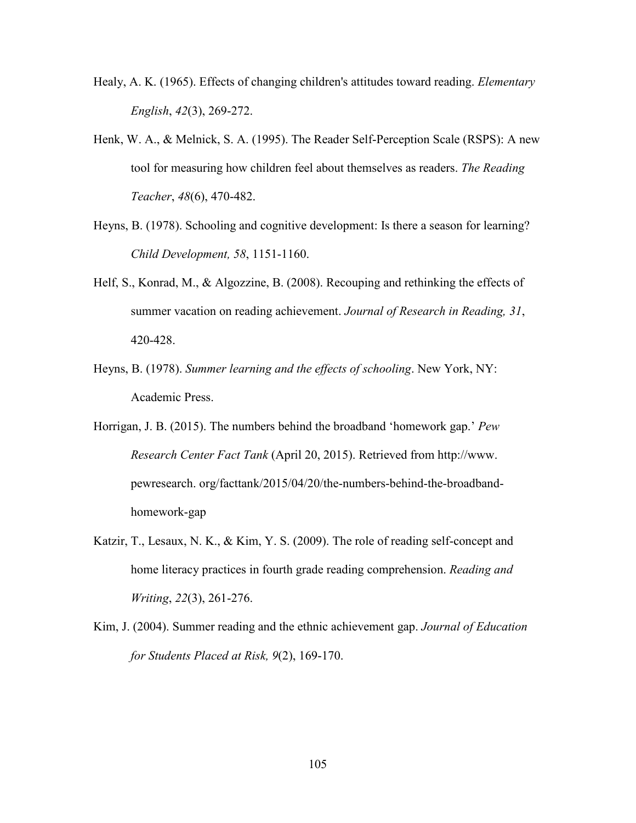- Healy, A. K. (1965). Effects of changing children's attitudes toward reading. *Elementary English*, *42*(3), 269-272.
- Henk, W. A., & Melnick, S. A. (1995). The Reader Self-Perception Scale (RSPS): A new tool for measuring how children feel about themselves as readers. *The Reading Teacher*, *48*(6), 470-482.
- Heyns, B. (1978). Schooling and cognitive development: Is there a season for learning? *Child Development, 58*, 1151-1160.
- Helf, S., Konrad, M., & Algozzine, B. (2008). Recouping and rethinking the effects of summer vacation on reading achievement. *Journal of Research in Reading, 31*, 420-428.
- Heyns, B. (1978). *Summer learning and the effects of schooling*. New York, NY: Academic Press.
- Horrigan, J. B. (2015). The numbers behind the broadband 'homework gap.' *Pew Research Center Fact Tank* (April 20, 2015). Retrieved from http://www. pewresearch. org/facttank/2015/04/20/the-numbers-behind-the-broadbandhomework-gap
- Katzir, T., Lesaux, N. K., & Kim, Y. S. (2009). The role of reading self-concept and home literacy practices in fourth grade reading comprehension. *Reading and Writing*, *22*(3), 261-276.
- Kim, J. (2004). Summer reading and the ethnic achievement gap. *Journal of Education for Students Placed at Risk, 9*(2), 169-170.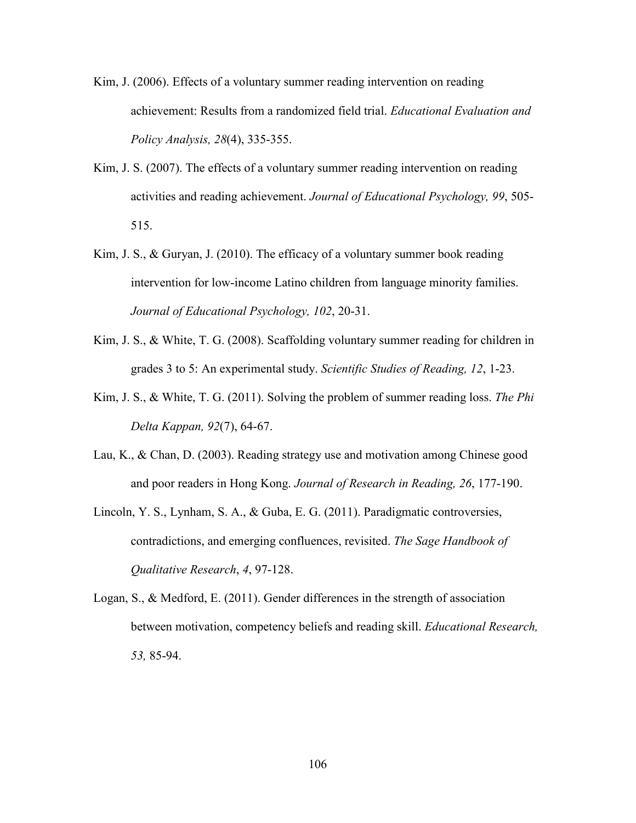- Kim, J. (2006). Effects of a voluntary summer reading intervention on reading achievement: Results from a randomized field trial. *Educational Evaluation and Policy Analysis, 28*(4), 335-355.
- Kim, J. S. (2007). The effects of a voluntary summer reading intervention on reading activities and reading achievement. *Journal of Educational Psychology, 99*, 505- 515.
- Kim, J. S., & Guryan, J. (2010). The efficacy of a voluntary summer book reading intervention for low-income Latino children from language minority families. *Journal of Educational Psychology, 102*, 20-31.
- Kim, J. S., & White, T. G. (2008). Scaffolding voluntary summer reading for children in grades 3 to 5: An experimental study. *Scientific Studies of Reading, 12*, 1-23.
- Kim, J. S., & White, T. G. (2011). [Solving the problem of summer reading loss.](http://literacy-reforms.gse.harvard.edu/publications/solving-problem-summer-reading-loss) *The Phi Delta Kappan, 92*(7), 64-67.
- Lau, K., & Chan, D. (2003). Reading strategy use and motivation among Chinese good and poor readers in Hong Kong. *Journal of Research in Reading, 26*, 177-190.
- Lincoln, Y. S., Lynham, S. A., & Guba, E. G. (2011). Paradigmatic controversies, contradictions, and emerging confluences, revisited. *The Sage Handbook of Qualitative Research*, *4*, 97-128.
- Logan, S., & Medford, E. (2011). Gender differences in the strength of association between motivation, competency beliefs and reading skill. *Educational Research, 53,* 85-94.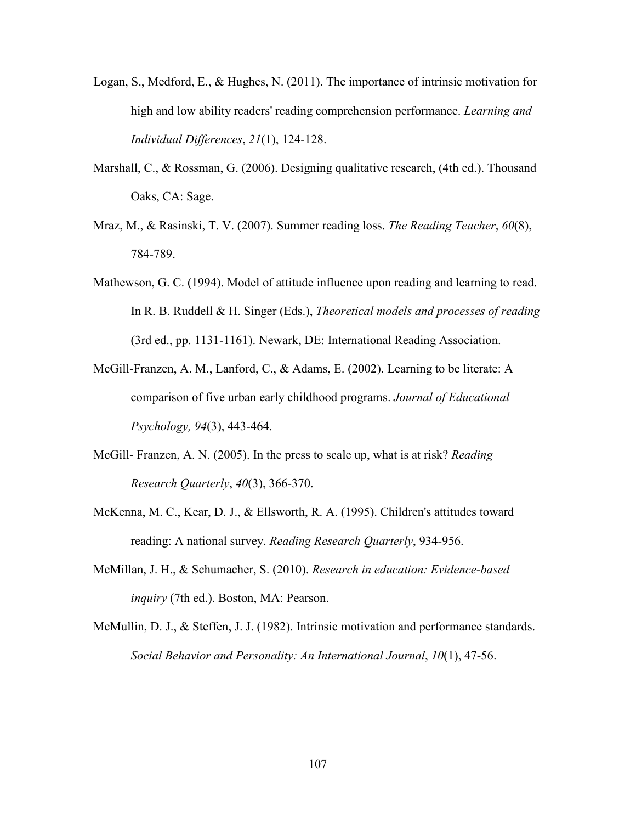- Logan, S., Medford, E., & Hughes, N. (2011). The importance of intrinsic motivation for high and low ability readers' reading comprehension performance. *Learning and Individual Differences*, *21*(1), 124-128.
- Marshall, C., & Rossman, G. (2006). Designing qualitative research, (4th ed.). Thousand Oaks, CA: Sage.
- Mraz, M., & Rasinski, T. V. (2007). Summer reading loss. *The Reading Teacher*, *60*(8), 784-789.
- Mathewson, G. C. (1994). Model of attitude influence upon reading and learning to read. In R. B. Ruddell & H. Singer (Eds.), *Theoretical models and processes of reading* (3rd ed., pp. 1131-1161). Newark, DE: International Reading Association.
- McGill-Franzen, A. M., Lanford, C., & Adams, E. (2002). Learning to be literate: A comparison of five urban early childhood programs. *Journal of Educational Psychology, 94*(3), 443-464.
- McGill- Franzen, A. N. (2005). In the press to scale up, what is at risk? *Reading Research Quarterly*, *40*(3), 366-370.
- McKenna, M. C., Kear, D. J., & Ellsworth, R. A. (1995). Children's attitudes toward reading: A national survey. *Reading Research Quarterly*, 934-956.
- McMillan, J. H., & Schumacher, S. (2010). *Research in education: Evidence-based inquiry* (7th ed.). Boston, MA: Pearson.
- McMullin, D. J., & Steffen, J. J. (1982). Intrinsic motivation and performance standards. *Social Behavior and Personality: An International Journal*, *10*(1), 47-56.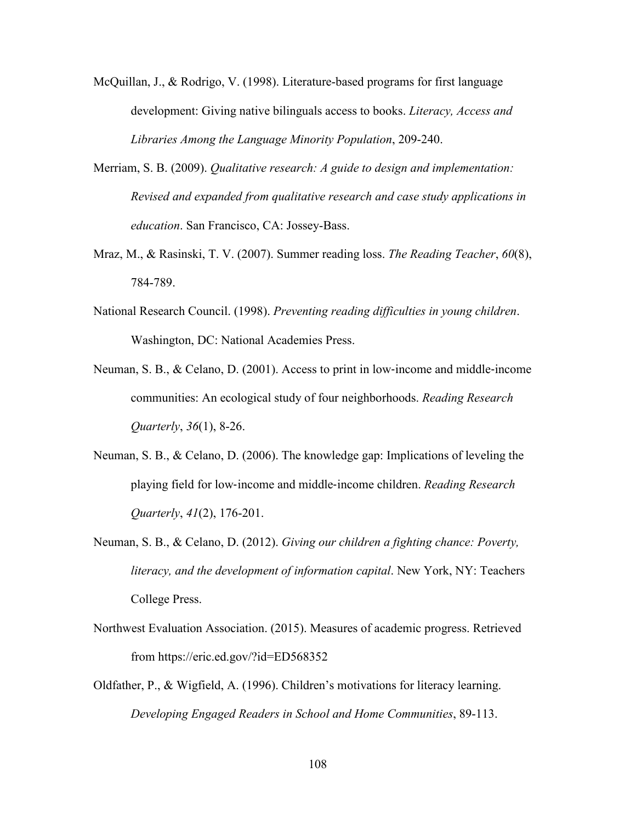- McQuillan, J., & Rodrigo, V. (1998). Literature-based programs for first language development: Giving native bilinguals access to books. *Literacy, Access and Libraries Among the Language Minority Population*, 209-240.
- Merriam, S. B. (2009). *Qualitative research: A guide to design and implementation: Revised and expanded from qualitative research and case study applications in education*. San Francisco, CA: Jossey-Bass.
- Mraz, M., & Rasinski, T. V. (2007). Summer reading loss. *The Reading Teacher*, *60*(8), 784-789.
- National Research Council. (1998). *Preventing reading difficulties in young children*. Washington, DC: National Academies Press.
- Neuman, S. B., & Celano, D. (2001). Access to print in low‐income and middle‐income communities: An ecological study of four neighborhoods. *Reading Research Quarterly*, *36*(1), 8-26.
- Neuman, S. B., & Celano, D. (2006). The knowledge gap: Implications of leveling the playing field for low‐income and middle‐income children. *Reading Research Quarterly*, *41*(2), 176-201.
- Neuman, S. B., & Celano, D. (2012). *Giving our children a fighting chance: Poverty, literacy, and the development of information capital*. New York, NY: Teachers College Press.
- Northwest Evaluation Association. (2015). Measures of academic progress. Retrieved from https://eric.ed.gov/?id=ED568352
- Oldfather, P., & Wigfield, A. (1996). Children's motivations for literacy learning. *Developing Engaged Readers in School and Home Communities*, 89-113.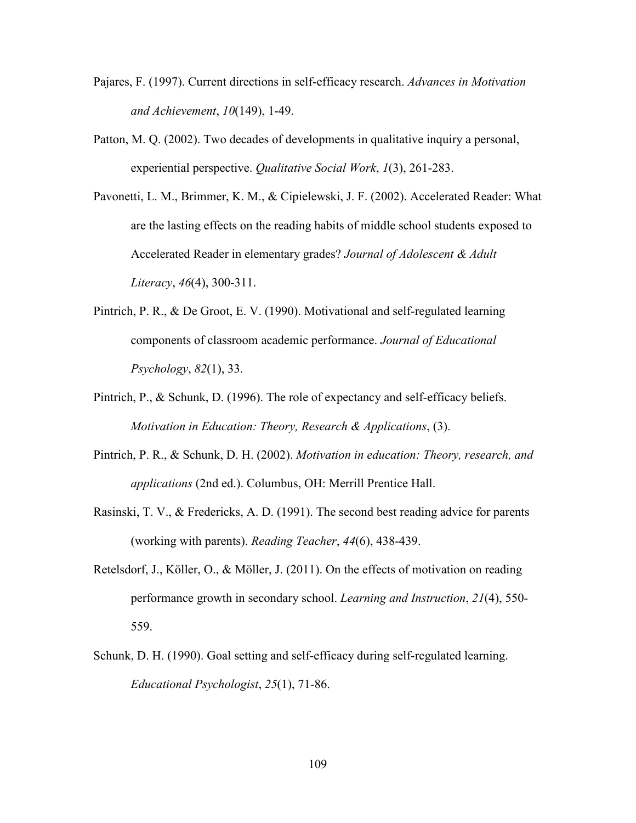- Pajares, F. (1997). Current directions in self-efficacy research. *Advances in Motivation and Achievement*, *10*(149), 1-49.
- Patton, M. Q. (2002). Two decades of developments in qualitative inquiry a personal, experiential perspective. *Qualitative Social Work*, *1*(3), 261-283.
- Pavonetti, L. M., Brimmer, K. M., & Cipielewski, J. F. (2002). Accelerated Reader: What are the lasting effects on the reading habits of middle school students exposed to Accelerated Reader in elementary grades? *Journal of Adolescent & Adult Literacy*, *46*(4), 300-311.
- Pintrich, P. R., & De Groot, E. V. (1990). Motivational and self-regulated learning components of classroom academic performance. *Journal of Educational Psychology*, *82*(1), 33.
- Pintrich, P., & Schunk, D. (1996). The role of expectancy and self-efficacy beliefs. *Motivation in Education: Theory, Research & Applications*, (3).
- Pintrich, P. R., & Schunk, D. H. (2002). *Motivation in education: Theory, research, and applications* (2nd ed.). Columbus, OH: Merrill Prentice Hall.
- Rasinski, T. V., & Fredericks, A. D. (1991). The second best reading advice for parents (working with parents). *Reading Teacher*, *44*(6), 438-439.
- Retelsdorf, J., Köller, O., & Möller, J. (2011). On the effects of motivation on reading performance growth in secondary school. *Learning and Instruction*, *21*(4), 550- 559.
- Schunk, D. H. (1990). Goal setting and self-efficacy during self-regulated learning. *Educational Psychologist*, *25*(1), 71-86.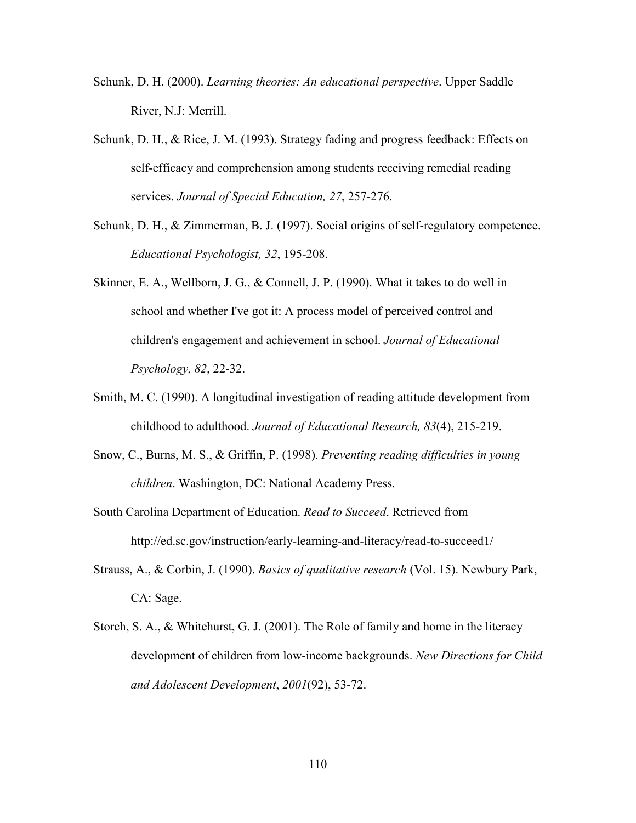- Schunk, D. H. (2000). *Learning theories: An educational perspective*. Upper Saddle River, N.J: Merrill.
- Schunk, D. H., & Rice, J. M. (1993). Strategy fading and progress feedback: Effects on self-efficacy and comprehension among students receiving remedial reading services. *Journal of Special Education, 27*, 257-276.
- Schunk, D. H., & Zimmerman, B. J. (1997). Social origins of self-regulatory competence. *Educational Psychologist, 32*, 195-208.
- Skinner, E. A., Wellborn, J. G., & Connell, J. P. (1990). What it takes to do well in school and whether I've got it: A process model of perceived control and children's engagement and achievement in school. *Journal of Educational Psychology, 82*, 22-32.
- Smith, M. C. (1990). A longitudinal investigation of reading attitude development from childhood to adulthood. *Journal of Educational Research, 83*(4), 215-219.
- Snow, C., Burns, M. S., & Griffin, P. (1998). *Preventing reading difficulties in young children*. Washington, DC: National Academy Press.
- South Carolina Department of Education. *Read to Succeed*. Retrieved from http://ed.sc.gov/instruction/early-learning-and-literacy/read-to-succeed1/
- Strauss, A., & Corbin, J. (1990). *Basics of qualitative research* (Vol. 15). Newbury Park, CA: Sage.
- Storch, S. A., & Whitehurst, G. J. (2001). The Role of family and home in the literacy development of children from low‐income backgrounds. *New Directions for Child and Adolescent Development*, *2001*(92), 53-72.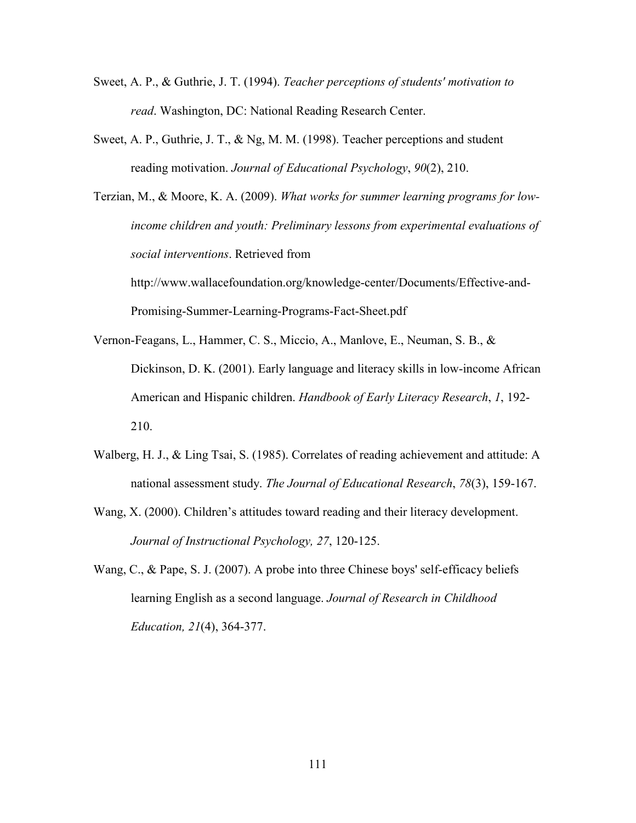- Sweet, A. P., & Guthrie, J. T. (1994). *Teacher perceptions of students' motivation to read*. Washington, DC: National Reading Research Center.
- Sweet, A. P., Guthrie, J. T., & Ng, M. M. (1998). Teacher perceptions and student reading motivation. *Journal of Educational Psychology*, *90*(2), 210.

Terzian, M., & Moore, K. A. (2009). *What works for summer learning programs for lowincome children and youth: Preliminary lessons from experimental evaluations of social interventions*. Retrieved from http://www.wallacefoundation.org/knowledge-center/Documents/Effective-and-Promising-Summer-Learning-Programs-Fact-Sheet.pdf

- Vernon-Feagans, L., Hammer, C. S., Miccio, A., Manlove, E., Neuman, S. B., & Dickinson, D. K. (2001). Early language and literacy skills in low-income African American and Hispanic children. *Handbook of Early Literacy Research*, *1*, 192- 210.
- Walberg, H. J., & Ling Tsai, S. (1985). Correlates of reading achievement and attitude: A national assessment study. *The Journal of Educational Research*, *78*(3), 159-167.
- Wang, X. (2000). Children's attitudes toward reading and their literacy development. *Journal of Instructional Psychology, 27*, 120-125.
- Wang, C., & Pape, S. J. (2007). A probe into three Chinese boys' self-efficacy beliefs learning English as a second language. *Journal of Research in Childhood Education, 21*(4), 364-377.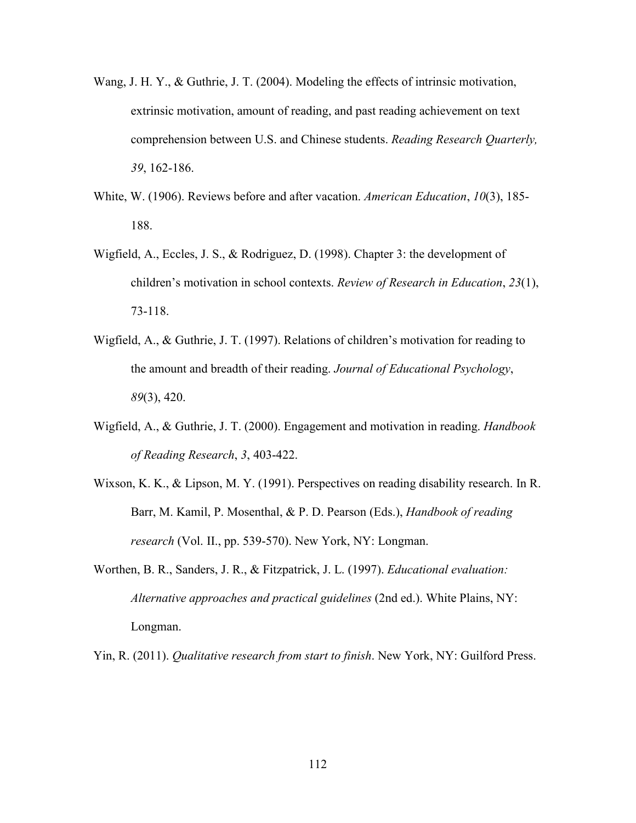- Wang, J. H. Y., & Guthrie, J. T. (2004). Modeling the effects of intrinsic motivation, extrinsic motivation, amount of reading, and past reading achievement on text comprehension between U.S. and Chinese students. *Reading Research Quarterly, 39*, 162-186.
- White, W. (1906). Reviews before and after vacation. *American Education*, *10*(3), 185- 188.
- Wigfield, A., Eccles, J. S., & Rodriguez, D. (1998). Chapter 3: the development of children's motivation in school contexts. *Review of Research in Education*, *23*(1), 73-118.
- Wigfield, A., & Guthrie, J. T. (1997). Relations of children's motivation for reading to the amount and breadth of their reading. *Journal of Educational Psychology*, *89*(3), 420.
- Wigfield, A., & Guthrie, J. T. (2000). Engagement and motivation in reading. *Handbook of Reading Research*, *3*, 403-422.
- Wixson, K. K., & Lipson, M. Y. (1991). Perspectives on reading disability research. In R. Barr, M. Kamil, P. Mosenthal, & P. D. Pearson (Eds.), *Handbook of reading research* (Vol. II., pp. 539-570). New York, NY: Longman.
- Worthen, B. R., Sanders, J. R., & Fitzpatrick, J. L. (1997). *Educational evaluation: Alternative approaches and practical guidelines* (2nd ed.). White Plains, NY: Longman.

Yin, R. (2011). *Qualitative research from start to finish*. New York, NY: Guilford Press.